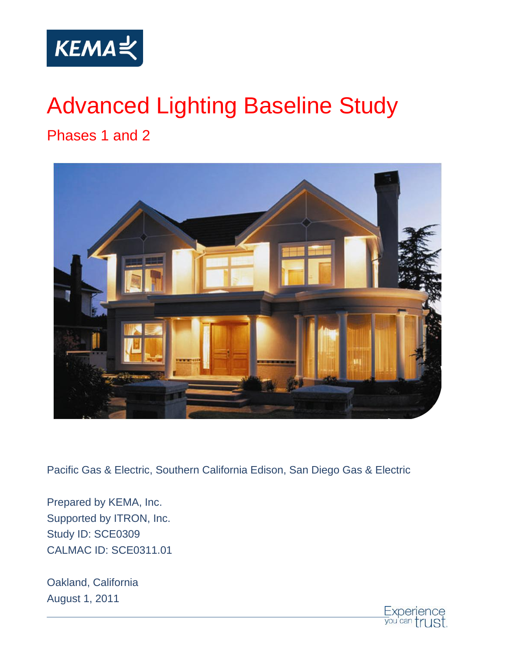

# Advanced Lighting Baseline Study

Phases 1 and 2



Pacific Gas & Electric, Southern California Edison, San Diego Gas & Electric

Prepared by KEMA, Inc. Supported by ITRON, Inc. Study ID: SCE0309 CALMAC ID: SCE0311.01

Oakland, California August 1, 2011

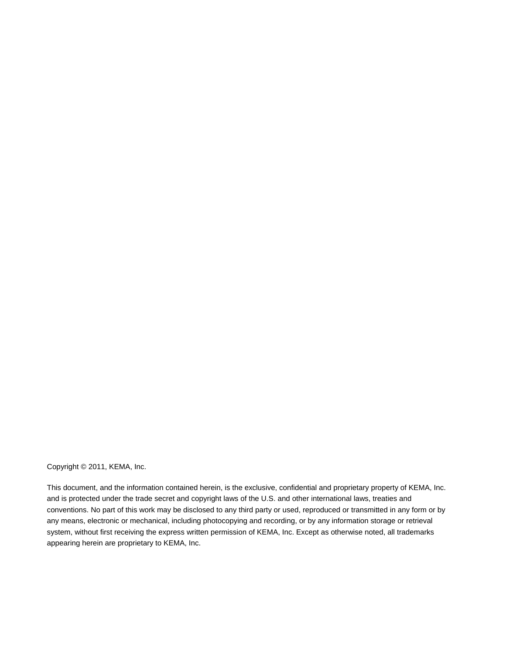#### Copyright © 2011, KEMA, Inc.

This document, and the information contained herein, is the exclusive, confidential and proprietary property of KEMA, Inc. and is protected under the trade secret and copyright laws of the U.S. and other international laws, treaties and conventions. No part of this work may be disclosed to any third party or used, reproduced or transmitted in any form or by any means, electronic or mechanical, including photocopying and recording, or by any information storage or retrieval system, without first receiving the express written permission of KEMA, Inc. Except as otherwise noted, all trademarks appearing herein are proprietary to KEMA, Inc.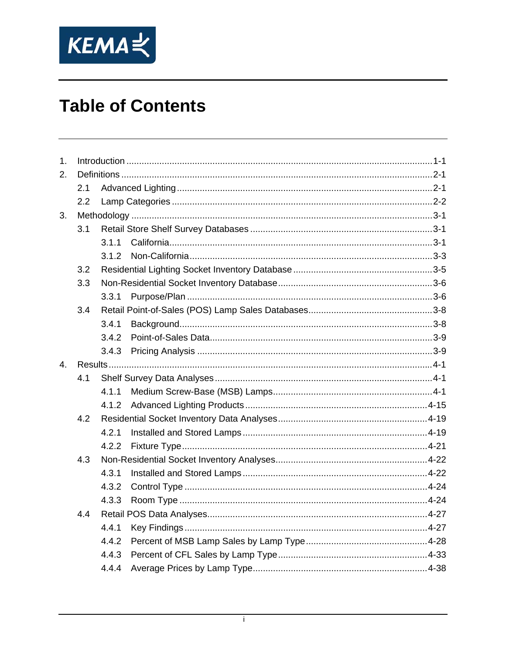

| 2.<br>2.1<br>2.2<br>3.<br>3.1<br>3.1.1<br>3.1.2<br>3.2<br>3.3<br>3.3.1<br>3.4<br>3.4.1<br>3.4.2<br>3.4.3<br>4.<br>4.1<br>4.1.1<br>4.1.2<br>4.2<br>4.2.1<br>4.2.2<br>4.3<br>4.3.1<br>4.3.2<br>4.3.3<br>4.4<br>4.4.1<br>4.4.2<br>4.4.3<br>4.4.4 | 1 <sub>1</sub> |  |  |  |  |  |  |
|-----------------------------------------------------------------------------------------------------------------------------------------------------------------------------------------------------------------------------------------------|----------------|--|--|--|--|--|--|
|                                                                                                                                                                                                                                               |                |  |  |  |  |  |  |
|                                                                                                                                                                                                                                               |                |  |  |  |  |  |  |
|                                                                                                                                                                                                                                               |                |  |  |  |  |  |  |
|                                                                                                                                                                                                                                               |                |  |  |  |  |  |  |
|                                                                                                                                                                                                                                               |                |  |  |  |  |  |  |
|                                                                                                                                                                                                                                               |                |  |  |  |  |  |  |
|                                                                                                                                                                                                                                               |                |  |  |  |  |  |  |
|                                                                                                                                                                                                                                               |                |  |  |  |  |  |  |
|                                                                                                                                                                                                                                               |                |  |  |  |  |  |  |
|                                                                                                                                                                                                                                               |                |  |  |  |  |  |  |
|                                                                                                                                                                                                                                               |                |  |  |  |  |  |  |
|                                                                                                                                                                                                                                               |                |  |  |  |  |  |  |
|                                                                                                                                                                                                                                               |                |  |  |  |  |  |  |
|                                                                                                                                                                                                                                               |                |  |  |  |  |  |  |
|                                                                                                                                                                                                                                               |                |  |  |  |  |  |  |
|                                                                                                                                                                                                                                               |                |  |  |  |  |  |  |
|                                                                                                                                                                                                                                               |                |  |  |  |  |  |  |
|                                                                                                                                                                                                                                               |                |  |  |  |  |  |  |
|                                                                                                                                                                                                                                               |                |  |  |  |  |  |  |
|                                                                                                                                                                                                                                               |                |  |  |  |  |  |  |
|                                                                                                                                                                                                                                               |                |  |  |  |  |  |  |
|                                                                                                                                                                                                                                               |                |  |  |  |  |  |  |
|                                                                                                                                                                                                                                               |                |  |  |  |  |  |  |
|                                                                                                                                                                                                                                               |                |  |  |  |  |  |  |
|                                                                                                                                                                                                                                               |                |  |  |  |  |  |  |
|                                                                                                                                                                                                                                               |                |  |  |  |  |  |  |
|                                                                                                                                                                                                                                               |                |  |  |  |  |  |  |
|                                                                                                                                                                                                                                               |                |  |  |  |  |  |  |
|                                                                                                                                                                                                                                               |                |  |  |  |  |  |  |
|                                                                                                                                                                                                                                               |                |  |  |  |  |  |  |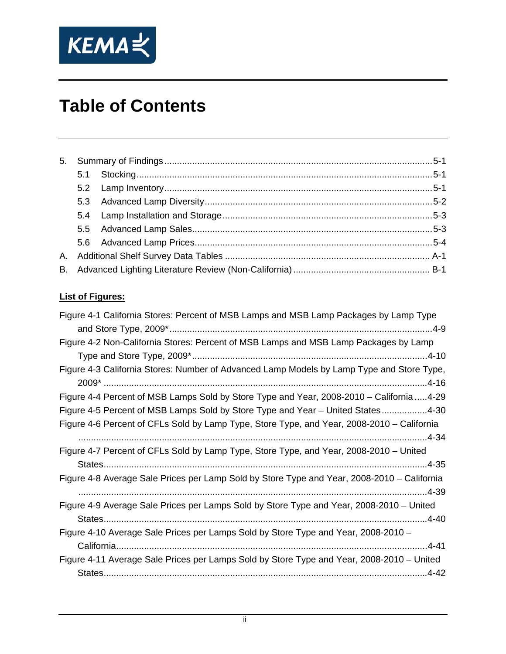

#### **List of Figures:**

| Figure 4-1 California Stores: Percent of MSB Lamps and MSB Lamp Packages by Lamp Type       |
|---------------------------------------------------------------------------------------------|
|                                                                                             |
| Figure 4-2 Non-California Stores: Percent of MSB Lamps and MSB Lamp Packages by Lamp        |
|                                                                                             |
| Figure 4-3 California Stores: Number of Advanced Lamp Models by Lamp Type and Store Type,   |
|                                                                                             |
| Figure 4-4 Percent of MSB Lamps Sold by Store Type and Year, 2008-2010 - California  4-29   |
| Figure 4-5 Percent of MSB Lamps Sold by Store Type and Year - United States4-30             |
| Figure 4-6 Percent of CFLs Sold by Lamp Type, Store Type, and Year, 2008-2010 – California  |
|                                                                                             |
| Figure 4-7 Percent of CFLs Sold by Lamp Type, Store Type, and Year, 2008-2010 – United      |
|                                                                                             |
| Figure 4-8 Average Sale Prices per Lamp Sold by Store Type and Year, 2008-2010 – California |
|                                                                                             |
| Figure 4-9 Average Sale Prices per Lamps Sold by Store Type and Year, 2008-2010 - United    |
|                                                                                             |
| Figure 4-10 Average Sale Prices per Lamps Sold by Store Type and Year, 2008-2010 -          |
|                                                                                             |
| Figure 4-11 Average Sale Prices per Lamps Sold by Store Type and Year, 2008-2010 – United   |
|                                                                                             |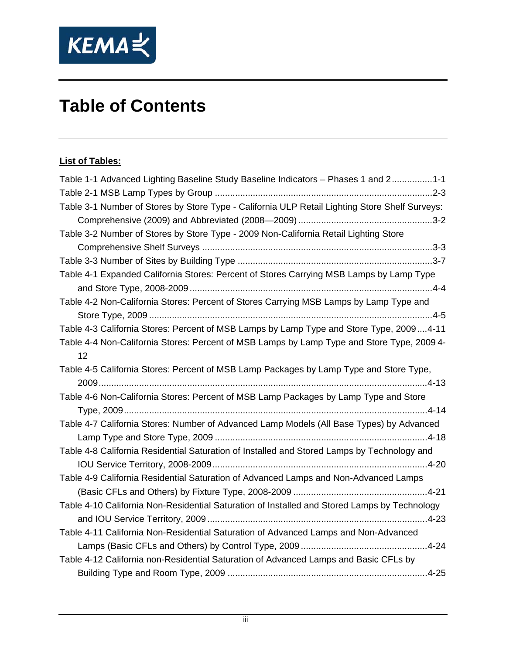

#### **List of Tables:**

| Table 1-1 Advanced Lighting Baseline Study Baseline Indicators - Phases 1 and 21-1             |
|------------------------------------------------------------------------------------------------|
|                                                                                                |
| Table 3-1 Number of Stores by Store Type - California ULP Retail Lighting Store Shelf Surveys: |
|                                                                                                |
| Table 3-2 Number of Stores by Store Type - 2009 Non-California Retail Lighting Store           |
|                                                                                                |
|                                                                                                |
| Table 4-1 Expanded California Stores: Percent of Stores Carrying MSB Lamps by Lamp Type        |
|                                                                                                |
| Table 4-2 Non-California Stores: Percent of Stores Carrying MSB Lamps by Lamp Type and         |
|                                                                                                |
| Table 4-3 California Stores: Percent of MSB Lamps by Lamp Type and Store Type, 20094-11        |
| Table 4-4 Non-California Stores: Percent of MSB Lamps by Lamp Type and Store Type, 2009 4-     |
| 12                                                                                             |
| Table 4-5 California Stores: Percent of MSB Lamp Packages by Lamp Type and Store Type,         |
|                                                                                                |
| Table 4-6 Non-California Stores: Percent of MSB Lamp Packages by Lamp Type and Store           |
|                                                                                                |
| Table 4-7 California Stores: Number of Advanced Lamp Models (All Base Types) by Advanced       |
|                                                                                                |
| Table 4-8 California Residential Saturation of Installed and Stored Lamps by Technology and    |
|                                                                                                |
| Table 4-9 California Residential Saturation of Advanced Lamps and Non-Advanced Lamps           |
|                                                                                                |
| Table 4-10 California Non-Residential Saturation of Installed and Stored Lamps by Technology   |
|                                                                                                |
| Table 4-11 California Non-Residential Saturation of Advanced Lamps and Non-Advanced            |
|                                                                                                |
| Table 4-12 California non-Residential Saturation of Advanced Lamps and Basic CFLs by           |
|                                                                                                |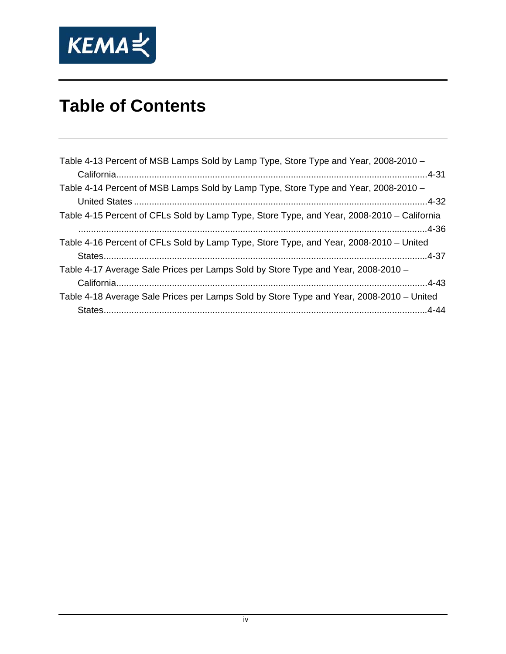

| Table 4-13 Percent of MSB Lamps Sold by Lamp Type, Store Type and Year, 2008-2010 -        |
|--------------------------------------------------------------------------------------------|
|                                                                                            |
| Table 4-14 Percent of MSB Lamps Sold by Lamp Type, Store Type and Year, 2008-2010 -        |
|                                                                                            |
| Table 4-15 Percent of CFLs Sold by Lamp Type, Store Type, and Year, 2008-2010 – California |
|                                                                                            |
| Table 4-16 Percent of CFLs Sold by Lamp Type, Store Type, and Year, 2008-2010 – United     |
|                                                                                            |
| Table 4-17 Average Sale Prices per Lamps Sold by Store Type and Year, 2008-2010 -          |
|                                                                                            |
| Table 4-18 Average Sale Prices per Lamps Sold by Store Type and Year, 2008-2010 – United   |
|                                                                                            |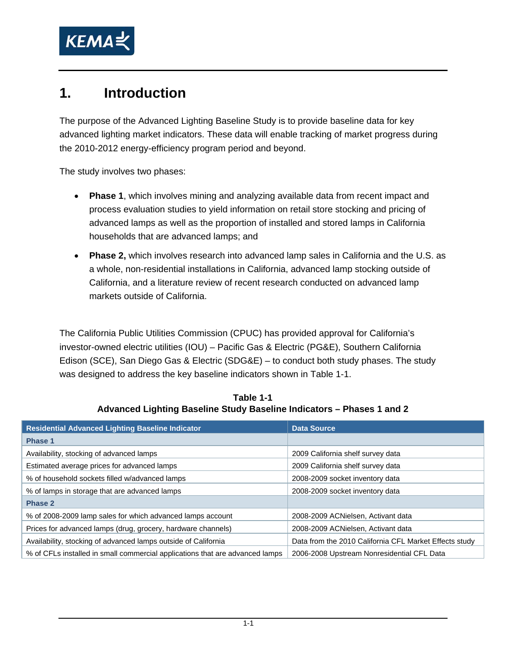<span id="page-6-0"></span>

## **1. Introduction**

The purpose of the Advanced Lighting Baseline Study is to provide baseline data for key advanced lighting market indicators. These data will enable tracking of market progress during the 2010-2012 energy-efficiency program period and beyond.

The study involves two phases:

- **Phase 1**, which involves mining and analyzing available data from recent impact and process evaluation studies to yield information on retail store stocking and pricing of advanced lamps as well as the proportion of installed and stored lamps in California households that are advanced lamps; and
- **Phase 2,** which involves research into advanced lamp sales in California and the U.S. as a whole, non-residential installations in California, advanced lamp stocking outside of California, and a literature review of recent research conducted on advanced lamp markets outside of California.

The California Public Utilities Commission (CPUC) has provided approval for California's investor-owned electric utilities (IOU) – Pacific Gas & Electric (PG&E), Southern California Edison (SCE), San Diego Gas & Electric (SDG&E) – to conduct both study phases. The study was designed to address the key baseline indicators shown in [Table 1-1](#page-6-1).

<span id="page-6-1"></span>

| <b>Residential Advanced Lighting Baseline Indicator</b>                      | <b>Data Source</b>                                     |  |  |
|------------------------------------------------------------------------------|--------------------------------------------------------|--|--|
| <b>Phase 1</b>                                                               |                                                        |  |  |
| Availability, stocking of advanced lamps                                     | 2009 California shelf survey data                      |  |  |
| Estimated average prices for advanced lamps                                  | 2009 California shelf survey data                      |  |  |
| % of household sockets filled w/advanced lamps                               | 2008-2009 socket inventory data                        |  |  |
| % of lamps in storage that are advanced lamps                                | 2008-2009 socket inventory data                        |  |  |
| <b>Phase 2</b>                                                               |                                                        |  |  |
| % of 2008-2009 lamp sales for which advanced lamps account                   | 2008-2009 ACNielsen, Activant data                     |  |  |
| Prices for advanced lamps (drug, grocery, hardware channels)                 | 2008-2009 ACNielsen, Activant data                     |  |  |
| Availability, stocking of advanced lamps outside of California               | Data from the 2010 California CFL Market Effects study |  |  |
| % of CFLs installed in small commercial applications that are advanced lamps | 2006-2008 Upstream Nonresidential CFL Data             |  |  |

**Table 1-1 Advanced Lighting Baseline Study Baseline Indicators – Phases 1 and 2**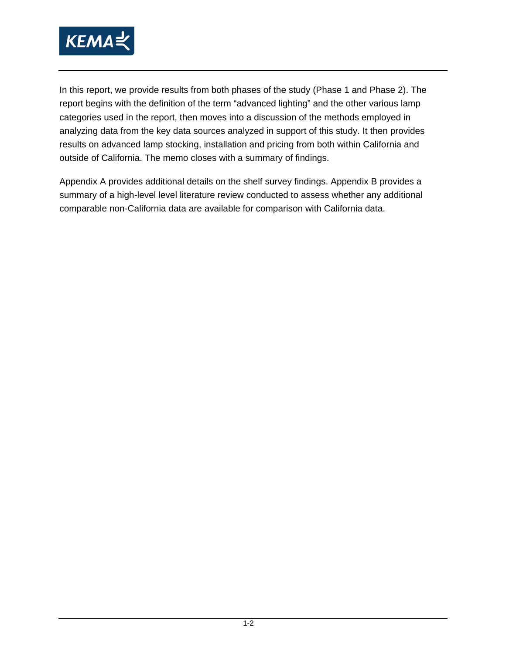

In this report, we provide results from both phases of the study (Phase 1 and Phase 2). The report begins with the definition of the term "advanced lighting" and the other various lamp categories used in the report, then moves into a discussion of the methods employed in analyzing data from the key data sources analyzed in support of this study. It then provides results on advanced lamp stocking, installation and pricing from both within California and outside of California. The memo closes with a summary of findings.

Appendix A provides additional details on the shelf survey findings. Appendix B provides a summary of a high-level level literature review conducted to assess whether any additional comparable non-California data are available for comparison with California data.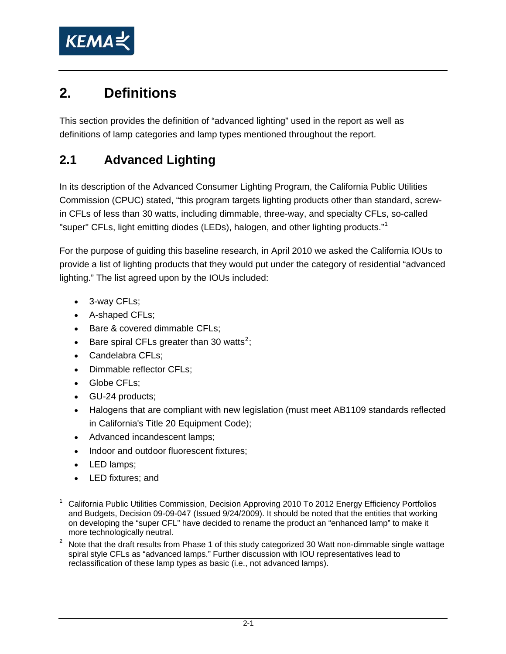<span id="page-8-0"></span>

## <span id="page-8-3"></span>**2. Definitions**

This section provides the definition of "advanced lighting" used in the report as well as definitions of lamp categories and lamp types mentioned throughout the report.

## **2.1 Advanced Lighting**

In its description of the Advanced Consumer Lighting Program, the California Public Utilities Commission (CPUC) stated, "this program targets lighting products other than standard, screwin CFLs of less than 30 watts, including dimmable, three-way, and specialty CFLs, so-called "super" CFLs, light emitting diodes (LEDs), halogen, and other lighting products."[1](#page-8-1)

For the purpose of guiding this baseline research, in April 2010 we asked the California IOUs to provide a list of lighting products that they would put under the category of residential "advanced lighting." The list agreed upon by the IOUs included:

- 3-way CFLs;
- A-shaped CFLs;
- Bare & covered dimmable CFLs;
- Bare spiral CFLs greater than 30 watts<sup>[2](#page-8-2)</sup>;
- Candelabra CFLs;
- Dimmable reflector CFLs;
- Globe CFLs;
- GU-24 products;
- Halogens that are compliant with new legislation (must meet AB1109 standards reflected in California's Title 20 Equipment Code);
- Advanced incandescent lamps;
- Indoor and outdoor fluorescent fixtures;
- LED lamps;

-

• LED fixtures; and

<sup>1</sup> California Public Utilities Commission, Decision Approving 2010 To 2012 Energy Efficiency Portfolios and Budgets, Decision 09-09-047 (Issued 9/24/2009). It should be noted that the entities that working on developing the "super CFL" have decided to rename the product an "enhanced lamp" to make it more technologically neutral.

<span id="page-8-2"></span><span id="page-8-1"></span> $2$  Note that the draft results from Phase 1 of this study categorized 30 Watt non-dimmable single wattage spiral style CFLs as "advanced lamps." Further discussion with IOU representatives lead to reclassification of these lamp types as basic (i.e., not advanced lamps).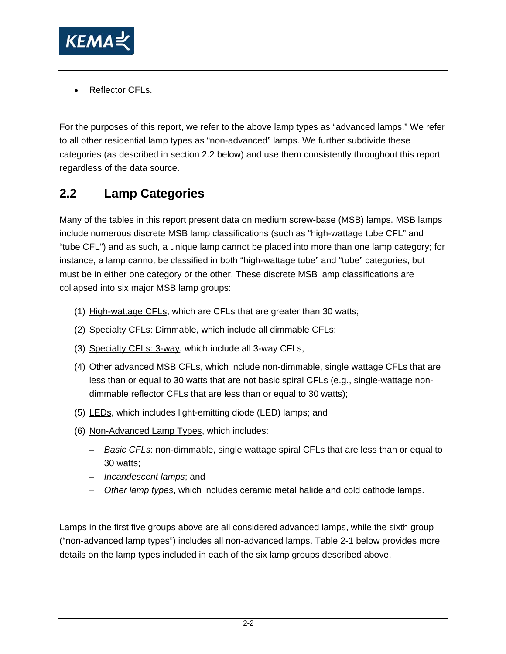<span id="page-9-0"></span>

Reflector CFLs.

For the purposes of this report, we refer to the above lamp types as "advanced lamps." We refer to all other residential lamp types as "non-advanced" lamps. We further subdivide these categories (as described in section [2.2](#page-9-1) below) and use them consistently throughout this report regardless of the data source.

## <span id="page-9-1"></span>**2.2 Lamp Categories**

Many of the tables in this report present data on medium screw-base (MSB) lamps. MSB lamps include numerous discrete MSB lamp classifications (such as "high-wattage tube CFL" and "tube CFL") and as such, a unique lamp cannot be placed into more than one lamp category; for instance, a lamp cannot be classified in both "high-wattage tube" and "tube" categories, but must be in either one category or the other. These discrete MSB lamp classifications are collapsed into six major MSB lamp groups:

- (1) High-wattage CFLs, which are CFLs that are greater than 30 watts;
- (2) Specialty CFLs: Dimmable, which include all dimmable CFLs;
- (3) Specialty CFLs: 3-way, which include all 3-way CFLs,
- (4) Other advanced MSB CFLs, which include non-dimmable, single wattage CFLs that are less than or equal to 30 watts that are not basic spiral CFLs (e.g., single-wattage nondimmable reflector CFLs that are less than or equal to 30 watts);
- (5) LEDs, which includes light-emitting diode (LED) lamps; and
- (6) Non-Advanced Lamp Types, which includes:
	- *Basic CFLs*: non-dimmable, single wattage spiral CFLs that are less than or equal to 30 watts;
	- *Incandescent lamps*; and
	- *Other lamp types*, which includes ceramic metal halide and cold cathode lamps.

Lamps in the first five groups above are all considered advanced lamps, while the sixth group ("non-advanced lamp types") includes all non-advanced lamps. [Table 2-1](#page-10-1) below provides more details on the lamp types included in each of the six lamp groups described above.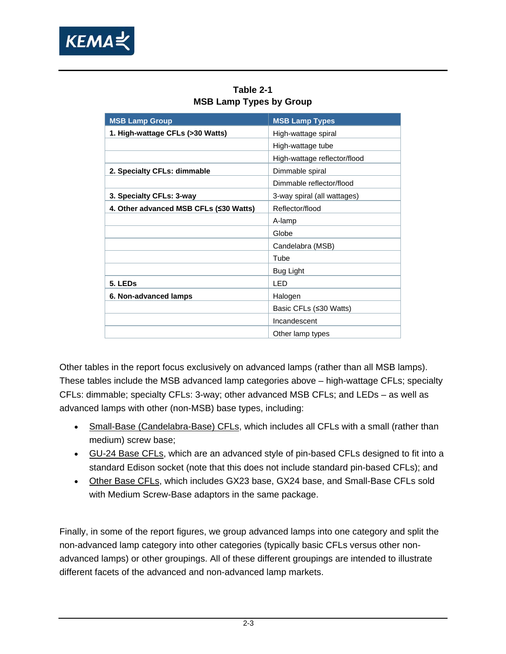<span id="page-10-1"></span><span id="page-10-0"></span>

| <b>MSB Lamp Group</b>                  | <b>MSB Lamp Types</b>        |
|----------------------------------------|------------------------------|
| 1. High-wattage CFLs (>30 Watts)       | High-wattage spiral          |
|                                        | High-wattage tube            |
|                                        | High-wattage reflector/flood |
| 2. Specialty CFLs: dimmable            | Dimmable spiral              |
|                                        | Dimmable reflector/flood     |
| 3. Specialty CFLs: 3-way               | 3-way spiral (all wattages)  |
| 4. Other advanced MSB CFLs (≤30 Watts) | Reflector/flood              |
|                                        | A-lamp                       |
|                                        | Globe                        |
|                                        | Candelabra (MSB)             |
|                                        | Tube                         |
|                                        | <b>Bug Light</b>             |
| 5. LEDs                                | LED                          |
| 6. Non-advanced lamps                  | Halogen                      |
|                                        | Basic CFLs (≤30 Watts)       |
|                                        | Incandescent                 |
|                                        | Other lamp types             |

**Table 2-1 MSB Lamp Types by Group** 

Other tables in the report focus exclusively on advanced lamps (rather than all MSB lamps). These tables include the MSB advanced lamp categories above – high-wattage CFLs; specialty CFLs: dimmable; specialty CFLs: 3-way; other advanced MSB CFLs; and LEDs – as well as advanced lamps with other (non-MSB) base types, including:

- Small-Base (Candelabra-Base) CFLs, which includes all CFLs with a small (rather than medium) screw base;
- GU-24 Base CFLs, which are an advanced style of pin-based CFLs designed to fit into a standard Edison socket (note that this does not include standard pin-based CFLs); and
- Other Base CFLs, which includes GX23 base, GX24 base, and Small-Base CFLs sold with Medium Screw-Base adaptors in the same package.

Finally, in some of the report figures, we group advanced lamps into one category and split the non-advanced lamp category into other categories (typically basic CFLs versus other nonadvanced lamps) or other groupings. All of these different groupings are intended to illustrate different facets of the advanced and non-advanced lamp markets.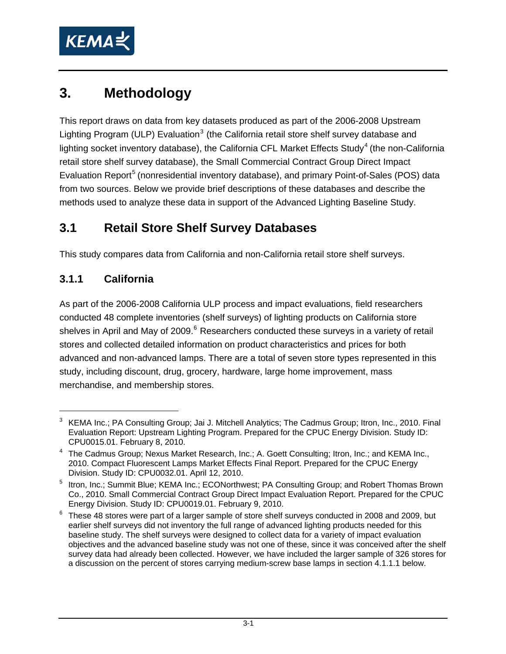<span id="page-11-0"></span>

## **3. Methodology**

This report draws on data from key datasets produced as part of the 2006-2008 Upstream Lighting Program (ULP) Evaluation<sup>[3](#page-11-1)</sup> (the California retail store shelf survey database and lighting socket inventory database), the California CFL Market Effects Study<sup>[4](#page-11-2)</sup> (the non-California retail store shelf survey database), the Small Commercial Contract Group Direct Impact Evaluation Report<sup>[5](#page-11-3)</sup> (nonresidential inventory database), and primary Point-of-Sales (POS) data from two sources. Below we provide brief descriptions of these databases and describe the methods used to analyze these data in support of the Advanced Lighting Baseline Study.

## <span id="page-11-5"></span>**3.1 Retail Store Shelf Survey Databases**

This study compares data from California and non-California retail store shelf surveys.

### **3.1.1 California**

 $\overline{a}$ 

As part of the 2006-2008 California ULP process and impact evaluations, field researchers conducted 48 complete inventories (shelf surveys) of lighting products on California store shelves in April and May of 2009.<sup>[6](#page-11-4)</sup> Researchers conducted these surveys in a variety of retail stores and collected detailed information on product characteristics and prices for both advanced and non-advanced lamps. There are a total of seven store types represented in this study, including discount, drug, grocery, hardware, large home improvement, mass merchandise, and membership stores.

<span id="page-11-1"></span><sup>&</sup>lt;sup>3</sup> KEMA Inc.; PA Consulting Group; Jai J. Mitchell Analytics; The Cadmus Group; Itron, Inc., 2010. Final Evaluation Report: Upstream Lighting Program. Prepared for the CPUC Energy Division. Study ID: CPU0015.01. February 8, 2010.

<span id="page-11-2"></span><sup>&</sup>lt;sup>4</sup> The Cadmus Group; Nexus Market Research, Inc.; A. Goett Consulting; Itron, Inc.; and KEMA Inc., 2010. Compact Fluorescent Lamps Market Effects Final Report. Prepared for the CPUC Energy Division. Study ID: CPU0032.01. April 12, 2010.

<span id="page-11-3"></span><sup>&</sup>lt;sup>5</sup> Itron, Inc.; Summit Blue; KEMA Inc.; ECONorthwest; PA Consulting Group; and Robert Thomas Brown Co., 2010. Small Commercial Contract Group Direct Impact Evaluation Report. Prepared for the CPUC Energy Division. Study ID: CPU0019.01. February 9, 2010.

<span id="page-11-4"></span><sup>6</sup> These 48 stores were part of a larger sample of store shelf surveys conducted in 2008 and 2009, but earlier shelf surveys did not inventory the full range of advanced lighting products needed for this baseline study. The shelf surveys were designed to collect data for a variety of impact evaluation objectives and the advanced baseline study was not one of these, since it was conceived after the shelf survey data had already been collected. However, we have included the larger sample of 326 stores for a discussion on the percent of stores carrying medium-screw base lamps in section 4.1.1.1 below.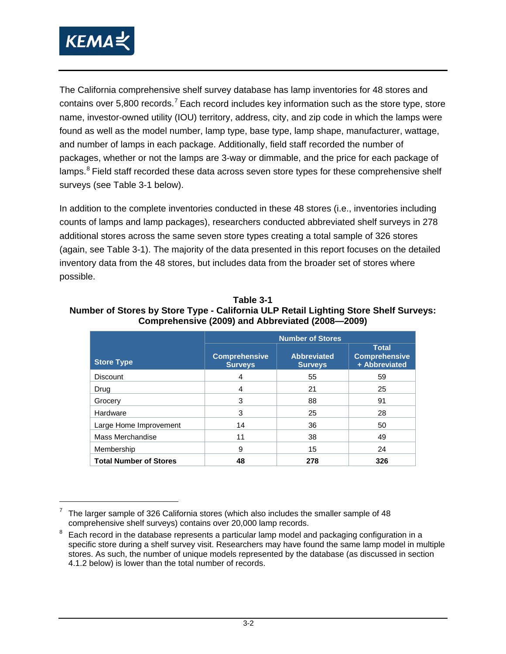<span id="page-12-0"></span>

The California comprehensive shelf survey database has lamp inventories for 48 stores and contains over 5.800 records.<sup>[7](#page-12-1)</sup> Each record includes key information such as the store type, store name, investor-owned utility (IOU) territory, address, city, and zip code in which the lamps were found as well as the model number, lamp type, base type, lamp shape, manufacturer, wattage, and number of lamps in each package. Additionally, field staff recorded the number of packages, whether or not the lamps are 3-way or dimmable, and the price for each package of lamps.<sup>[8](#page-12-2)</sup> Field staff recorded these data across seven store types for these comprehensive shelf surveys (see [Table 3-1](#page-12-3) below).

In addition to the complete inventories conducted in these 48 stores (i.e., inventories including counts of lamps and lamp packages), researchers conducted abbreviated shelf surveys in 278 additional stores across the same seven store types creating a total sample of 326 stores (again, see [Table 3-1\)](#page-12-3). The majority of the data presented in this report focuses on the detailed inventory data from the 48 stores, but includes data from the broader set of stores where possible.

|                               |                                        | <b>Number of Stores</b>              |                                                       |  |  |  |  |
|-------------------------------|----------------------------------------|--------------------------------------|-------------------------------------------------------|--|--|--|--|
| <b>Store Type</b>             | <b>Comprehensive</b><br><b>Surveys</b> | <b>Abbreviated</b><br><b>Surveys</b> | <b>Total</b><br><b>Comprehensive</b><br>+ Abbreviated |  |  |  |  |
| <b>Discount</b>               | 4                                      | 55                                   | 59                                                    |  |  |  |  |
| Drug                          | 4                                      | 21                                   | 25                                                    |  |  |  |  |
| Grocery                       | 3                                      | 88                                   | 91                                                    |  |  |  |  |
| Hardware                      | 3                                      | 25                                   | 28                                                    |  |  |  |  |
| Large Home Improvement        | 14                                     | 36                                   | 50                                                    |  |  |  |  |
| Mass Merchandise              | 11                                     | 38                                   | 49                                                    |  |  |  |  |
| Membership                    | 9                                      | 15                                   | 24                                                    |  |  |  |  |
| <b>Total Number of Stores</b> | 48                                     | 278                                  | 326                                                   |  |  |  |  |

<span id="page-12-3"></span>**Table 3-1 Number of Stores by Store Type - California ULP Retail Lighting Store Shelf Surveys: Comprehensive (2009) and Abbreviated (2008—2009)** 

<sup>7</sup> The larger sample of 326 California stores (which also includes the smaller sample of 48 comprehensive shelf surveys) contains over 20,000 lamp records.

<span id="page-12-2"></span><span id="page-12-1"></span>Each record in the database represents a particular lamp model and packaging configuration in a specific store during a shelf survey visit. Researchers may have found the same lamp model in multiple stores. As such, the number of unique models represented by the database (as discussed in section 4.1.2 below) is lower than the total number of records.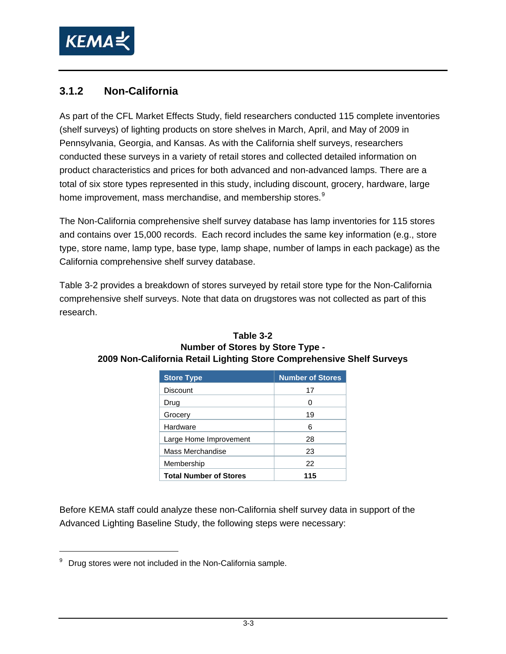<span id="page-13-0"></span>

#### **3.1.2 Non-California**

As part of the CFL Market Effects Study, field researchers conducted 115 complete inventories (shelf surveys) of lighting products on store shelves in March, April, and May of 2009 in Pennsylvania, Georgia, and Kansas. As with the California shelf surveys, researchers conducted these surveys in a variety of retail stores and collected detailed information on product characteristics and prices for both advanced and non-advanced lamps. There are a total of six store types represented in this study, including discount, grocery, hardware, large home improvement, mass merchandise, and membership stores.<sup>[9](#page-13-1)</sup>

The Non-California comprehensive shelf survey database has lamp inventories for 115 stores and contains over 15,000 records. Each record includes the same key information (e.g., store type, store name, lamp type, base type, lamp shape, number of lamps in each package) as the California comprehensive shelf survey database.

<span id="page-13-2"></span>[Table 3-2](#page-13-2) provides a breakdown of stores surveyed by retail store type for the Non-California comprehensive shelf surveys. Note that data on drugstores was not collected as part of this research.

| <b>Store Type</b>             | <b>Number of Stores</b> |
|-------------------------------|-------------------------|
| <b>Discount</b>               | 17                      |
| Drug                          | $\mathbf{C}$            |
| Grocery                       | 19                      |
| Hardware                      | 6                       |
| Large Home Improvement        | 28                      |
| Mass Merchandise              | 23                      |
| Membership                    | 22                      |
| <b>Total Number of Stores</b> | 115                     |

#### **Table 3-2 Number of Stores by Store Type - 2009 Non-California Retail Lighting Store Comprehensive Shelf Surveys**

Before KEMA staff could analyze these non-California shelf survey data in support of the Advanced Lighting Baseline Study, the following steps were necessary:

 $\overline{a}$ 

<span id="page-13-1"></span> $9$  Drug stores were not included in the Non-California sample.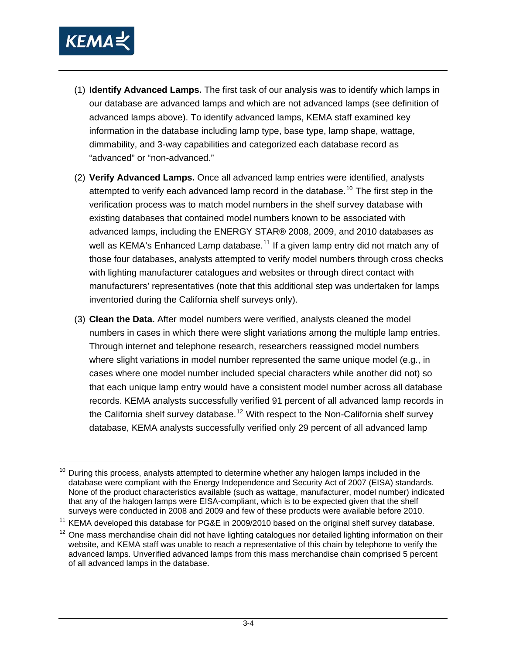

-

- (1) **Identify Advanced Lamps.** The first task of our analysis was to identify which lamps in our database are advanced lamps and which are not advanced lamps (see definition of advanced lamps above). To identify advanced lamps, KEMA staff examined key information in the database including lamp type, base type, lamp shape, wattage, dimmability, and 3-way capabilities and categorized each database record as "advanced" or "non-advanced."
- (2) **Verify Advanced Lamps.** Once all advanced lamp entries were identified, analysts attempted to verify each advanced lamp record in the database.<sup>[10](#page-14-0)</sup> The first step in the verification process was to match model numbers in the shelf survey database with existing databases that contained model numbers known to be associated with advanced lamps, including the ENERGY STAR® 2008, 2009, and 2010 databases as well as KEMA's Enhanced Lamp database.<sup>[11](#page-14-1)</sup> If a given lamp entry did not match any of those four databases, analysts attempted to verify model numbers through cross checks with lighting manufacturer catalogues and websites or through direct contact with manufacturers' representatives (note that this additional step was undertaken for lamps inventoried during the California shelf surveys only).
- (3) **Clean the Data.** After model numbers were verified, analysts cleaned the model numbers in cases in which there were slight variations among the multiple lamp entries. Through internet and telephone research, researchers reassigned model numbers where slight variations in model number represented the same unique model (e.g., in cases where one model number included special characters while another did not) so that each unique lamp entry would have a consistent model number across all database records. KEMA analysts successfully verified 91 percent of all advanced lamp records in the California shelf survey database.<sup>[12](#page-14-2)</sup> With respect to the Non-California shelf survey database, KEMA analysts successfully verified only 29 percent of all advanced lamp

 $10$  During this process, analysts attempted to determine whether any halogen lamps included in the database were compliant with the Energy Independence and Security Act of 2007 (EISA) standards. None of the product characteristics available (such as wattage, manufacturer, model number) indicated that any of the halogen lamps were EISA-compliant, which is to be expected given that the shelf surveys were conducted in 2008 and 2009 and few of these products were available before 2010.

<sup>&</sup>lt;sup>11</sup> KEMA developed this database for PG&E in 2009/2010 based on the original shelf survey database.

<span id="page-14-2"></span><span id="page-14-1"></span><span id="page-14-0"></span> $12$  One mass merchandise chain did not have lighting catalogues nor detailed lighting information on their website, and KEMA staff was unable to reach a representative of this chain by telephone to verify the advanced lamps. Unverified advanced lamps from this mass merchandise chain comprised 5 percent of all advanced lamps in the database.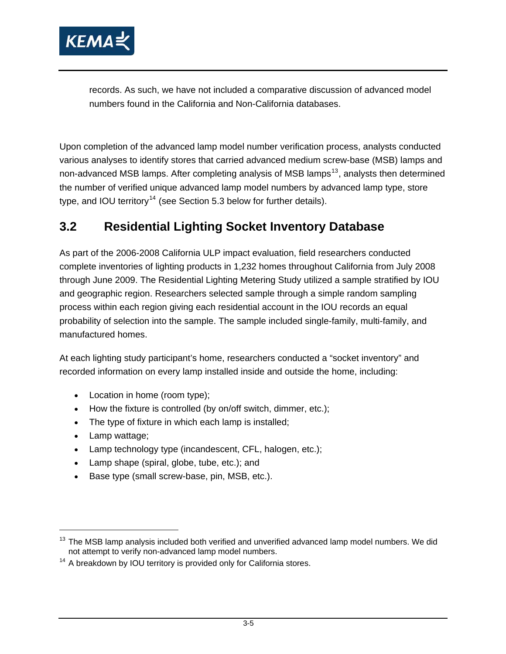<span id="page-15-0"></span>

records. As such, we have not included a comparative discussion of advanced model numbers found in the California and Non-California databases.

Upon completion of the advanced lamp model number verification process, analysts conducted various analyses to identify stores that carried advanced medium screw-base (MSB) lamps and non-advanced MSB lamps. After completing analysis of MSB lamps<sup>[13](#page-15-1)</sup>, analysts then determined the number of verified unique advanced lamp model numbers by advanced lamp type, store type, and IOU territory<sup>[14](#page-15-2)</sup> (see Section [5.3](#page-65-1) below for further details).

### **3.2 Residential Lighting Socket Inventory Database**

As part of the 2006-2008 California ULP impact evaluation, field researchers conducted complete inventories of lighting products in 1,232 homes throughout California from July 2008 through June 2009. The Residential Lighting Metering Study utilized a sample stratified by IOU and geographic region. Researchers selected sample through a simple random sampling process within each region giving each residential account in the IOU records an equal probability of selection into the sample. The sample included single-family, multi-family, and manufactured homes.

At each lighting study participant's home, researchers conducted a "socket inventory" and recorded information on every lamp installed inside and outside the home, including:

- Location in home (room type);
- How the fixture is controlled (by on/off switch, dimmer, etc.);
- The type of fixture in which each lamp is installed;
- Lamp wattage;

 $\overline{a}$ 

- Lamp technology type (incandescent, CFL, halogen, etc.);
- Lamp shape (spiral, globe, tube, etc.); and
- Base type (small screw-base, pin, MSB, etc.).

<span id="page-15-1"></span> $13$  The MSB lamp analysis included both verified and unverified advanced lamp model numbers. We did not attempt to verify non-advanced lamp model numbers.

<span id="page-15-2"></span><sup>&</sup>lt;sup>14</sup> A breakdown by IOU territory is provided only for California stores.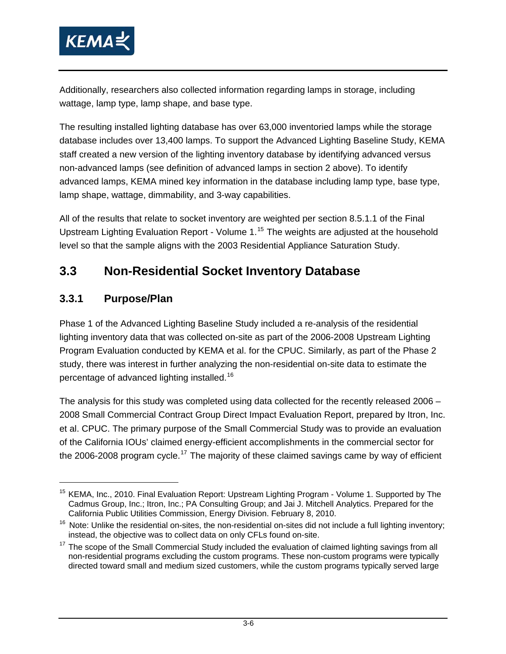<span id="page-16-0"></span>

Additionally, researchers also collected information regarding lamps in storage, including wattage, lamp type, lamp shape, and base type.

The resulting installed lighting database has over 63,000 inventoried lamps while the storage database includes over 13,400 lamps. To support the Advanced Lighting Baseline Study, KEMA staff created a new version of the lighting inventory database by identifying advanced versus non-advanced lamps (see definition of advanced lamps in section [2 above\)](#page-8-3). To identify advanced lamps, KEMA mined key information in the database including lamp type, base type, lamp shape, wattage, dimmability, and 3-way capabilities.

All of the results that relate to socket inventory are weighted per section 8.5.1.1 of the Final Upstream Lighting Evaluation Report - Volume 1.[15](#page-16-1) The weights are adjusted at the household level so that the sample aligns with the 2003 Residential Appliance Saturation Study.

## **3.3 Non-Residential Socket Inventory Database**

#### **3.3.1 Purpose/Plan**

-

Phase 1 of the Advanced Lighting Baseline Study included a re-analysis of the residential lighting inventory data that was collected on-site as part of the 2006-2008 Upstream Lighting Program Evaluation conducted by KEMA et al. for the CPUC. Similarly, as part of the Phase 2 study, there was interest in further analyzing the non-residential on-site data to estimate the percentage of advanced lighting installed.[16](#page-16-2)

The analysis for this study was completed using data collected for the recently released 2006 – 2008 Small Commercial Contract Group Direct Impact Evaluation Report, prepared by Itron, Inc. et al. CPUC. The primary purpose of the Small Commercial Study was to provide an evaluation of the California IOUs' claimed energy-efficient accomplishments in the commercial sector for the 2006-2008 program cycle.<sup>[17](#page-16-3)</sup> The majority of these claimed savings came by way of efficient

<sup>&</sup>lt;sup>15</sup> KEMA, Inc., 2010. Final Evaluation Report: Upstream Lighting Program - Volume 1. Supported by The Cadmus Group, Inc.; Itron, Inc.; PA Consulting Group; and Jai J. Mitchell Analytics. Prepared for the California Public Utilities Commission, Energy Division. February 8, 2010.

 $16$  Note: Unlike the residential on-sites, the non-residential on-sites did not include a full lighting inventory; instead, the objective was to collect data on only CFLs found on-site.

<span id="page-16-3"></span><span id="page-16-2"></span><span id="page-16-1"></span> $17$  The scope of the Small Commercial Study included the evaluation of claimed lighting savings from all non-residential programs excluding the custom programs. These non-custom programs were typically directed toward small and medium sized customers, while the custom programs typically served large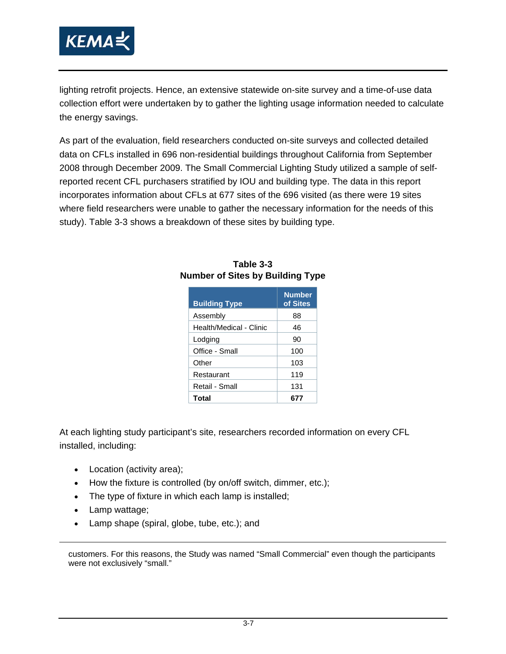<span id="page-17-0"></span>

lighting retrofit projects. Hence, an extensive statewide on-site survey and a time-of-use data collection effort were undertaken by to gather the lighting usage information needed to calculate the energy savings.

<span id="page-17-1"></span>As part of the evaluation, field researchers conducted on-site surveys and collected detailed data on CFLs installed in 696 non-residential buildings throughout California from September 2008 through December 2009. The Small Commercial Lighting Study utilized a sample of selfreported recent CFL purchasers stratified by IOU and building type. The data in this report incorporates information about CFLs at 677 sites of the 696 visited (as there were 19 sites where field researchers were unable to gather the necessary information for the needs of this study). [Table 3-3](#page-17-1) shows a breakdown of these sites by building type.

| <b>Building Type</b>    | <b>Number</b><br>of Sites |
|-------------------------|---------------------------|
| Assembly                | 88                        |
| Health/Medical - Clinic | 46                        |
| Lodging                 | 90                        |
| Office - Small          | 100                       |
| Other                   | 103                       |
| Restaurant              | 119                       |
| Retail - Small          | 131                       |
| Total                   |                           |

#### **Table 3-3 Number of Sites by Building Type**

At each lighting study participant's site, researchers recorded information on every CFL installed, including:

- Location (activity area);
- How the fixture is controlled (by on/off switch, dimmer, etc.);
- The type of fixture in which each lamp is installed;
- Lamp wattage;

-

• Lamp shape (spiral, globe, tube, etc.); and

customers. For this reasons, the Study was named "Small Commercial" even though the participants were not exclusively "small."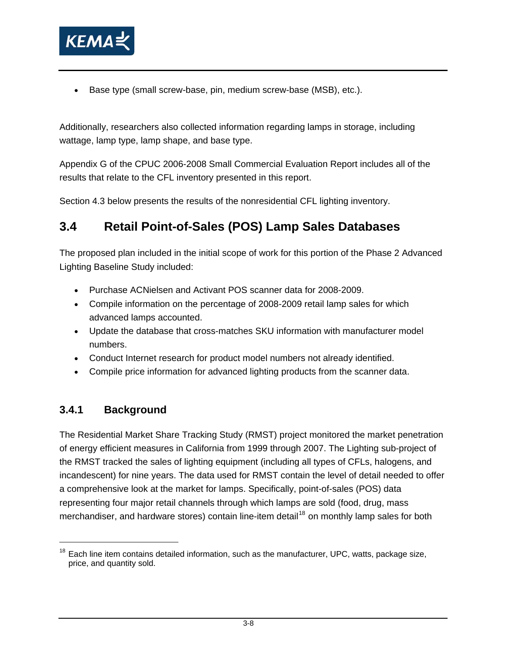<span id="page-18-0"></span>

• Base type (small screw-base, pin, medium screw-base (MSB), etc.).

Additionally, researchers also collected information regarding lamps in storage, including wattage, lamp type, lamp shape, and base type.

Appendix G of the CPUC 2006-2008 Small Commercial Evaluation Report includes all of the results that relate to the CFL inventory presented in this report.

Section [4.3](#page-41-1) below presents the results of the nonresidential CFL lighting inventory.

### **3.4 Retail Point-of-Sales (POS) Lamp Sales Databases**

The proposed plan included in the initial scope of work for this portion of the Phase 2 Advanced Lighting Baseline Study included:

- Purchase ACNielsen and Activant POS scanner data for 2008-2009.
- Compile information on the percentage of 2008-2009 retail lamp sales for which advanced lamps accounted.
- Update the database that cross-matches SKU information with manufacturer model numbers.
- Conduct Internet research for product model numbers not already identified.
- Compile price information for advanced lighting products from the scanner data.

#### **3.4.1 Background**

The Residential Market Share Tracking Study (RMST) project monitored the market penetration of energy efficient measures in California from 1999 through 2007. The Lighting sub-project of the RMST tracked the sales of lighting equipment (including all types of CFLs, halogens, and incandescent) for nine years. The data used for RMST contain the level of detail needed to offer a comprehensive look at the market for lamps. Specifically, point-of-sales (POS) data representing four major retail channels through which lamps are sold (food, drug, mass merchandiser, and hardware stores) contain line-item detail<sup>[18](#page-18-1)</sup> on monthly lamp sales for both

<span id="page-18-1"></span> $18$  Each line item contains detailed information, such as the manufacturer, UPC, watts, package size, price, and quantity sold.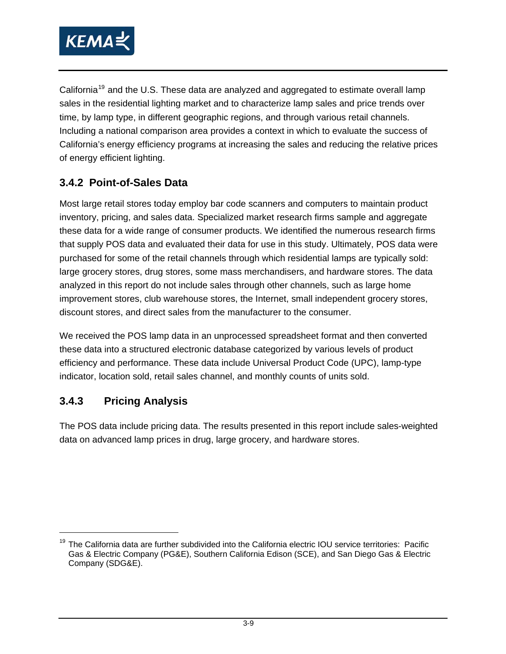<span id="page-19-0"></span>

California<sup>[19](#page-19-1)</sup> and the U.S. These data are analyzed and aggregated to estimate overall lamp sales in the residential lighting market and to characterize lamp sales and price trends over time, by lamp type, in different geographic regions, and through various retail channels. Including a national comparison area provides a context in which to evaluate the success of California's energy efficiency programs at increasing the sales and reducing the relative prices of energy efficient lighting.

#### **3.4.2 Point-of-Sales Data**

Most large retail stores today employ bar code scanners and computers to maintain product inventory, pricing, and sales data. Specialized market research firms sample and aggregate these data for a wide range of consumer products. We identified the numerous research firms that supply POS data and evaluated their data for use in this study. Ultimately, POS data were purchased for some of the retail channels through which residential lamps are typically sold: large grocery stores, drug stores, some mass merchandisers, and hardware stores. The data analyzed in this report do not include sales through other channels, such as large home improvement stores, club warehouse stores, the Internet, small independent grocery stores, discount stores, and direct sales from the manufacturer to the consumer.

We received the POS lamp data in an unprocessed spreadsheet format and then converted these data into a structured electronic database categorized by various levels of product efficiency and performance. These data include Universal Product Code (UPC), lamp-type indicator, location sold, retail sales channel, and monthly counts of units sold.

#### **3.4.3 Pricing Analysis**

The POS data include pricing data. The results presented in this report include sales-weighted data on advanced lamp prices in drug, large grocery, and hardware stores.

<span id="page-19-1"></span><sup>&</sup>lt;sup>19</sup> The California data are further subdivided into the California electric IOU service territories: Pacific Gas & Electric Company (PG&E), Southern California Edison (SCE), and San Diego Gas & Electric Company (SDG&E).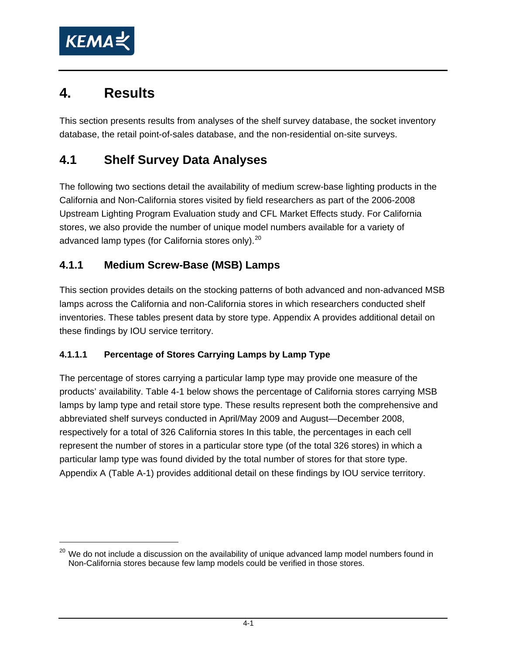<span id="page-20-0"></span>

## **4. Results**

This section presents results from analyses of the shelf survey database, the socket inventory database, the retail point-of-sales database, and the non-residential on-site surveys.

## **4.1 Shelf Survey Data Analyses**

The following two sections detail the availability of medium screw-base lighting products in the California and Non-California stores visited by field researchers as part of the 2006-2008 Upstream Lighting Program Evaluation study and CFL Market Effects study. For California stores, we also provide the number of unique model numbers available for a variety of advanced lamp types (for California stores only).<sup>[20](#page-20-1)</sup>

#### <span id="page-20-2"></span>**4.1.1 Medium Screw-Base (MSB) Lamps**

This section provides details on the stocking patterns of both advanced and non-advanced MSB lamps across the California and non-California stores in which researchers conducted shelf inventories. These tables present data by store type. Appendix A provides additional detail on these findings by IOU service territory.

#### **4.1.1.1 Percentage of Stores Carrying Lamps by Lamp Type**

The percentage of stores carrying a particular lamp type may provide one measure of the products' availability. [Table 4-1](#page-23-1) below shows the percentage of California stores carrying MSB lamps by lamp type and retail store type. These results represent both the comprehensive and abbreviated shelf surveys conducted in April/May 2009 and August—December 2008, respectively for a total of 326 California stores In this table, the percentages in each cell represent the number of stores in a particular store type (of the total 326 stores) in which a particular lamp type was found divided by the total number of stores for that store type. Appendix A (Table A-1) provides additional detail on these findings by IOU service territory.

<span id="page-20-1"></span> $20$  We do not include a discussion on the availability of unique advanced lamp model numbers found in Non-California stores because few lamp models could be verified in those stores.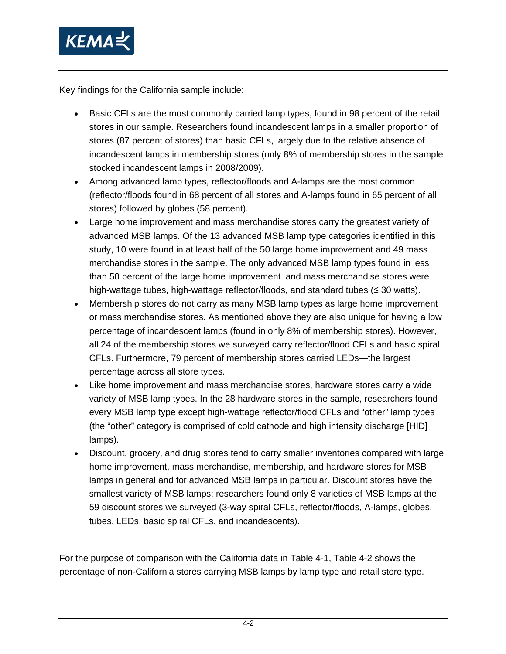

Key findings for the California sample include:

- Basic CFLs are the most commonly carried lamp types, found in 98 percent of the retail stores in our sample. Researchers found incandescent lamps in a smaller proportion of stores (87 percent of stores) than basic CFLs, largely due to the relative absence of incandescent lamps in membership stores (only 8% of membership stores in the sample stocked incandescent lamps in 2008/2009).
- Among advanced lamp types, reflector/floods and A-lamps are the most common (reflector/floods found in 68 percent of all stores and A-lamps found in 65 percent of all stores) followed by globes (58 percent).
- Large home improvement and mass merchandise stores carry the greatest variety of advanced MSB lamps. Of the 13 advanced MSB lamp type categories identified in this study, 10 were found in at least half of the 50 large home improvement and 49 mass merchandise stores in the sample. The only advanced MSB lamp types found in less than 50 percent of the large home improvement and mass merchandise stores were high-wattage tubes, high-wattage reflector/floods, and standard tubes (≤ 30 watts).
- Membership stores do not carry as many MSB lamp types as large home improvement or mass merchandise stores. As mentioned above they are also unique for having a low percentage of incandescent lamps (found in only 8% of membership stores). However, all 24 of the membership stores we surveyed carry reflector/flood CFLs and basic spiral CFLs. Furthermore, 79 percent of membership stores carried LEDs—the largest percentage across all store types.
- Like home improvement and mass merchandise stores, hardware stores carry a wide variety of MSB lamp types. In the 28 hardware stores in the sample, researchers found every MSB lamp type except high-wattage reflector/flood CFLs and "other" lamp types (the "other" category is comprised of cold cathode and high intensity discharge [HID] lamps).
- Discount, grocery, and drug stores tend to carry smaller inventories compared with large home improvement, mass merchandise, membership, and hardware stores for MSB lamps in general and for advanced MSB lamps in particular. Discount stores have the smallest variety of MSB lamps: researchers found only 8 varieties of MSB lamps at the 59 discount stores we surveyed (3-way spiral CFLs, reflector/floods, A-lamps, globes, tubes, LEDs, basic spiral CFLs, and incandescents).

For the purpose of comparison with the California data in Table 4-1, [Table 4-2](#page-24-1) shows the percentage of non-California stores carrying MSB lamps by lamp type and retail store type.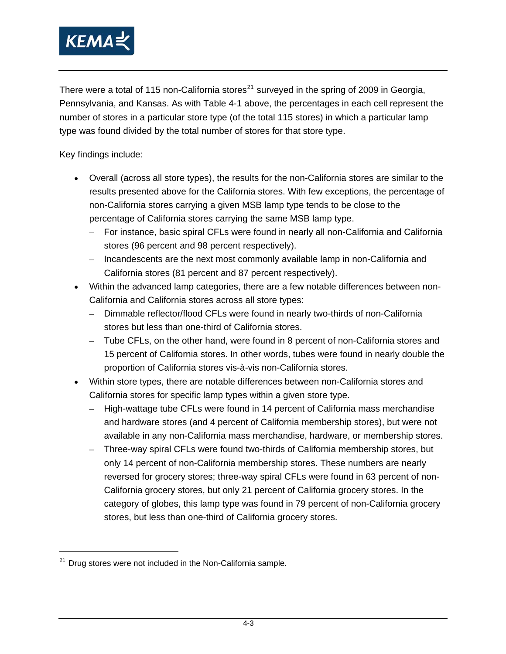

There were a total of 115 non-California stores<sup>[21](#page-22-0)</sup> surveyed in the spring of 2009 in Georgia, Pennsylvania, and Kansas. As with [Table 4-1](#page-23-1) above, the percentages in each cell represent the number of stores in a particular store type (of the total 115 stores) in which a particular lamp type was found divided by the total number of stores for that store type.

Key findings include:

- Overall (across all store types), the results for the non-California stores are similar to the results presented above for the California stores. With few exceptions, the percentage of non-California stores carrying a given MSB lamp type tends to be close to the percentage of California stores carrying the same MSB lamp type.
	- For instance, basic spiral CFLs were found in nearly all non-California and California stores (96 percent and 98 percent respectively).
	- Incandescents are the next most commonly available lamp in non-California and California stores (81 percent and 87 percent respectively).
- Within the advanced lamp categories, there are a few notable differences between non-California and California stores across all store types:
	- Dimmable reflector/flood CFLs were found in nearly two-thirds of non-California stores but less than one-third of California stores.
	- Tube CFLs, on the other hand, were found in 8 percent of non-California stores and 15 percent of California stores. In other words, tubes were found in nearly double the proportion of California stores vis-à-vis non-California stores.
- Within store types, there are notable differences between non-California stores and California stores for specific lamp types within a given store type.
	- High-wattage tube CFLs were found in 14 percent of California mass merchandise and hardware stores (and 4 percent of California membership stores), but were not available in any non-California mass merchandise, hardware, or membership stores.
	- Three-way spiral CFLs were found two-thirds of California membership stores, but only 14 percent of non-California membership stores. These numbers are nearly reversed for grocery stores; three-way spiral CFLs were found in 63 percent of non-California grocery stores, but only 21 percent of California grocery stores. In the category of globes, this lamp type was found in 79 percent of non-California grocery stores, but less than one-third of California grocery stores.

-

<span id="page-22-0"></span> $21$  Drug stores were not included in the Non-California sample.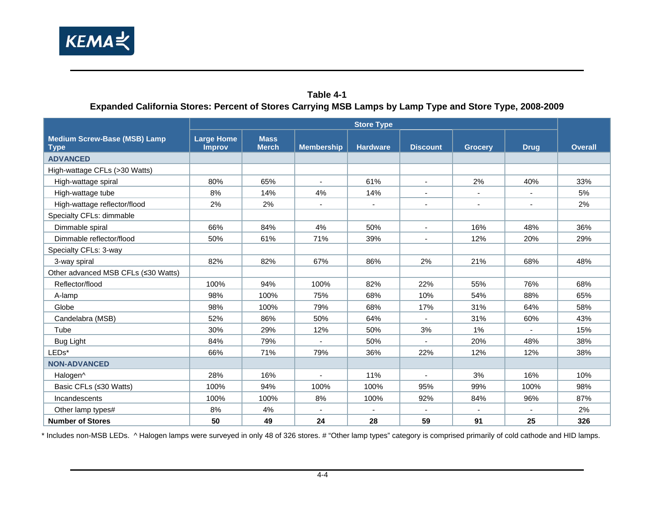

#### **Table 4-1 Expanded California Stores: Percent of Stores Carrying MSB Lamps by Lamp Type and Store Type, 2008-2009**

|                                                    | <b>Store Type</b>                  |                             |                          |                 |                 |                |                |                |
|----------------------------------------------------|------------------------------------|-----------------------------|--------------------------|-----------------|-----------------|----------------|----------------|----------------|
| <b>Medium Screw-Base (MSB) Lamp</b><br><b>Type</b> | <b>Large Home</b><br><b>Improv</b> | <b>Mass</b><br><b>Merch</b> | <b>Membership</b>        | <b>Hardware</b> | <b>Discount</b> | <b>Grocery</b> | <b>Drug</b>    | <b>Overall</b> |
| <b>ADVANCED</b>                                    |                                    |                             |                          |                 |                 |                |                |                |
| High-wattage CFLs (>30 Watts)                      |                                    |                             |                          |                 |                 |                |                |                |
| High-wattage spiral                                | 80%                                | 65%                         |                          | 61%             | $\blacksquare$  | 2%             | 40%            | 33%            |
| High-wattage tube                                  | 8%                                 | 14%                         | 4%                       | 14%             | $\blacksquare$  | $\blacksquare$ | $\blacksquare$ | 5%             |
| High-wattage reflector/flood                       | 2%                                 | 2%                          | $\overline{\phantom{a}}$ | $\blacksquare$  | $\blacksquare$  | $\blacksquare$ | $\blacksquare$ | 2%             |
| Specialty CFLs: dimmable                           |                                    |                             |                          |                 |                 |                |                |                |
| Dimmable spiral                                    | 66%                                | 84%                         | 4%                       | 50%             | $\sim$          | 16%            | 48%            | 36%            |
| Dimmable reflector/flood                           | 50%                                | 61%                         | 71%                      | 39%             | $\blacksquare$  | 12%            | 20%            | 29%            |
| Specialty CFLs: 3-way                              |                                    |                             |                          |                 |                 |                |                |                |
| 3-way spiral                                       | 82%                                | 82%                         | 67%                      | 86%             | 2%              | 21%            | 68%            | 48%            |
| Other advanced MSB CFLs (≤30 Watts)                |                                    |                             |                          |                 |                 |                |                |                |
| Reflector/flood                                    | 100%                               | 94%                         | 100%                     | 82%             | 22%             | 55%            | 76%            | 68%            |
| A-lamp                                             | 98%                                | 100%                        | 75%                      | 68%             | 10%             | 54%            | 88%            | 65%            |
| Globe                                              | 98%                                | 100%                        | 79%                      | 68%             | 17%             | 31%            | 64%            | 58%            |
| Candelabra (MSB)                                   | 52%                                | 86%                         | 50%                      | 64%             | $\blacksquare$  | 31%            | 60%            | 43%            |
| Tube                                               | 30%                                | 29%                         | 12%                      | 50%             | 3%              | 1%             | $\sim$         | 15%            |
| Bug Light                                          | 84%                                | 79%                         | $\overline{\phantom{a}}$ | 50%             | $\blacksquare$  | 20%            | 48%            | 38%            |
| LEDs*                                              | 66%                                | 71%                         | 79%                      | 36%             | 22%             | 12%            | 12%            | 38%            |
| <b>NON-ADVANCED</b>                                |                                    |                             |                          |                 |                 |                |                |                |
| Halogen^                                           | 28%                                | 16%                         | $\overline{a}$           | 11%             | $\overline{a}$  | 3%             | 16%            | 10%            |
| Basic CFLs (≤30 Watts)                             | 100%                               | 94%                         | 100%                     | 100%            | 95%             | 99%            | 100%           | 98%            |
| Incandescents                                      | 100%                               | 100%                        | 8%                       | 100%            | 92%             | 84%            | 96%            | 87%            |
| Other lamp types#                                  | 8%                                 | 4%                          |                          |                 |                 |                |                | 2%             |
| <b>Number of Stores</b>                            | 50                                 | 49                          | 24                       | 28              | 59              | 91             | 25             | 326            |

<span id="page-23-1"></span><span id="page-23-0"></span>\* Includes non-MSB LEDs. ^ Halogen lamps were surveyed in only 48 of 326 stores. # "Other lamp types" category is comprised primarily of cold cathode and HID lamps.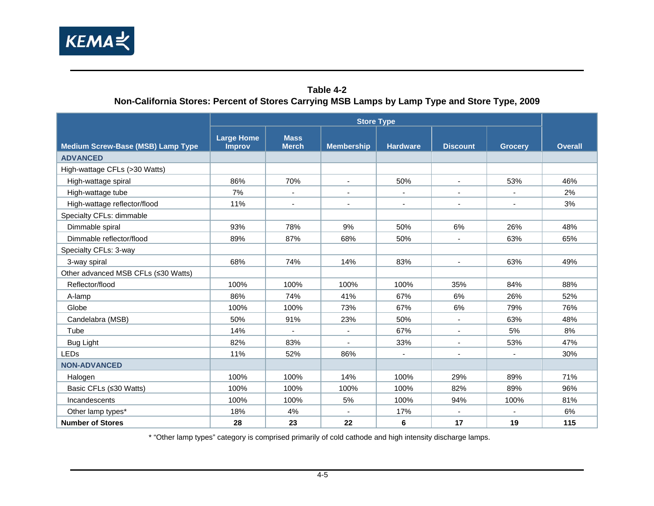

#### **Table 4-2 Non-California Stores: Percent of Stores Carrying MSB Lamps by Lamp Type and Store Type, 2009**

<span id="page-24-1"></span><span id="page-24-0"></span>

|                                          | <b>Store Type</b>                  |                             |                          |                 |                          |                          |                |
|------------------------------------------|------------------------------------|-----------------------------|--------------------------|-----------------|--------------------------|--------------------------|----------------|
| <b>Medium Screw-Base (MSB) Lamp Type</b> | <b>Large Home</b><br><b>Improv</b> | <b>Mass</b><br><b>Merch</b> | <b>Membership</b>        | <b>Hardware</b> | <b>Discount</b>          | <b>Grocery</b>           | <b>Overall</b> |
| <b>ADVANCED</b>                          |                                    |                             |                          |                 |                          |                          |                |
| High-wattage CFLs (>30 Watts)            |                                    |                             |                          |                 |                          |                          |                |
| High-wattage spiral                      | 86%                                | 70%                         | $\overline{\phantom{a}}$ | 50%             | $\blacksquare$           | 53%                      | 46%            |
| High-wattage tube                        | 7%                                 |                             | $\blacksquare$           |                 |                          |                          | 2%             |
| High-wattage reflector/flood             | 11%                                |                             | $\blacksquare$           | $\blacksquare$  | $\blacksquare$           | $\blacksquare$           | 3%             |
| Specialty CFLs: dimmable                 |                                    |                             |                          |                 |                          |                          |                |
| Dimmable spiral                          | 93%                                | 78%                         | 9%                       | 50%             | 6%                       | 26%                      | 48%            |
| Dimmable reflector/flood                 | 89%                                | 87%                         | 68%                      | 50%             |                          | 63%                      | 65%            |
| Specialty CFLs: 3-way                    |                                    |                             |                          |                 |                          |                          |                |
| 3-way spiral                             | 68%                                | 74%                         | 14%                      | 83%             | $\sim$                   | 63%                      | 49%            |
| Other advanced MSB CFLs (≤30 Watts)      |                                    |                             |                          |                 |                          |                          |                |
| Reflector/flood                          | 100%                               | 100%                        | 100%                     | 100%            | 35%                      | 84%                      | 88%            |
| A-lamp                                   | 86%                                | 74%                         | 41%                      | 67%             | 6%                       | 26%                      | 52%            |
| Globe                                    | 100%                               | 100%                        | 73%                      | 67%             | 6%                       | 79%                      | 76%            |
| Candelabra (MSB)                         | 50%                                | 91%                         | 23%                      | 50%             |                          | 63%                      | 48%            |
| Tube                                     | 14%                                |                             | $\blacksquare$           | 67%             |                          | 5%                       | 8%             |
| Bug Light                                | 82%                                | 83%                         |                          | 33%             |                          | 53%                      | 47%            |
| <b>LEDs</b>                              | 11%                                | 52%                         | 86%                      | $\blacksquare$  | $\overline{\phantom{a}}$ | $\overline{\phantom{a}}$ | 30%            |
| <b>NON-ADVANCED</b>                      |                                    |                             |                          |                 |                          |                          |                |
| Halogen                                  | 100%                               | 100%                        | 14%                      | 100%            | 29%                      | 89%                      | 71%            |
| Basic CFLs (≤30 Watts)                   | 100%                               | 100%                        | 100%                     | 100%            | 82%                      | 89%                      | 96%            |
| Incandescents                            | 100%                               | 100%                        | 5%                       | 100%            | 94%                      | 100%                     | 81%            |
| Other lamp types*                        | 18%                                | 4%                          |                          | 17%             |                          |                          | 6%             |
| <b>Number of Stores</b>                  | 28                                 | 23                          | 22                       | 6               | 17                       | 19                       | 115            |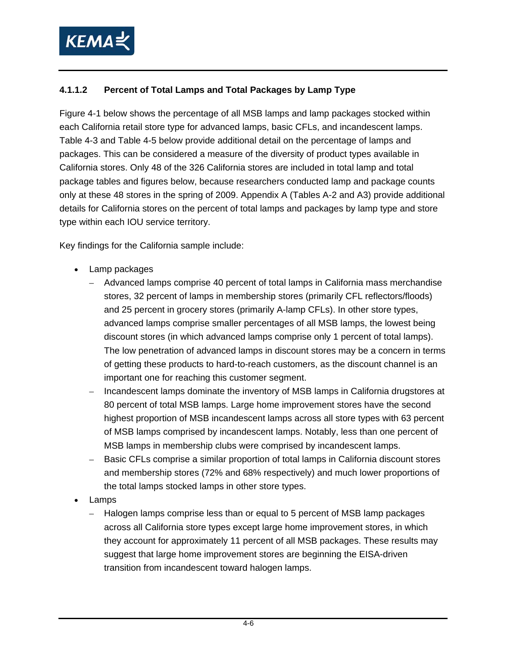

#### **4.1.1.2 Percent of Total Lamps and Total Packages by Lamp Type**

[Figure 4-1](#page-28-1) below shows the percentage of all MSB lamps and lamp packages stocked within each California retail store type for advanced lamps, basic CFLs, and incandescent lamps. [Table 4-3](#page-30-1) and [Table 4-5](#page-32-1) below provide additional detail on the percentage of lamps and packages. This can be considered a measure of the diversity of product types available in California stores. Only 48 of the 326 California stores are included in total lamp and total package tables and figures below, because researchers conducted lamp and package counts only at these 48 stores in the spring of 2009. Appendix A (Tables A-2 and A3) provide additional details for California stores on the percent of total lamps and packages by lamp type and store type within each IOU service territory.

Key findings for the California sample include:

- Lamp packages
	- Advanced lamps comprise 40 percent of total lamps in California mass merchandise stores, 32 percent of lamps in membership stores (primarily CFL reflectors/floods) and 25 percent in grocery stores (primarily A-lamp CFLs). In other store types, advanced lamps comprise smaller percentages of all MSB lamps, the lowest being discount stores (in which advanced lamps comprise only 1 percent of total lamps). The low penetration of advanced lamps in discount stores may be a concern in terms of getting these products to hard-to-reach customers, as the discount channel is an important one for reaching this customer segment.
	- Incandescent lamps dominate the inventory of MSB lamps in California drugstores at 80 percent of total MSB lamps. Large home improvement stores have the second highest proportion of MSB incandescent lamps across all store types with 63 percent of MSB lamps comprised by incandescent lamps. Notably, less than one percent of MSB lamps in membership clubs were comprised by incandescent lamps.
	- Basic CFLs comprise a similar proportion of total lamps in California discount stores and membership stores (72% and 68% respectively) and much lower proportions of the total lamps stocked lamps in other store types.
- Lamps
	- Halogen lamps comprise less than or equal to 5 percent of MSB lamp packages across all California store types except large home improvement stores, in which they account for approximately 11 percent of all MSB packages. These results may suggest that large home improvement stores are beginning the EISA-driven transition from incandescent toward halogen lamps.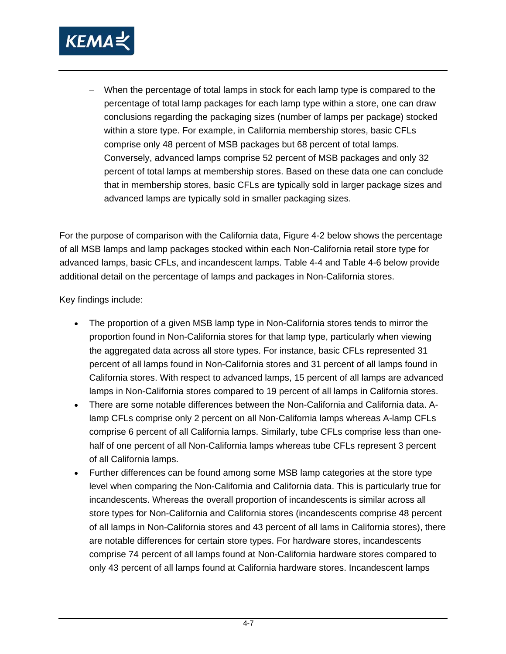

– When the percentage of total lamps in stock for each lamp type is compared to the percentage of total lamp packages for each lamp type within a store, one can draw conclusions regarding the packaging sizes (number of lamps per package) stocked within a store type. For example, in California membership stores, basic CFLs comprise only 48 percent of MSB packages but 68 percent of total lamps. Conversely, advanced lamps comprise 52 percent of MSB packages and only 32 percent of total lamps at membership stores. Based on these data one can conclude that in membership stores, basic CFLs are typically sold in larger package sizes and advanced lamps are typically sold in smaller packaging sizes.

For the purpose of comparison with the California data, [Figure 4-2](#page-29-1) below shows the percentage of all MSB lamps and lamp packages stocked within each Non-California retail store type for advanced lamps, basic CFLs, and incandescent lamps. [Table 4-4](#page-31-1) and [Table 4-6](#page-33-1) below provide additional detail on the percentage of lamps and packages in Non-California stores.

Key findings include:

- The proportion of a given MSB lamp type in Non-California stores tends to mirror the proportion found in Non-California stores for that lamp type, particularly when viewing the aggregated data across all store types. For instance, basic CFLs represented 31 percent of all lamps found in Non-California stores and 31 percent of all lamps found in California stores. With respect to advanced lamps, 15 percent of all lamps are advanced lamps in Non-California stores compared to 19 percent of all lamps in California stores.
- There are some notable differences between the Non-California and California data. Alamp CFLs comprise only 2 percent on all Non-California lamps whereas A-lamp CFLs comprise 6 percent of all California lamps. Similarly, tube CFLs comprise less than onehalf of one percent of all Non-California lamps whereas tube CFLs represent 3 percent of all California lamps.
- Further differences can be found among some MSB lamp categories at the store type level when comparing the Non-California and California data. This is particularly true for incandescents. Whereas the overall proportion of incandescents is similar across all store types for Non-California and California stores (incandescents comprise 48 percent of all lamps in Non-California stores and 43 percent of all lams in California stores), there are notable differences for certain store types. For hardware stores, incandescents comprise 74 percent of all lamps found at Non-California hardware stores compared to only 43 percent of all lamps found at California hardware stores. Incandescent lamps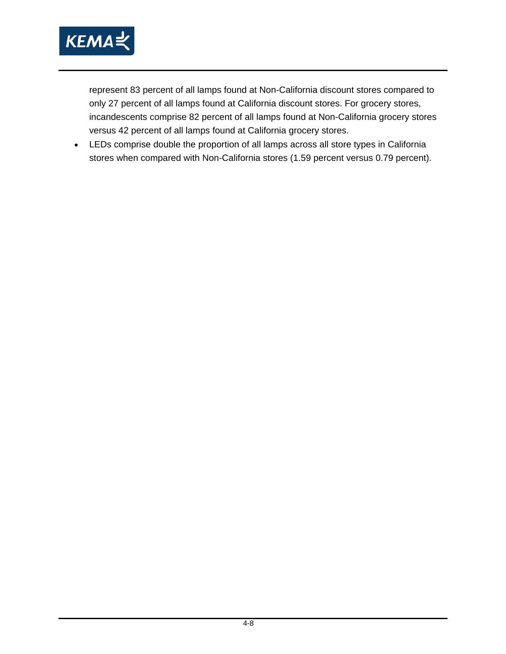

represent 83 percent of all lamps found at Non-California discount stores compared to only 27 percent of all lamps found at California discount stores. For grocery stores, incandescents comprise 82 percent of all lamps found at Non-California grocery stores versus 42 percent of all lamps found at California grocery stores.

• LEDs comprise double the proportion of all lamps across all store types in California stores when compared with Non-California stores (1.59 percent versus 0.79 percent).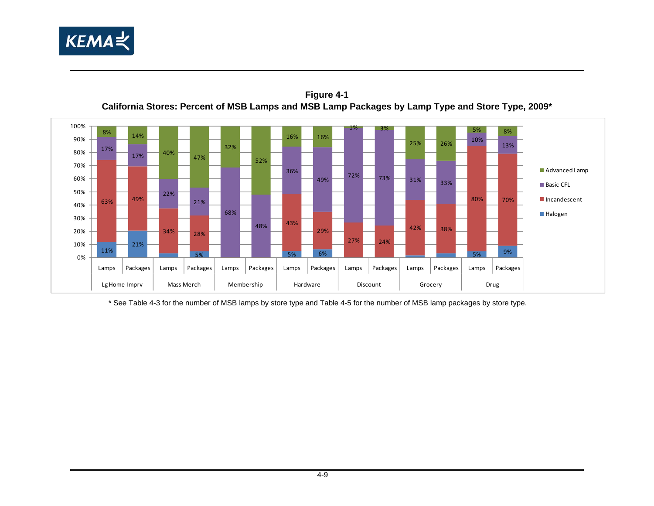

11%

0%10%20% 30%

21%

34%

5%

68%

 $\frac{28}{6}$ 

63% 49% 80% 70%17% 17%22% 21% 36% 49% $\frac{9}{2}$   $\frac{72\%}{2}$  73%  $\frac{1}{33\%}$  31%  $\frac{1}{33\%}$ 33% 10%13%8% $\sim$  14% 40% 47% 32%52%16% 16% 1% 3%25% 26% 5% $\frac{70}{8}$ 40%50%60%70%80% 90%100%Advanced Lamp Basic CFL Incandescent

29%



<span id="page-28-1"></span><span id="page-28-0"></span>\* See [Table 4-3](#page-30-2) for the number of MSB lamps by store type and [Table 4-5](#page-32-2) for the number of MSB lamp packages by store type.

Lamps Packages Lamps Packages Lamps Packages Lamps Packages Lamps Packages Lamps Packages Lamps Packages

LgHome Imprv | Mass Merch | Membership | Hardware | Discount | Grocery | Drug

43%

48%

 $\frac{3}{100}$  5%  $\frac{1}{100}$  5%  $\frac{1}{100}$  5%  $\frac{1}{100}$  5%  $\frac{1}{100}$  5%  $\frac{1}{100}$  5%  $\frac{1}{100}$ 

27%

24%

42%

38%

**Halogen**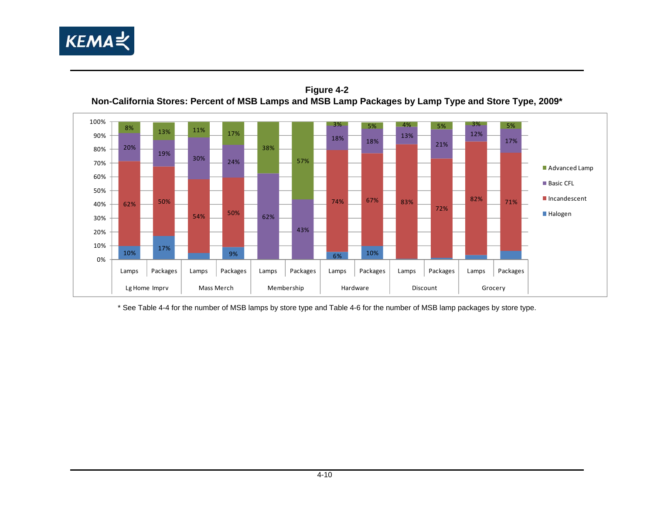

**Figure 4-2 Non-California Stores: Percent of MSB Lamps and MSB Lamp Packages by Lamp Type and Store Type, 2009\*** 



<span id="page-29-1"></span><span id="page-29-0"></span>\* See [Table 4-4](#page-31-2) for the number of MSB lamps by store type and [Table 4-6](#page-33-2) for the number of MSB lamp packages by store type.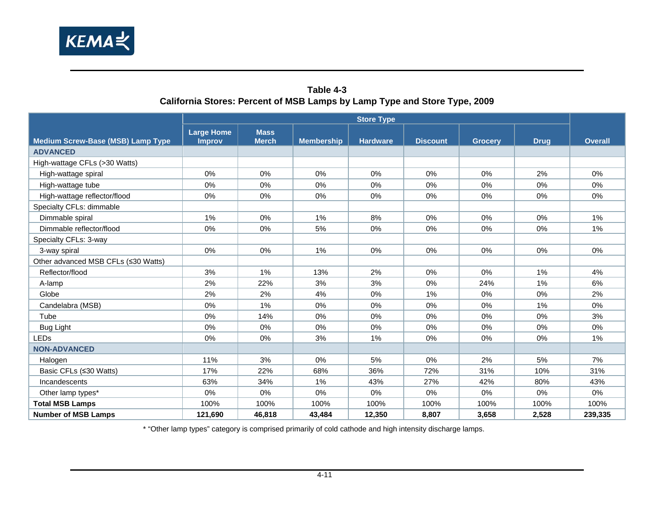

#### **Table 4-3 California Stores: Percent of MSB Lamps by Lamp Type and Store Type, 2009**

<span id="page-30-2"></span><span id="page-30-1"></span><span id="page-30-0"></span>

|                                          | <b>Store Type</b>                  |                             |                   |                 |                 |                |             |                |
|------------------------------------------|------------------------------------|-----------------------------|-------------------|-----------------|-----------------|----------------|-------------|----------------|
| <b>Medium Screw-Base (MSB) Lamp Type</b> | <b>Large Home</b><br><b>Improv</b> | <b>Mass</b><br><b>Merch</b> | <b>Membership</b> | <b>Hardware</b> | <b>Discount</b> | <b>Grocery</b> | <b>Drug</b> | <b>Overall</b> |
| <b>ADVANCED</b>                          |                                    |                             |                   |                 |                 |                |             |                |
| High-wattage CFLs (>30 Watts)            |                                    |                             |                   |                 |                 |                |             |                |
| High-wattage spiral                      | 0%                                 | 0%                          | 0%                | 0%              | 0%              | 0%             | 2%          | 0%             |
| High-wattage tube                        | 0%                                 | 0%                          | 0%                | 0%              | 0%              | 0%             | $0\%$       | 0%             |
| High-wattage reflector/flood             | 0%                                 | 0%                          | 0%                | 0%              | 0%              | 0%             | 0%          | 0%             |
| Specialty CFLs: dimmable                 |                                    |                             |                   |                 |                 |                |             |                |
| Dimmable spiral                          | 1%                                 | 0%                          | $1\%$             | 8%              | 0%              | 0%             | 0%          | $1\%$          |
| Dimmable reflector/flood                 | 0%                                 | 0%                          | 5%                | 0%              | 0%              | 0%             | 0%          | 1%             |
| Specialty CFLs: 3-way                    |                                    |                             |                   |                 |                 |                |             |                |
| 3-way spiral                             | 0%                                 | 0%                          | $1\%$             | 0%              | 0%              | 0%             | $0\%$       | 0%             |
| Other advanced MSB CFLs (≤30 Watts)      |                                    |                             |                   |                 |                 |                |             |                |
| Reflector/flood                          | 3%                                 | 1%                          | 13%               | 2%              | 0%              | 0%             | 1%          | 4%             |
| A-lamp                                   | 2%                                 | 22%                         | 3%                | 3%              | $0\%$           | 24%            | 1%          | 6%             |
| Globe                                    | 2%                                 | 2%                          | 4%                | 0%              | 1%              | 0%             | 0%          | 2%             |
| Candelabra (MSB)                         | 0%                                 | 1%                          | 0%                | 0%              | 0%              | 0%             | 1%          | 0%             |
| Tube                                     | 0%                                 | 14%                         | 0%                | 0%              | $0\%$           | 0%             | $0\%$       | 3%             |
| <b>Bug Light</b>                         | 0%                                 | 0%                          | 0%                | 0%              | 0%              | 0%             | 0%          | 0%             |
| <b>LEDs</b>                              | 0%                                 | 0%                          | 3%                | 1%              | 0%              | 0%             | 0%          | 1%             |
| <b>NON-ADVANCED</b>                      |                                    |                             |                   |                 |                 |                |             |                |
| Halogen                                  | 11%                                | 3%                          | 0%                | 5%              | 0%              | 2%             | 5%          | 7%             |
| Basic CFLs (≤30 Watts)                   | 17%                                | 22%                         | 68%               | 36%             | 72%             | 31%            | 10%         | 31%            |
| Incandescents                            | 63%                                | 34%                         | 1%                | 43%             | 27%             | 42%            | 80%         | 43%            |
| Other lamp types*                        | 0%                                 | 0%                          | 0%                | 0%              | 0%              | 0%             | $0\%$       | 0%             |
| <b>Total MSB Lamps</b>                   | 100%                               | 100%                        | 100%              | 100%            | 100%            | 100%           | 100%        | 100%           |
| <b>Number of MSB Lamps</b>               | 121,690                            | 46,818                      | 43,484            | 12,350          | 8,807           | 3,658          | 2,528       | 239,335        |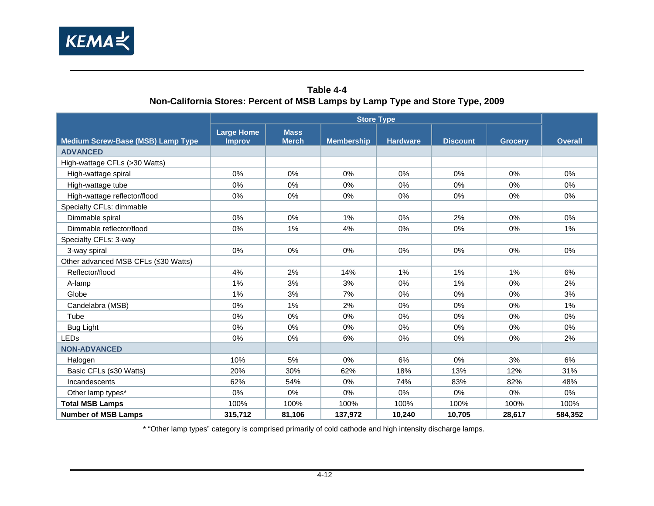

#### **Table 4-4 Non-California Stores: Percent of MSB Lamps by Lamp Type and Store Type, 2009**

<span id="page-31-2"></span><span id="page-31-1"></span><span id="page-31-0"></span>

|                                          | <b>Store Type</b>                  |                             |                   |                 |                 |                |                |  |
|------------------------------------------|------------------------------------|-----------------------------|-------------------|-----------------|-----------------|----------------|----------------|--|
| <b>Medium Screw-Base (MSB) Lamp Type</b> | <b>Large Home</b><br><b>Improv</b> | <b>Mass</b><br><b>Merch</b> | <b>Membership</b> | <b>Hardware</b> | <b>Discount</b> | <b>Grocery</b> | <b>Overall</b> |  |
| <b>ADVANCED</b>                          |                                    |                             |                   |                 |                 |                |                |  |
| High-wattage CFLs (>30 Watts)            |                                    |                             |                   |                 |                 |                |                |  |
| High-wattage spiral                      | 0%                                 | 0%                          | $0\%$             | $0\%$           | 0%              | $0\%$          | 0%             |  |
| High-wattage tube                        | $0\%$                              | 0%                          | $0\%$             | $0\%$           | 0%              | 0%             | $0\%$          |  |
| High-wattage reflector/flood             | 0%                                 | 0%                          | 0%                | 0%              | $0\%$           | 0%             | 0%             |  |
| Specialty CFLs: dimmable                 |                                    |                             |                   |                 |                 |                |                |  |
| Dimmable spiral                          | $0\%$                              | 0%                          | 1%                | $0\%$           | 2%              | $0\%$          | $0\%$          |  |
| Dimmable reflector/flood                 | 0%                                 | 1%                          | 4%                | 0%              | $0\%$           | 0%             | 1%             |  |
| Specialty CFLs: 3-way                    |                                    |                             |                   |                 |                 |                |                |  |
| 3-way spiral                             | 0%                                 | 0%                          | $0\%$             | $0\%$           | 0%              | 0%             | 0%             |  |
| Other advanced MSB CFLs (≤30 Watts)      |                                    |                             |                   |                 |                 |                |                |  |
| Reflector/flood                          | 4%                                 | 2%                          | 14%               | 1%              | 1%              | 1%             | 6%             |  |
| A-lamp                                   | 1%                                 | 3%                          | 3%                | $0\%$           | 1%              | 0%             | 2%             |  |
| Globe                                    | 1%                                 | 3%                          | 7%                | 0%              | 0%              | $0\%$          | 3%             |  |
| Candelabra (MSB)                         | 0%                                 | 1%                          | 2%                | $0\%$           | 0%              | 0%             | 1%             |  |
| Tube                                     | $0\%$                              | 0%                          | 0%                | $0\%$           | 0%              | $0\%$          | 0%             |  |
| Bug Light                                | 0%                                 | 0%                          | 0%                | 0%              | 0%              | 0%             | 0%             |  |
| <b>LEDs</b>                              | 0%                                 | 0%                          | 6%                | 0%              | 0%              | 0%             | 2%             |  |
| <b>NON-ADVANCED</b>                      |                                    |                             |                   |                 |                 |                |                |  |
| Halogen                                  | 10%                                | 5%                          | 0%                | 6%              | 0%              | 3%             | 6%             |  |
| Basic CFLs (≤30 Watts)                   | 20%                                | 30%                         | 62%               | 18%             | 13%             | 12%            | 31%            |  |
| Incandescents                            | 62%                                | 54%                         | $0\%$             | 74%             | 83%             | 82%            | 48%            |  |
| Other lamp types*                        | $0\%$                              | 0%                          | 0%                | 0%              | 0%              | $0\%$          | 0%             |  |
| <b>Total MSB Lamps</b>                   | 100%                               | 100%                        | 100%              | 100%            | 100%            | 100%           | 100%           |  |
| <b>Number of MSB Lamps</b>               | 315,712                            | 81,106                      | 137,972           | 10,240          | 10,705          | 28,617         | 584,352        |  |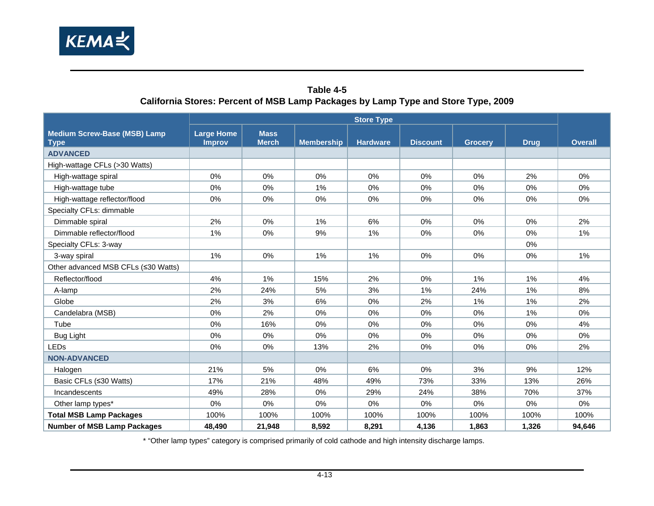

#### **Table 4-5 California Stores: Percent of MSB Lamp Packages by Lamp Type and Store Type, 2009**

<span id="page-32-2"></span><span id="page-32-1"></span><span id="page-32-0"></span>

|                                                    | <b>Store Type</b>                  |                             |                   |                 |                 |                |             |                |
|----------------------------------------------------|------------------------------------|-----------------------------|-------------------|-----------------|-----------------|----------------|-------------|----------------|
| <b>Medium Screw-Base (MSB) Lamp</b><br><b>Type</b> | <b>Large Home</b><br><b>Improv</b> | <b>Mass</b><br><b>Merch</b> | <b>Membership</b> | <b>Hardware</b> | <b>Discount</b> | <b>Grocery</b> | <b>Drug</b> | <b>Overall</b> |
| <b>ADVANCED</b>                                    |                                    |                             |                   |                 |                 |                |             |                |
| High-wattage CFLs (>30 Watts)                      |                                    |                             |                   |                 |                 |                |             |                |
| High-wattage spiral                                | 0%                                 | 0%                          | 0%                | 0%              | 0%              | 0%             | 2%          | 0%             |
| High-wattage tube                                  | 0%                                 | 0%                          | 1%                | 0%              | 0%              | 0%             | 0%          | 0%             |
| High-wattage reflector/flood                       | 0%                                 | 0%                          | 0%                | 0%              | 0%              | 0%             | 0%          | 0%             |
| Specialty CFLs: dimmable                           |                                    |                             |                   |                 |                 |                |             |                |
| Dimmable spiral                                    | 2%                                 | 0%                          | 1%                | 6%              | 0%              | 0%             | 0%          | 2%             |
| Dimmable reflector/flood                           | $1\%$                              | 0%                          | 9%                | 1%              | 0%              | 0%             | 0%          | 1%             |
| Specialty CFLs: 3-way                              |                                    |                             |                   |                 |                 |                | 0%          |                |
| 3-way spiral                                       | 1%                                 | 0%                          | 1%                | 1%              | 0%              | 0%             | $0\%$       | 1%             |
| Other advanced MSB CFLs (≤30 Watts)                |                                    |                             |                   |                 |                 |                |             |                |
| Reflector/flood                                    | 4%                                 | 1%                          | 15%               | 2%              | 0%              | 1%             | 1%          | 4%             |
| A-lamp                                             | 2%                                 | 24%                         | 5%                | 3%              | 1%              | 24%            | 1%          | 8%             |
| Globe                                              | 2%                                 | 3%                          | 6%                | 0%              | 2%              | 1%             | 1%          | 2%             |
| Candelabra (MSB)                                   | 0%                                 | 2%                          | 0%                | $0\%$           | 0%              | 0%             | 1%          | 0%             |
| Tube                                               | 0%                                 | 16%                         | 0%                | 0%              | 0%              | 0%             | 0%          | 4%             |
| <b>Bug Light</b>                                   | 0%                                 | 0%                          | 0%                | 0%              | 0%              | 0%             | $0\%$       | 0%             |
| <b>LEDs</b>                                        | 0%                                 | 0%                          | 13%               | 2%              | 0%              | 0%             | 0%          | 2%             |
| <b>NON-ADVANCED</b>                                |                                    |                             |                   |                 |                 |                |             |                |
| Halogen                                            | 21%                                | 5%                          | 0%                | 6%              | 0%              | 3%             | 9%          | 12%            |
| Basic CFLs (≤30 Watts)                             | 17%                                | 21%                         | 48%               | 49%             | 73%             | 33%            | 13%         | 26%            |
| Incandescents                                      | 49%                                | 28%                         | 0%                | 29%             | 24%             | 38%            | 70%         | 37%            |
| Other lamp types*                                  | $0\%$                              | 0%                          | 0%                | $0\%$           | 0%              | 0%             | 0%          | 0%             |
| <b>Total MSB Lamp Packages</b>                     | 100%                               | 100%                        | 100%              | 100%            | 100%            | 100%           | 100%        | 100%           |
| <b>Number of MSB Lamp Packages</b>                 | 48.490                             | 21.948                      | 8,592             | 8,291           | 4.136           | 1.863          | 1,326       | 94,646         |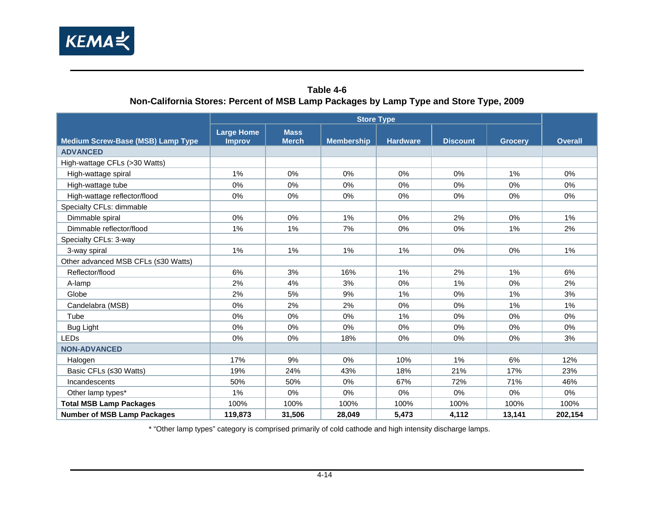

#### **Table 4-6 Non-California Stores: Percent of MSB Lamp Packages by Lamp Type and Store Type, 2009**

<span id="page-33-2"></span><span id="page-33-1"></span><span id="page-33-0"></span>

|                                          | <b>Store Type</b>                  |                             |                   |                 |                 |                |                |  |
|------------------------------------------|------------------------------------|-----------------------------|-------------------|-----------------|-----------------|----------------|----------------|--|
| <b>Medium Screw-Base (MSB) Lamp Type</b> | <b>Large Home</b><br><b>Improv</b> | <b>Mass</b><br><b>Merch</b> | <b>Membership</b> | <b>Hardware</b> | <b>Discount</b> | <b>Grocery</b> | <b>Overall</b> |  |
| <b>ADVANCED</b>                          |                                    |                             |                   |                 |                 |                |                |  |
| High-wattage CFLs (>30 Watts)            |                                    |                             |                   |                 |                 |                |                |  |
| High-wattage spiral                      | 1%                                 | 0%                          | 0%                | 0%              | 0%              | 1%             | 0%             |  |
| High-wattage tube                        | 0%                                 | 0%                          | 0%                | 0%              | 0%              | 0%             | 0%             |  |
| High-wattage reflector/flood             | 0%                                 | 0%                          | 0%                | 0%              | $0\%$           | 0%             | 0%             |  |
| Specialty CFLs: dimmable                 |                                    |                             |                   |                 |                 |                |                |  |
| Dimmable spiral                          | $0\%$                              | 0%                          | $1\%$             | 0%              | 2%              | 0%             | 1%             |  |
| Dimmable reflector/flood                 | 1%                                 | 1%                          | 7%                | 0%              | 0%              | 1%             | 2%             |  |
| Specialty CFLs: 3-way                    |                                    |                             |                   |                 |                 |                |                |  |
| 3-way spiral                             | 1%                                 | 1%                          | $1\%$             | 1%              | 0%              | 0%             | 1%             |  |
| Other advanced MSB CFLs (≤30 Watts)      |                                    |                             |                   |                 |                 |                |                |  |
| Reflector/flood                          | 6%                                 | 3%                          | 16%               | 1%              | 2%              | $1\%$          | 6%             |  |
| A-lamp                                   | 2%                                 | 4%                          | 3%                | 0%              | 1%              | 0%             | 2%             |  |
| Globe                                    | 2%                                 | 5%                          | 9%                | 1%              | $0\%$           | 1%             | 3%             |  |
| Candelabra (MSB)                         | 0%                                 | 2%                          | 2%                | 0%              | 0%              | 1%             | 1%             |  |
| Tube                                     | 0%                                 | 0%                          | $0\%$             | 1%              | 0%              | 0%             | 0%             |  |
| Bug Light                                | $0\%$                              | 0%                          | 0%                | 0%              | 0%              | 0%             | 0%             |  |
| <b>LEDs</b>                              | 0%                                 | 0%                          | 18%               | 0%              | $0\%$           | 0%             | 3%             |  |
| <b>NON-ADVANCED</b>                      |                                    |                             |                   |                 |                 |                |                |  |
| Halogen                                  | 17%                                | 9%                          | 0%                | 10%             | 1%              | 6%             | 12%            |  |
| Basic CFLs (≤30 Watts)                   | 19%                                | 24%                         | 43%               | 18%             | 21%             | 17%            | 23%            |  |
| Incandescents                            | 50%                                | 50%                         | $0\%$             | 67%             | 72%             | 71%            | 46%            |  |
| Other lamp types*                        | 1%                                 | 0%                          | 0%                | 0%              | 0%              | 0%             | $0\%$          |  |
| <b>Total MSB Lamp Packages</b>           | 100%                               | 100%                        | 100%              | 100%            | 100%            | 100%           | 100%           |  |
| <b>Number of MSB Lamp Packages</b>       | 119,873                            | 31,506                      | 28,049            | 5,473           | 4,112           | 13,141         | 202,154        |  |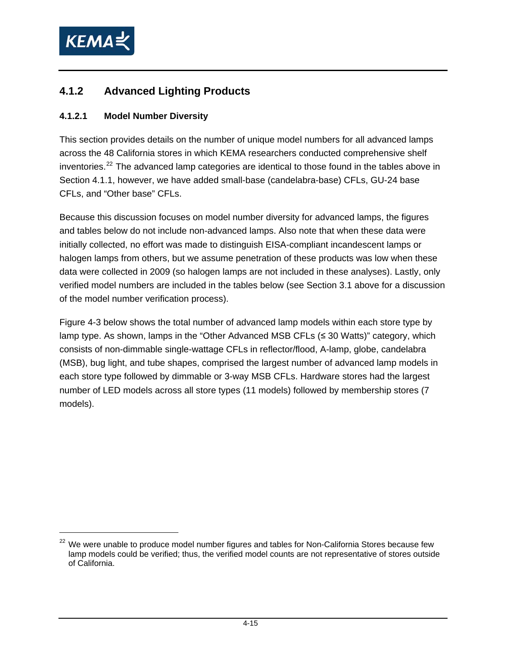<span id="page-34-0"></span>

### **4.1.2 Advanced Lighting Products**

#### **4.1.2.1 Model Number Diversity**

This section provides details on the number of unique model numbers for all advanced lamps across the 48 California stores in which KEMA researchers conducted comprehensive shelf inventories. $22$  The advanced lamp categories are identical to those found in the tables above in Section [4.1.1](#page-20-2), however, we have added small-base (candelabra-base) CFLs, GU-24 base CFLs, and "Other base" CFLs.

Because this discussion focuses on model number diversity for advanced lamps, the figures and tables below do not include non-advanced lamps. Also note that when these data were initially collected, no effort was made to distinguish EISA-compliant incandescent lamps or halogen lamps from others, but we assume penetration of these products was low when these data were collected in 2009 (so halogen lamps are not included in these analyses). Lastly, only verified model numbers are included in the tables below (see Section [3.1](#page-11-5) above for a discussion of the model number verification process).

[Figure 4-3](#page-35-1) below shows the total number of advanced lamp models within each store type by lamp type. As shown, lamps in the "Other Advanced MSB CFLs (≤ 30 Watts)" category, which consists of non-dimmable single-wattage CFLs in reflector/flood, A-lamp, globe, candelabra (MSB), bug light, and tube shapes, comprised the largest number of advanced lamp models in each store type followed by dimmable or 3-way MSB CFLs. Hardware stores had the largest number of LED models across all store types (11 models) followed by membership stores (7 models).

<sup>&</sup>lt;sup>22</sup> We were unable to produce model number figures and tables for Non-California Stores because few lamp models could be verified; thus, the verified model counts are not representative of stores outside of California.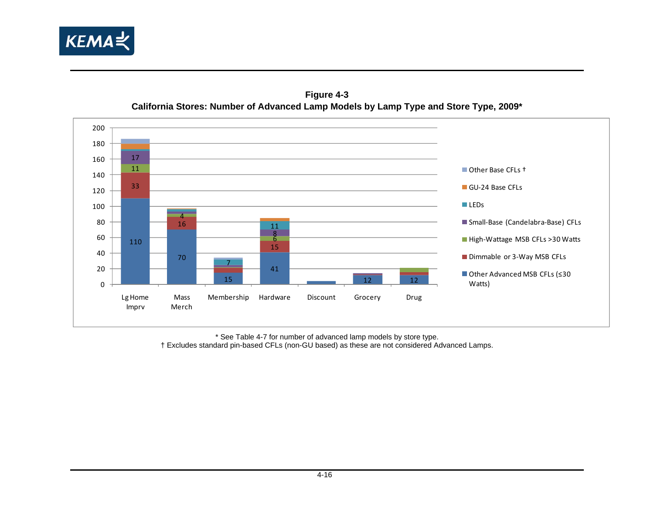





<span id="page-35-1"></span><span id="page-35-0"></span>\* See [Table 4-7](#page-37-1) for number of advanced lamp models by store type. † Excludes standard pin-based CFLs (non-GU based) as these are not considered Advanced Lamps.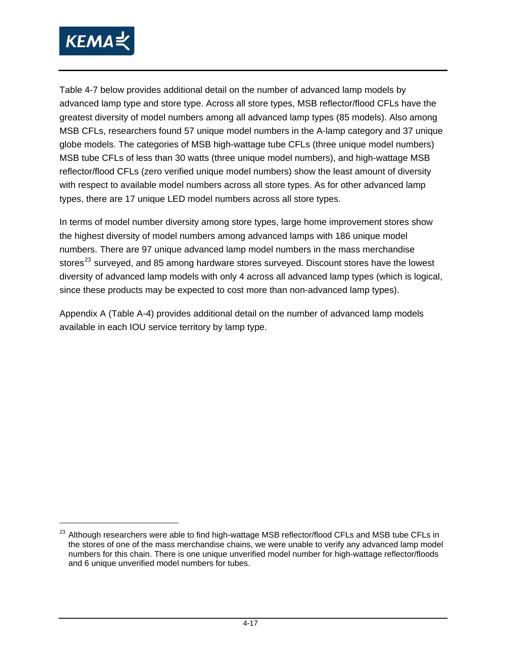<span id="page-36-0"></span>

 $\overline{a}$ 

[Table 4-7](#page-37-0) below provides additional detail on the number of advanced lamp models by advanced lamp type and store type. Across all store types, MSB reflector/flood CFLs have the greatest diversity of model numbers among all advanced lamp types (85 models). Also among MSB CFLs, researchers found 57 unique model numbers in the A-lamp category and 37 unique globe models. The categories of MSB high-wattage tube CFLs (three unique model numbers) MSB tube CFLs of less than 30 watts (three unique model numbers), and high-wattage MSB reflector/flood CFLs (zero verified unique model numbers) show the least amount of diversity with respect to available model numbers across all store types. As for other advanced lamp types, there are 17 unique LED model numbers across all store types.

In terms of model number diversity among store types, large home improvement stores show the highest diversity of model numbers among advanced lamps with 186 unique model numbers. There are 97 unique advanced lamp model numbers in the mass merchandise stores<sup>[23](#page-36-0)</sup> surveyed, and 85 among hardware stores surveyed. Discount stores have the lowest diversity of advanced lamp models with only 4 across all advanced lamp types (which is logical, since these products may be expected to cost more than non-advanced lamp types).

Appendix A (Table A-4) provides additional detail on the number of advanced lamp models available in each IOU service territory by lamp type.

<sup>&</sup>lt;sup>23</sup> Although researchers were able to find high-wattage MSB reflector/flood CFLs and MSB tube CFLs in the stores of one of the mass merchandise chains, we were unable to verify any advanced lamp model numbers for this chain. There is one unique unverified model number for high-wattage reflector/floods and 6 unique unverified model numbers for tubes.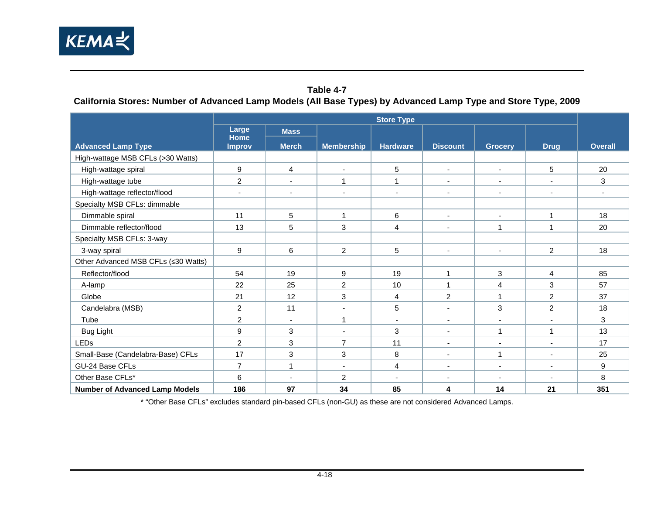

#### **Table 4-7**

**California Stores: Number of Advanced Lamp Models (All Base Types) by Advanced Lamp Type and Store Type, 2009** 

|                                       |                          |                |                          | <b>Store Type</b>        |                          |                          |                          |                |
|---------------------------------------|--------------------------|----------------|--------------------------|--------------------------|--------------------------|--------------------------|--------------------------|----------------|
|                                       | Large<br><b>Home</b>     | <b>Mass</b>    |                          |                          |                          |                          |                          |                |
| <b>Advanced Lamp Type</b>             | <b>Improv</b>            | <b>Merch</b>   | <b>Membership</b>        | <b>Hardware</b>          | <b>Discount</b>          | <b>Grocery</b>           | <b>Drug</b>              | <b>Overall</b> |
| High-wattage MSB CFLs (>30 Watts)     |                          |                |                          |                          |                          |                          |                          |                |
| High-wattage spiral                   | 9                        | $\overline{4}$ | $\blacksquare$           | 5                        | $\blacksquare$           | $\blacksquare$           | 5                        | 20             |
| High-wattage tube                     | $\overline{2}$           | $\blacksquare$ | $\mathbf 1$              | $\mathbf{1}$             | $\overline{\phantom{a}}$ | $\overline{\phantom{a}}$ | $\overline{\phantom{a}}$ | 3              |
| High-wattage reflector/flood          | $\overline{\phantom{a}}$ | $\blacksquare$ | $\overline{\phantom{a}}$ | $\overline{\phantom{a}}$ | $\overline{\phantom{a}}$ | $\sim$                   | $\overline{\phantom{a}}$ | $\blacksquare$ |
| Specialty MSB CFLs: dimmable          |                          |                |                          |                          |                          |                          |                          |                |
| Dimmable spiral                       | 11                       | 5              | $\mathbf{1}$             | 6                        | $\sim$                   | $\blacksquare$           | 1                        | 18             |
| Dimmable reflector/flood              | 13                       | 5              | 3                        | $\overline{4}$           | $\overline{\phantom{a}}$ | 1                        | 1                        | 20             |
| Specialty MSB CFLs: 3-way             |                          |                |                          |                          |                          |                          |                          |                |
| 3-way spiral                          | 9                        | 6              | $\overline{2}$           | 5                        | $\mathbf{r}$             | $\mathbf{r}$             | $\overline{a}$           | 18             |
| Other Advanced MSB CFLs (≤30 Watts)   |                          |                |                          |                          |                          |                          |                          |                |
| Reflector/flood                       | 54                       | 19             | 9                        | 19                       | $\mathbf{1}$             | 3                        | 4                        | 85             |
| A-lamp                                | 22                       | 25             | $\overline{c}$           | 10                       | 1                        | $\overline{4}$           | 3                        | 57             |
| Globe                                 | 21                       | 12             | 3                        | 4                        | $\overline{2}$           | 1                        | $\overline{2}$           | 37             |
| Candelabra (MSB)                      | $\overline{c}$           | 11             | $\blacksquare$           | 5                        | $\overline{\phantom{a}}$ | 3                        | $\overline{2}$           | 18             |
| Tube                                  | $\overline{2}$           | $\blacksquare$ | $\mathbf 1$              | ٠                        | $\overline{\phantom{a}}$ | $\overline{\phantom{a}}$ |                          | 3              |
| <b>Bug Light</b>                      | $\boldsymbol{9}$         | 3              | $\overline{\phantom{a}}$ | 3                        | $\overline{\phantom{a}}$ | 1                        | 1                        | 13             |
| <b>LEDs</b>                           | $\overline{2}$           | 3              | $\overline{7}$           | 11                       | $\blacksquare$           | $\blacksquare$           | $\blacksquare$           | 17             |
| Small-Base (Candelabra-Base) CFLs     | 17                       | 3              | 3                        | 8                        | $\blacksquare$           | 1                        | $\overline{\phantom{a}}$ | 25             |
| GU-24 Base CFLs                       | $\overline{7}$           | $\overline{ }$ | $\blacksquare$           | 4                        | $\overline{\phantom{a}}$ | $\overline{\phantom{a}}$ | $\overline{\phantom{a}}$ | 9              |
| Other Base CFLs*                      | 6                        | $\sim$         | $\overline{c}$           | $\overline{\phantom{a}}$ | $\sim$                   | $\overline{\phantom{a}}$ | $\sim$                   | 8              |
| <b>Number of Advanced Lamp Models</b> | 186                      | 97             | 34                       | 85                       | 4                        | 14                       | 21                       | 351            |

<span id="page-37-0"></span>\* "Other Base CFLs" excludes standard pin-based CFLs (non-GU) as these are not considered Advanced Lamps.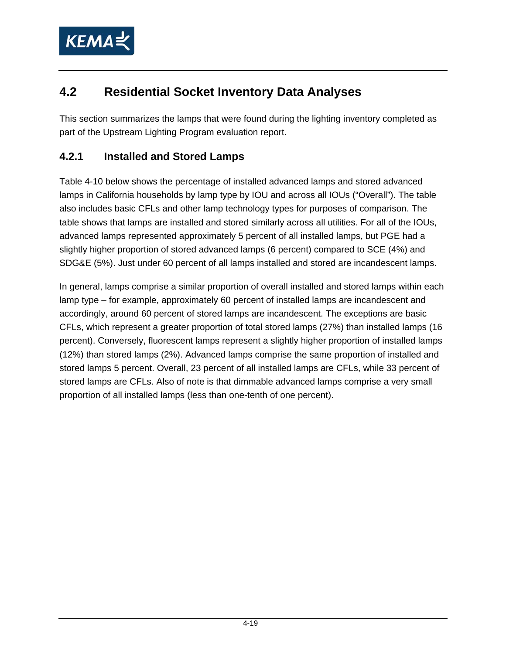

## **4.2 Residential Socket Inventory Data Analyses**

This section summarizes the lamps that were found during the lighting inventory completed as part of the Upstream Lighting Program evaluation report.

### **4.2.1 Installed and Stored Lamps**

[Table 4-10](#page-42-0) below shows the percentage of installed advanced lamps and stored advanced lamps in California households by lamp type by IOU and across all IOUs ("Overall"). The table also includes basic CFLs and other lamp technology types for purposes of comparison. The table shows that lamps are installed and stored similarly across all utilities. For all of the IOUs, advanced lamps represented approximately 5 percent of all installed lamps, but PGE had a slightly higher proportion of stored advanced lamps (6 percent) compared to SCE (4%) and SDG&E (5%). Just under 60 percent of all lamps installed and stored are incandescent lamps.

In general, lamps comprise a similar proportion of overall installed and stored lamps within each lamp type – for example, approximately 60 percent of installed lamps are incandescent and accordingly, around 60 percent of stored lamps are incandescent. The exceptions are basic CFLs, which represent a greater proportion of total stored lamps (27%) than installed lamps (16 percent). Conversely, fluorescent lamps represent a slightly higher proportion of installed lamps (12%) than stored lamps (2%). Advanced lamps comprise the same proportion of installed and stored lamps 5 percent. Overall, 23 percent of all installed lamps are CFLs, while 33 percent of stored lamps are CFLs. Also of note is that dimmable advanced lamps comprise a very small proportion of all installed lamps (less than one-tenth of one percent).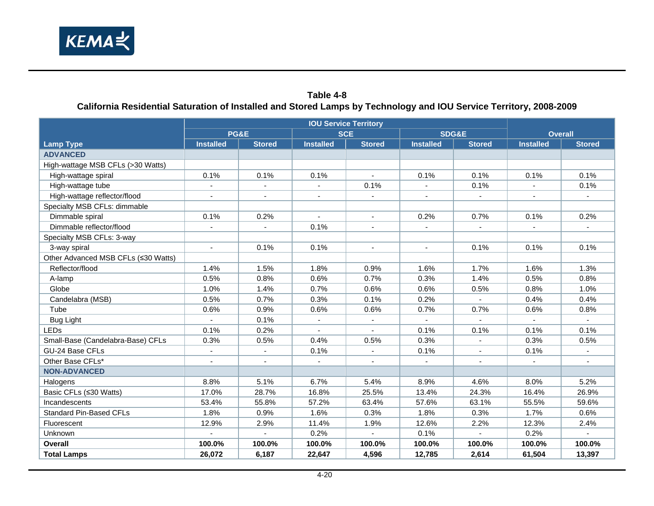

#### **Table 4-8 California Residential Saturation of Installed and Stored Lamps by Technology and IOU Service Territory, 2008-2009**

|                                     | <b>PG&amp;E</b>          |                          | <b>SCE</b>       |                             | SDG&E                    |                          | <b>Overall</b>   |                |
|-------------------------------------|--------------------------|--------------------------|------------------|-----------------------------|--------------------------|--------------------------|------------------|----------------|
| <b>Lamp Type</b>                    | <b>Installed</b>         | <b>Stored</b>            | <b>Installed</b> | <b>Stored</b>               | <b>Installed</b>         | <b>Stored</b>            | <b>Installed</b> | <b>Stored</b>  |
| <b>ADVANCED</b>                     |                          |                          |                  |                             |                          |                          |                  |                |
| High-wattage MSB CFLs (>30 Watts)   |                          |                          |                  |                             |                          |                          |                  |                |
| High-wattage spiral                 | 0.1%                     | 0.1%                     | 0.1%             | $\sim$                      | 0.1%                     | 0.1%                     | 0.1%             | 0.1%           |
| High-wattage tube                   |                          | $\blacksquare$           |                  | 0.1%                        |                          | 0.1%                     |                  | 0.1%           |
| High-wattage reflector/flood        |                          |                          |                  | $\blacksquare$              |                          | $\overline{\phantom{a}}$ |                  |                |
| Specialty MSB CFLs: dimmable        |                          |                          |                  |                             |                          |                          |                  |                |
| Dimmable spiral                     | 0.1%                     | 0.2%                     | $\sim$           | $\sim$                      | 0.2%                     | 0.7%                     | 0.1%             | 0.2%           |
| Dimmable reflector/flood            |                          |                          | 0.1%             |                             |                          |                          |                  |                |
| Specialty MSB CFLs: 3-way           |                          |                          |                  |                             |                          |                          |                  |                |
| 3-way spiral                        | $\sim$                   | 0.1%                     | 0.1%             | $\blacksquare$              | $\overline{\phantom{a}}$ | 0.1%                     | 0.1%             | 0.1%           |
| Other Advanced MSB CFLs (≤30 Watts) |                          |                          |                  |                             |                          |                          |                  |                |
| Reflector/flood                     | 1.4%                     | 1.5%                     | 1.8%             | 0.9%                        | 1.6%                     | 1.7%                     | 1.6%             | 1.3%           |
| A-lamp                              | 0.5%                     | 0.8%                     | 0.6%             | 0.7%                        | 0.3%                     | 1.4%                     | 0.5%             | 0.8%           |
| Globe                               | 1.0%                     | 1.4%                     | 0.7%             | 0.6%                        | 0.6%                     | 0.5%                     | 0.8%             | 1.0%           |
| Candelabra (MSB)                    | 0.5%                     | 0.7%                     | 0.3%             | 0.1%                        | 0.2%                     | $\blacksquare$           | 0.4%             | 0.4%           |
| Tube                                | 0.6%                     | 0.9%                     | 0.6%             | 0.6%                        | 0.7%                     | 0.7%                     | 0.6%             | 0.8%           |
| <b>Bug Light</b>                    |                          | 0.1%                     | $\blacksquare$   | $\sim$                      |                          |                          |                  | $\sim$         |
| <b>LEDs</b>                         | 0.1%                     | 0.2%                     |                  |                             | 0.1%                     | 0.1%                     | 0.1%             | 0.1%           |
| Small-Base (Candelabra-Base) CFLs   | 0.3%                     | 0.5%                     | 0.4%             | 0.5%                        | 0.3%                     | $\blacksquare$           | 0.3%             | 0.5%           |
| GU-24 Base CFLs                     | $\blacksquare$           | $\blacksquare$           | 0.1%             | $\mathbf{r}$                | 0.1%                     | $\mathbf{r}$             | 0.1%             | $\mathbf{r}$   |
| Other Base CFLs*                    | $\overline{\phantom{a}}$ | $\blacksquare$           | $\blacksquare$   | $\blacksquare$              | $\blacksquare$           | $\blacksquare$           |                  | $\blacksquare$ |
| <b>NON-ADVANCED</b>                 |                          |                          |                  |                             |                          |                          |                  |                |
| Halogens                            | 8.8%                     | 5.1%                     | 6.7%             | 5.4%                        | 8.9%                     | 4.6%                     | 8.0%             | 5.2%           |
| Basic CFLs (≤30 Watts)              | 17.0%                    | 28.7%                    | 16.8%            | 25.5%                       | 13.4%                    | 24.3%                    | 16.4%            | 26.9%          |
| Incandescents                       | 53.4%                    | 55.8%                    | 57.2%            | 63.4%                       | 57.6%                    | 63.1%                    | 55.5%            | 59.6%          |
| <b>Standard Pin-Based CFLs</b>      | 1.8%                     | 0.9%                     | 1.6%             | 0.3%                        | 1.8%                     | 0.3%                     | 1.7%             | 0.6%           |
| Fluorescent                         | 12.9%                    | 2.9%                     | 11.4%            | 1.9%                        | 12.6%                    | 2.2%                     | 12.3%            | 2.4%           |
| Unknown                             | $\overline{a}$           | $\overline{\phantom{a}}$ | 0.2%             | $\mathcal{L}^{\mathcal{A}}$ | 0.1%                     | $\mathbf{r}$             | 0.2%             | $\sim$         |
| Overall                             | 100.0%                   | 100.0%                   | 100.0%           | 100.0%                      | 100.0%                   | 100.0%                   | 100.0%           | 100.0%         |
| <b>Total Lamps</b>                  | 26,072                   | 6,187                    | 22,647           | 4,596                       | 12,785                   | 2,614                    | 61,504           | 13,397         |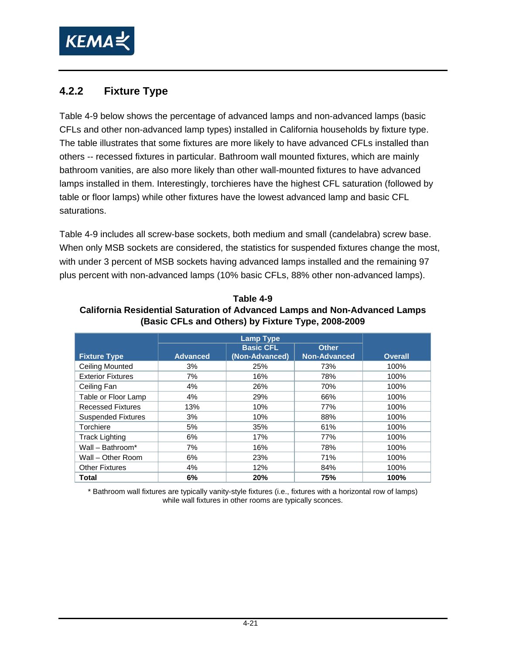

### **4.2.2 Fixture Type**

[Table 4-9](#page-40-0) below shows the percentage of advanced lamps and non-advanced lamps (basic CFLs and other non-advanced lamp types) installed in California households by fixture type. The table illustrates that some fixtures are more likely to have advanced CFLs installed than others -- recessed fixtures in particular. Bathroom wall mounted fixtures, which are mainly bathroom vanities, are also more likely than other wall-mounted fixtures to have advanced lamps installed in them. Interestingly, torchieres have the highest CFL saturation (followed by table or floor lamps) while other fixtures have the lowest advanced lamp and basic CFL saturations.

[Table 4-9](#page-40-0) includes all screw-base sockets, both medium and small (candelabra) screw base. When only MSB sockets are considered, the statistics for suspended fixtures change the most, with under 3 percent of MSB sockets having advanced lamps installed and the remaining 97 plus percent with non-advanced lamps (10% basic CFLs, 88% other non-advanced lamps).

|                           |                 | <b>Lamp Type</b> |                     |                |
|---------------------------|-----------------|------------------|---------------------|----------------|
|                           |                 | <b>Basic CFL</b> | <b>Other</b>        |                |
| <b>Fixture Type</b>       | <b>Advanced</b> | (Non-Advanced)   | <b>Non-Advanced</b> | <b>Overall</b> |
| <b>Ceiling Mounted</b>    | 3%              | 25%              | 73%                 | 100%           |
| <b>Exterior Fixtures</b>  | 7%              | 16%              | 78%                 | 100%           |
| Ceiling Fan               | 4%              | 26%              | 70%                 | 100%           |
| Table or Floor Lamp       | 4%              | 29%              | 66%                 | 100%           |
| <b>Recessed Fixtures</b>  | 13%             | 10%              | 77%                 | 100%           |
| <b>Suspended Fixtures</b> | 3%              | 10%              | 88%                 | 100%           |
| Torchiere                 | 5%              | 35%              | 61%                 | 100%           |
| <b>Track Lighting</b>     | 6%              | 17%              | 77%                 | 100%           |
| Wall - Bathroom*          | 7%              | 16%              | 78%                 | 100%           |
| Wall - Other Room         | 6%              | 23%              | 71%                 | 100%           |
| <b>Other Fixtures</b>     | 4%              | 12%              | 84%                 | 100%           |
| Total                     | 6%              | 20%              | 75%                 | 100%           |

<span id="page-40-0"></span>**Table 4-9 California Residential Saturation of Advanced Lamps and Non-Advanced Lamps (Basic CFLs and Others) by Fixture Type, 2008-2009** 

\* Bathroom wall fixtures are typically vanity-style fixtures (i.e., fixtures with a horizontal row of lamps) while wall fixtures in other rooms are typically sconces.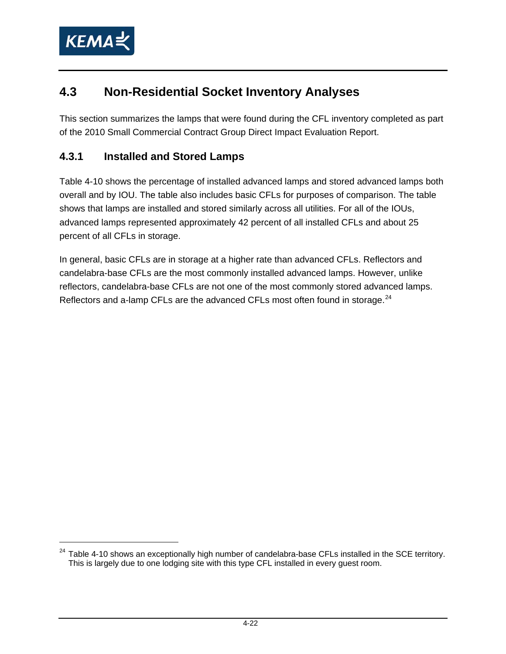<span id="page-41-0"></span>

## **4.3 Non-Residential Socket Inventory Analyses**

This section summarizes the lamps that were found during the CFL inventory completed as part of the 2010 Small Commercial Contract Group Direct Impact Evaluation Report.

### **4.3.1 Installed and Stored Lamps**

[Table 4-10](#page-42-0) shows the percentage of installed advanced lamps and stored advanced lamps both overall and by IOU. The table also includes basic CFLs for purposes of comparison. The table shows that lamps are installed and stored similarly across all utilities. For all of the IOUs, advanced lamps represented approximately 42 percent of all installed CFLs and about 25 percent of all CFLs in storage.

In general, basic CFLs are in storage at a higher rate than advanced CFLs. Reflectors and candelabra-base CFLs are the most commonly installed advanced lamps. However, unlike reflectors, candelabra-base CFLs are not one of the most commonly stored advanced lamps. Reflectors and a-lamp CFLs are the advanced CFLs most often found in storage.<sup>[24](#page-41-0)</sup>

<sup>&</sup>lt;sup>24</sup> Table 4-10 shows an exceptionally high number of candelabra-base CFLs installed in the SCE territory. This is largely due to one lodging site with this type CFL installed in every guest room.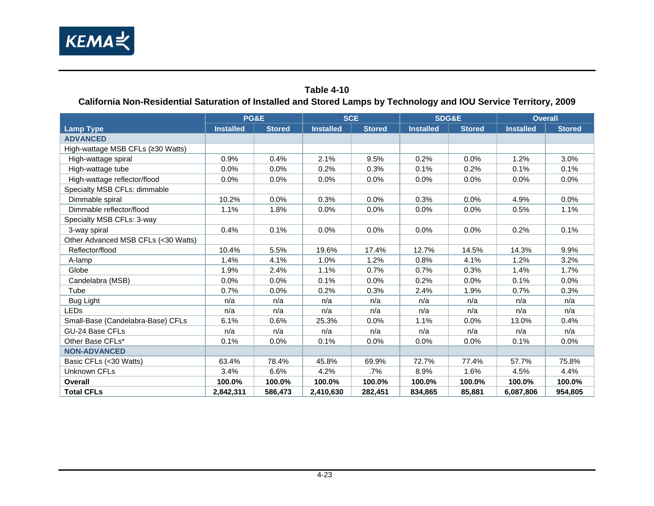

#### **Table 4-10 California Non-Residential Saturation of Installed and Stored Lamps by Technology and IOU Service Territory, 2009**

<span id="page-42-0"></span>

|                                     | PG&E             |               | <b>SCE</b>       |               | <b>SDG&amp;E</b> |               | <b>Overall</b>   |               |  |
|-------------------------------------|------------------|---------------|------------------|---------------|------------------|---------------|------------------|---------------|--|
| <b>Lamp Type</b>                    | <b>Installed</b> | <b>Stored</b> | <b>Installed</b> | <b>Stored</b> | <b>Installed</b> | <b>Stored</b> | <b>Installed</b> | <b>Stored</b> |  |
| <b>ADVANCED</b>                     |                  |               |                  |               |                  |               |                  |               |  |
| High-wattage MSB CFLs (≥30 Watts)   |                  |               |                  |               |                  |               |                  |               |  |
| High-wattage spiral                 | 0.9%             | 0.4%          | 2.1%             | 9.5%          | 0.2%             | 0.0%          | 1.2%             | 3.0%          |  |
| High-wattage tube                   | 0.0%             | 0.0%          | 0.2%             | 0.3%          | 0.1%             | 0.2%          | 0.1%             | 0.1%          |  |
| High-wattage reflector/flood        | 0.0%             | 0.0%          | 0.0%             | 0.0%          | 0.0%             | 0.0%          | 0.0%             | 0.0%          |  |
| Specialty MSB CFLs: dimmable        |                  |               |                  |               |                  |               |                  |               |  |
| Dimmable spiral                     | 10.2%            | 0.0%          | 0.3%             | 0.0%          | 0.3%             | 0.0%          | 4.9%             | 0.0%          |  |
| Dimmable reflector/flood            | 1.1%             | 1.8%          | 0.0%             | 0.0%          | 0.0%             | 0.0%          | 0.5%             | 1.1%          |  |
| Specialty MSB CFLs: 3-way           |                  |               |                  |               |                  |               |                  |               |  |
| 3-way spiral                        | 0.4%             | 0.1%          | 0.0%             | 0.0%          | 0.0%             | 0.0%          | 0.2%             | 0.1%          |  |
| Other Advanced MSB CFLs (<30 Watts) |                  |               |                  |               |                  |               |                  |               |  |
| Reflector/flood                     | 10.4%            | 5.5%          | 19.6%            | 17.4%         | 12.7%            | 14.5%         | 14.3%            | 9.9%          |  |
| A-lamp                              | 1.4%             | 4.1%          | 1.0%             | 1.2%          | 0.8%             | 4.1%          | 1.2%             | 3.2%          |  |
| Globe                               | 1.9%             | 2.4%          | 1.1%             | 0.7%          | 0.7%             | 0.3%          | 1.4%             | 1.7%          |  |
| Candelabra (MSB)                    | 0.0%             | 0.0%          | 0.1%             | 0.0%          | 0.2%             | 0.0%          | 0.1%             | 0.0%          |  |
| Tube                                | 0.7%             | 0.0%          | 0.2%             | 0.3%          | 2.4%             | 1.9%          | 0.7%             | 0.3%          |  |
| Bug Light                           | n/a              | n/a           | n/a              | n/a           | n/a              | n/a           | n/a              | n/a           |  |
| <b>LEDs</b>                         | n/a              | n/a           | n/a              | n/a           | n/a              | n/a           | n/a              | n/a           |  |
| Small-Base (Candelabra-Base) CFLs   | 6.1%             | 0.6%          | 25.3%            | 0.0%          | 1.1%             | 0.0%          | 13.0%            | 0.4%          |  |
| GU-24 Base CFLs                     | n/a              | n/a           | n/a              | n/a           | n/a              | n/a           | n/a              | n/a           |  |
| Other Base CFLs*                    | 0.1%             | 0.0%          | 0.1%             | 0.0%          | $0.0\%$          | 0.0%          | 0.1%             | 0.0%          |  |
| <b>NON-ADVANCED</b>                 |                  |               |                  |               |                  |               |                  |               |  |
| Basic CFLs (<30 Watts)              | 63.4%            | 78.4%         | 45.8%            | 69.9%         | 72.7%            | 77.4%         | 57.7%            | 75.8%         |  |
| Unknown CFLs                        | 3.4%             | 6.6%          | 4.2%             | .7%           | 8.9%             | 1.6%          | 4.5%             | 4.4%          |  |
| Overall                             | 100.0%           | 100.0%        | 100.0%           | 100.0%        | 100.0%           | 100.0%        | 100.0%           | 100.0%        |  |
| <b>Total CFLs</b>                   | 2,842,311        | 586,473       | 2,410,630        | 282,451       | 834,865          | 85,881        | 6,087,806        | 954,805       |  |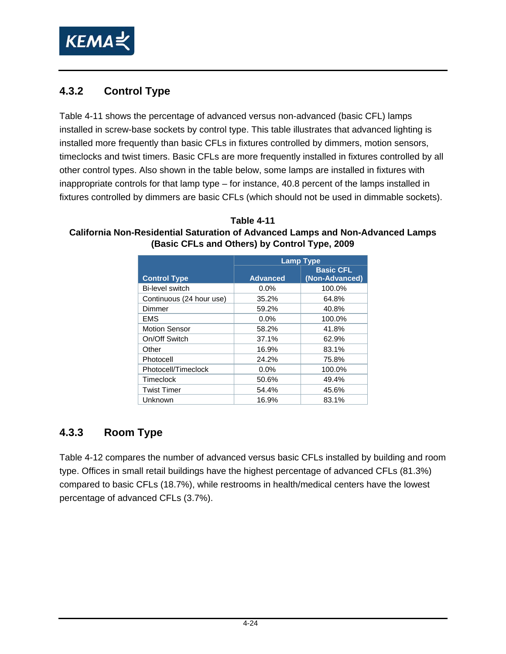

### **4.3.2 Control Type**

[Table 4-11](#page-43-0) shows the percentage of advanced versus non-advanced (basic CFL) lamps installed in screw-base sockets by control type. This table illustrates that advanced lighting is installed more frequently than basic CFLs in fixtures controlled by dimmers, motion sensors, timeclocks and twist timers. Basic CFLs are more frequently installed in fixtures controlled by all other control types. Also shown in the table below, some lamps are installed in fixtures with inappropriate controls for that lamp type – for instance, 40.8 percent of the lamps installed in fixtures controlled by dimmers are basic CFLs (which should not be used in dimmable sockets).

<span id="page-43-0"></span>**Table 4-11 California Non-Residential Saturation of Advanced Lamps and Non-Advanced Lamps (Basic CFLs and Others) by Control Type, 2009** 

|                          | <b>Lamp Type</b> |                                    |
|--------------------------|------------------|------------------------------------|
| <b>Control Type</b>      | <b>Advanced</b>  | <b>Basic CFL</b><br>(Non-Advanced) |
| Bi-level switch          | $0.0\%$          | 100.0%                             |
| Continuous (24 hour use) | 35.2%            | 64.8%                              |
| Dimmer                   | 59.2%            | 40.8%                              |
| <b>EMS</b>               | 0.0%             | 100.0%                             |
| <b>Motion Sensor</b>     | 58.2%            | 41.8%                              |
| On/Off Switch            | 37.1%            | 62.9%                              |
| Other                    | 16.9%            | 83.1%                              |
| Photocell                | 24.2%            | 75.8%                              |
| Photocell/Timeclock      | $0.0\%$          | 100.0%                             |
| Timeclock                | 50.6%            | 49.4%                              |
| <b>Twist Timer</b>       | 54.4%            | 45.6%                              |
| Unknown                  | 16.9%            | 83.1%                              |

### **4.3.3 Room Type**

[Table 4-12](#page-44-0) compares the number of advanced versus basic CFLs installed by building and room type. Offices in small retail buildings have the highest percentage of advanced CFLs (81.3%) compared to basic CFLs (18.7%), while restrooms in health/medical centers have the lowest percentage of advanced CFLs (3.7%).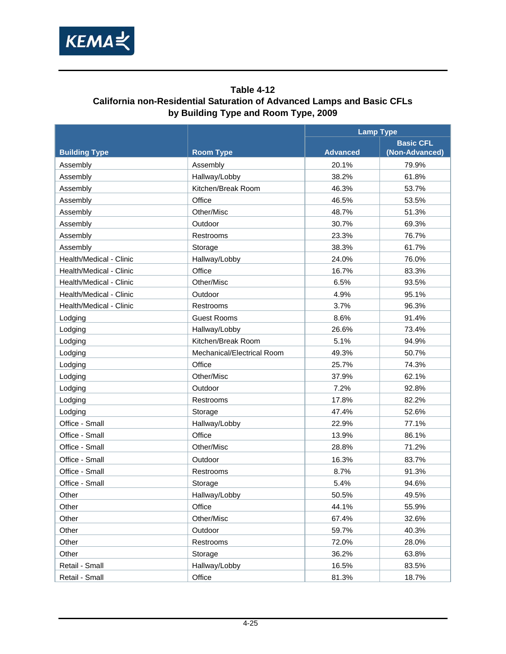

#### **Table 4-12 California non-Residential Saturation of Advanced Lamps and Basic CFLs by Building Type and Room Type, 2009**

<span id="page-44-0"></span>

|                         |                            |                 | <b>Lamp Type</b> |  |
|-------------------------|----------------------------|-----------------|------------------|--|
|                         |                            |                 | <b>Basic CFL</b> |  |
| <b>Building Type</b>    | <b>Room Type</b>           | <b>Advanced</b> | (Non-Advanced)   |  |
| Assembly                | Assembly                   | 20.1%           | 79.9%            |  |
| Assembly                | Hallway/Lobby              | 38.2%           | 61.8%            |  |
| Assembly                | Kitchen/Break Room         | 46.3%           | 53.7%            |  |
| Assembly                | Office                     | 46.5%           | 53.5%            |  |
| Assembly                | Other/Misc                 | 48.7%           | 51.3%            |  |
| Assembly                | Outdoor                    | 30.7%           | 69.3%            |  |
| Assembly                | Restrooms                  | 23.3%           | 76.7%            |  |
| Assembly                | Storage                    | 38.3%           | 61.7%            |  |
| Health/Medical - Clinic | Hallway/Lobby              | 24.0%           | 76.0%            |  |
| Health/Medical - Clinic | Office                     | 16.7%           | 83.3%            |  |
| Health/Medical - Clinic | Other/Misc                 | 6.5%            | 93.5%            |  |
| Health/Medical - Clinic | Outdoor                    | 4.9%            | 95.1%            |  |
| Health/Medical - Clinic | Restrooms                  | 3.7%            | 96.3%            |  |
| Lodging                 | <b>Guest Rooms</b>         | 8.6%            | 91.4%            |  |
| Lodging                 | Hallway/Lobby              | 26.6%           | 73.4%            |  |
| Lodging                 | Kitchen/Break Room         | 5.1%            | 94.9%            |  |
| Lodging                 | Mechanical/Electrical Room | 49.3%           | 50.7%            |  |
| Lodging                 | Office                     | 25.7%           | 74.3%            |  |
| Lodging                 | Other/Misc                 | 37.9%           | 62.1%            |  |
| Lodging                 | Outdoor                    | 7.2%            | 92.8%            |  |
| Lodging                 | Restrooms                  | 17.8%           | 82.2%            |  |
| Lodging                 | Storage                    | 47.4%           | 52.6%            |  |
| Office - Small          | Hallway/Lobby              | 22.9%           | 77.1%            |  |
| Office - Small          | Office                     | 13.9%           | 86.1%            |  |
| Office - Small          | Other/Misc                 | 28.8%           | 71.2%            |  |
| Office - Small          | Outdoor                    | 16.3%           | 83.7%            |  |
| Office - Small          | Restrooms                  | 8.7%            | 91.3%            |  |
| Office - Small          | Storage                    | 5.4%            | 94.6%            |  |
| Other                   | Hallway/Lobby              | 50.5%           | 49.5%            |  |
| Other                   | Office                     | 44.1%           | 55.9%            |  |
| Other                   | Other/Misc                 | 67.4%           | 32.6%            |  |
| Other                   | Outdoor                    | 59.7%           | 40.3%            |  |
| Other                   | Restrooms                  | 72.0%           | 28.0%            |  |
| Other                   | Storage                    | 36.2%           | 63.8%            |  |
| Retail - Small          | Hallway/Lobby              | 16.5%           | 83.5%            |  |
| Retail - Small          | Office                     | 81.3%           | 18.7%            |  |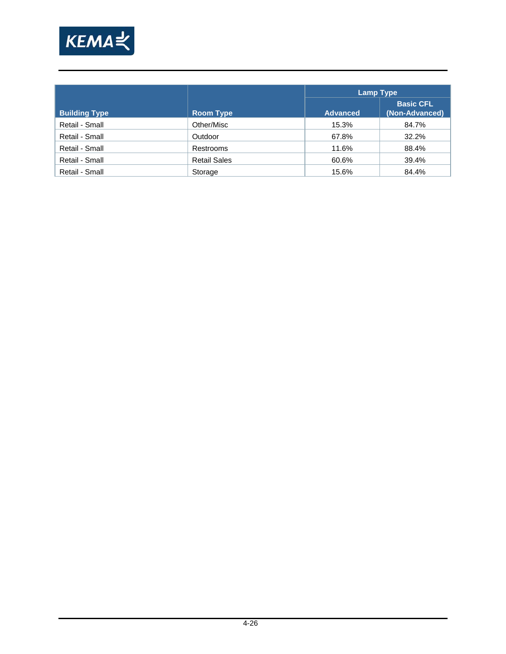

|                      |                     |                 | <b>Lamp Type</b>                   |  |  |  |  |
|----------------------|---------------------|-----------------|------------------------------------|--|--|--|--|
| <b>Building Type</b> | <b>Room Type</b>    | <b>Advanced</b> | <b>Basic CFL</b><br>(Non-Advanced) |  |  |  |  |
| Retail - Small       | Other/Misc          | 15.3%           | 84.7%                              |  |  |  |  |
| Retail - Small       | Outdoor             | 67.8%           | 32.2%                              |  |  |  |  |
| Retail - Small       | Restrooms           | 11.6%           | 88.4%                              |  |  |  |  |
| Retail - Small       | <b>Retail Sales</b> | 60.6%           | 39.4%                              |  |  |  |  |
| Retail - Small       | Storage             | 15.6%           | 84.4%                              |  |  |  |  |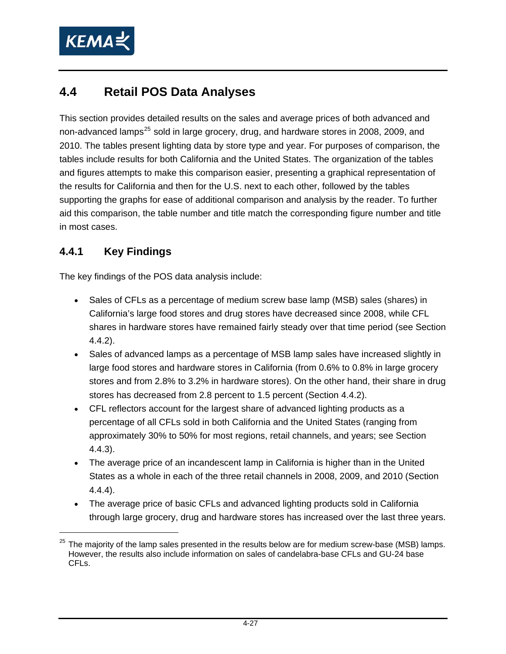<span id="page-46-0"></span>

## **4.4 Retail POS Data Analyses**

This section provides detailed results on the sales and average prices of both advanced and non-advanced lamps<sup>[25](#page-46-0)</sup> sold in large grocery, drug, and hardware stores in 2008, 2009, and 2010. The tables present lighting data by store type and year. For purposes of comparison, the tables include results for both California and the United States. The organization of the tables and figures attempts to make this comparison easier, presenting a graphical representation of the results for California and then for the U.S. next to each other, followed by the tables supporting the graphs for ease of additional comparison and analysis by the reader. To further aid this comparison, the table number and title match the corresponding figure number and title in most cases.

### **4.4.1 Key Findings**

 $\overline{a}$ 

The key findings of the POS data analysis include:

- Sales of CFLs as a percentage of medium screw base lamp (MSB) sales (shares) in California's large food stores and drug stores have decreased since 2008, while CFL shares in hardware stores have remained fairly steady over that time period (see Section [4.4.2](#page-47-0)).
- Sales of advanced lamps as a percentage of MSB lamp sales have increased slightly in large food stores and hardware stores in California (from 0.6% to 0.8% in large grocery stores and from 2.8% to 3.2% in hardware stores). On the other hand, their share in drug stores has decreased from 2.8 percent to 1.5 percent (Section [4.4.2\)](#page-47-0).
- CFL reflectors account for the largest share of advanced lighting products as a percentage of all CFLs sold in both California and the United States (ranging from approximately 30% to 50% for most regions, retail channels, and years; see Section [4.4.3](#page-52-0)).
- The average price of an incandescent lamp in California is higher than in the United States as a whole in each of the three retail channels in 2008, 2009, and 2010 (Section [4.4.4](#page-57-0)).
- The average price of basic CFLs and advanced lighting products sold in California through large grocery, drug and hardware stores has increased over the last three years.

 $25$  The maiority of the lamp sales presented in the results below are for medium screw-base (MSB) lamps. However, the results also include information on sales of candelabra-base CFLs and GU-24 base CFLs.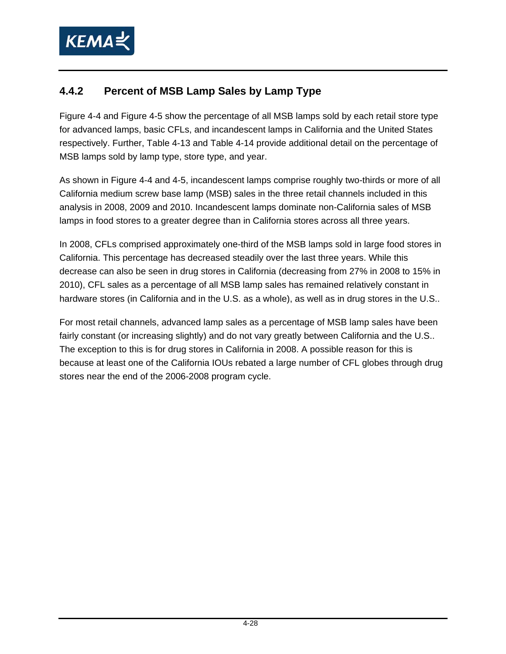

### <span id="page-47-0"></span>**4.4.2 Percent of MSB Lamp Sales by Lamp Type**

[Figure 4-4](#page-48-0) and [Figure 4-5](#page-49-0) show the percentage of all MSB lamps sold by each retail store type for advanced lamps, basic CFLs, and incandescent lamps in California and the United States respectively. Further, [Table 4-13](#page-50-0) and [Table 4-14](#page-51-0) provide additional detail on the percentage of MSB lamps sold by lamp type, store type, and year.

As shown in [Figure 4-4](#page-48-0) and 4-5, incandescent lamps comprise roughly two-thirds or more of all California medium screw base lamp (MSB) sales in the three retail channels included in this analysis in 2008, 2009 and 2010. Incandescent lamps dominate non-California sales of MSB lamps in food stores to a greater degree than in California stores across all three years.

In 2008, CFLs comprised approximately one-third of the MSB lamps sold in large food stores in California. This percentage has decreased steadily over the last three years. While this decrease can also be seen in drug stores in California (decreasing from 27% in 2008 to 15% in 2010), CFL sales as a percentage of all MSB lamp sales has remained relatively constant in hardware stores (in California and in the U.S. as a whole), as well as in drug stores in the U.S..

For most retail channels, advanced lamp sales as a percentage of MSB lamp sales have been fairly constant (or increasing slightly) and do not vary greatly between California and the U.S.. The exception to this is for drug stores in California in 2008. A possible reason for this is because at least one of the California IOUs rebated a large number of CFL globes through drug stores near the end of the 2006-2008 program cycle.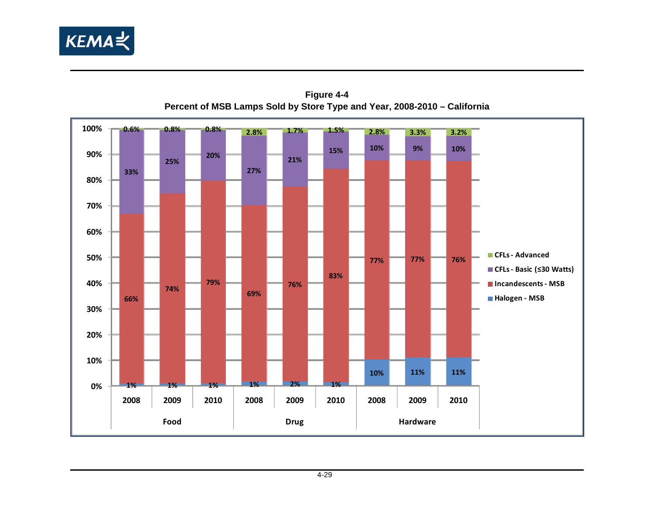

<span id="page-48-0"></span>

**Figure 4-4 Percent of MSB Lamps Sold by Store Type and Year, 2008-2010 – California**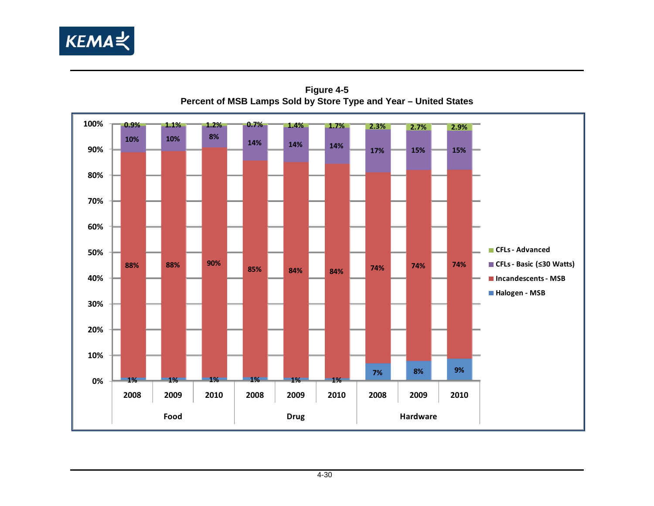

<span id="page-49-0"></span>

**Figure 4-5 Percent of MSB Lamps Sold by Store Type and Year – United States**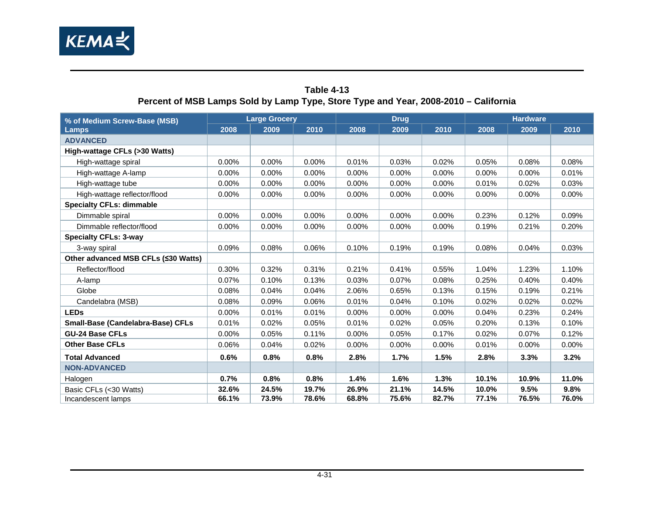

<span id="page-50-0"></span>

|                                     |          | <b>The country in the couple of the couple of the couple of the couple of the couple of the couple of the couple of the couple of the couple of the couple of the couple of the couple of the couple of the couple of the coupl</b> |          |       |             |          |       |                 |          |  |  |
|-------------------------------------|----------|-------------------------------------------------------------------------------------------------------------------------------------------------------------------------------------------------------------------------------------|----------|-------|-------------|----------|-------|-----------------|----------|--|--|
| % of Medium Screw-Base (MSB)        |          | <b>Large Grocery</b>                                                                                                                                                                                                                |          |       | <b>Drug</b> |          |       | <b>Hardware</b> |          |  |  |
| <b>Lamps</b>                        | 2008     | 2009                                                                                                                                                                                                                                | 2010     | 2008  | 2009        | 2010     | 2008  | 2009            | 2010     |  |  |
| <b>ADVANCED</b>                     |          |                                                                                                                                                                                                                                     |          |       |             |          |       |                 |          |  |  |
| High-wattage CFLs (>30 Watts)       |          |                                                                                                                                                                                                                                     |          |       |             |          |       |                 |          |  |  |
| High-wattage spiral                 | $0.00\%$ | $0.00\%$                                                                                                                                                                                                                            | $0.00\%$ | 0.01% | 0.03%       | 0.02%    | 0.05% | 0.08%           | 0.08%    |  |  |
| High-wattage A-lamp                 | 0.00%    | 0.00%                                                                                                                                                                                                                               | 0.00%    | 0.00% | 0.00%       | 0.00%    | 0.00% | 0.00%           | 0.01%    |  |  |
| High-wattage tube                   | $0.00\%$ | 0.00%                                                                                                                                                                                                                               | 0.00%    | 0.00% | 0.00%       | 0.00%    | 0.01% | 0.02%           | 0.03%    |  |  |
| High-wattage reflector/flood        | 0.00%    | 0.00%                                                                                                                                                                                                                               | 0.00%    | 0.00% | 0.00%       | 0.00%    | 0.00% | 0.00%           | 0.00%    |  |  |
| <b>Specialty CFLs: dimmable</b>     |          |                                                                                                                                                                                                                                     |          |       |             |          |       |                 |          |  |  |
| Dimmable spiral                     | 0.00%    | 0.00%                                                                                                                                                                                                                               | 0.00%    | 0.00% | 0.00%       | 0.00%    | 0.23% | 0.12%           | 0.09%    |  |  |
| Dimmable reflector/flood            | 0.00%    | 0.00%                                                                                                                                                                                                                               | 0.00%    | 0.00% | 0.00%       | 0.00%    | 0.19% | 0.21%           | 0.20%    |  |  |
| <b>Specialty CFLs: 3-way</b>        |          |                                                                                                                                                                                                                                     |          |       |             |          |       |                 |          |  |  |
| 3-way spiral                        | 0.09%    | 0.08%                                                                                                                                                                                                                               | 0.06%    | 0.10% | 0.19%       | 0.19%    | 0.08% | 0.04%           | 0.03%    |  |  |
| Other advanced MSB CFLs (≤30 Watts) |          |                                                                                                                                                                                                                                     |          |       |             |          |       |                 |          |  |  |
| Reflector/flood                     | 0.30%    | 0.32%                                                                                                                                                                                                                               | 0.31%    | 0.21% | 0.41%       | 0.55%    | 1.04% | 1.23%           | 1.10%    |  |  |
| A-lamp                              | 0.07%    | 0.10%                                                                                                                                                                                                                               | 0.13%    | 0.03% | 0.07%       | 0.08%    | 0.25% | 0.40%           | 0.40%    |  |  |
| Globe                               | 0.08%    | 0.04%                                                                                                                                                                                                                               | 0.04%    | 2.06% | 0.65%       | 0.13%    | 0.15% | 0.19%           | 0.21%    |  |  |
| Candelabra (MSB)                    | 0.08%    | 0.09%                                                                                                                                                                                                                               | 0.06%    | 0.01% | 0.04%       | 0.10%    | 0.02% | 0.02%           | 0.02%    |  |  |
| <b>LEDs</b>                         | $0.00\%$ | 0.01%                                                                                                                                                                                                                               | 0.01%    | 0.00% | 0.00%       | 0.00%    | 0.04% | 0.23%           | 0.24%    |  |  |
| Small-Base (Candelabra-Base) CFLs   | 0.01%    | 0.02%                                                                                                                                                                                                                               | 0.05%    | 0.01% | 0.02%       | 0.05%    | 0.20% | 0.13%           | 0.10%    |  |  |
| <b>GU-24 Base CFLs</b>              | 0.00%    | 0.05%                                                                                                                                                                                                                               | 0.11%    | 0.00% | 0.05%       | 0.17%    | 0.02% | 0.07%           | 0.12%    |  |  |
| <b>Other Base CFLs</b>              | 0.06%    | 0.04%                                                                                                                                                                                                                               | 0.02%    | 0.00% | 0.00%       | $0.00\%$ | 0.01% | 0.00%           | $0.00\%$ |  |  |
| <b>Total Advanced</b>               | 0.6%     | 0.8%                                                                                                                                                                                                                                | 0.8%     | 2.8%  | 1.7%        | 1.5%     | 2.8%  | 3.3%            | 3.2%     |  |  |
| <b>NON-ADVANCED</b>                 |          |                                                                                                                                                                                                                                     |          |       |             |          |       |                 |          |  |  |
| Halogen                             | 0.7%     | 0.8%                                                                                                                                                                                                                                | 0.8%     | 1.4%  | 1.6%        | 1.3%     | 10.1% | 10.9%           | 11.0%    |  |  |
| Basic CFLs (<30 Watts)              | 32.6%    | 24.5%                                                                                                                                                                                                                               | 19.7%    | 26.9% | 21.1%       | 14.5%    | 10.0% | 9.5%            | 9.8%     |  |  |
| Incandescent lamps                  | 66.1%    | 73.9%                                                                                                                                                                                                                               | 78.6%    | 68.8% | 75.6%       | 82.7%    | 77.1% | 76.5%           | 76.0%    |  |  |

#### **Table 4-13 Percent of MSB Lamps Sold by Lamp Type, Store Type and Year, 2008-2010 – California**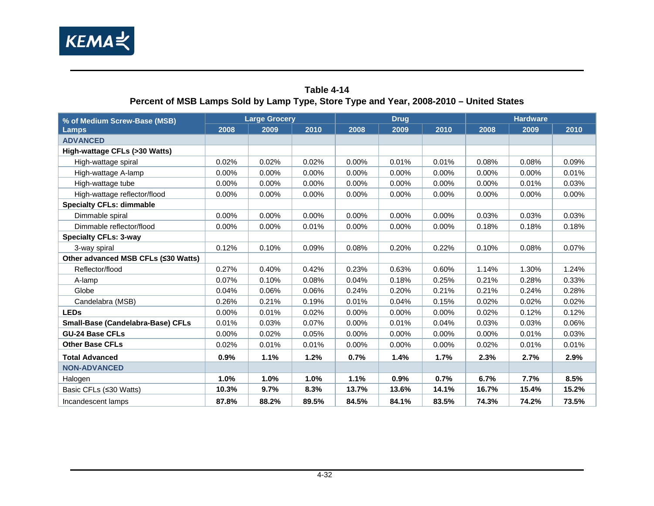

<span id="page-51-0"></span>

|                                     | Percent of MSB Lamps Sold by Lamp Type, Store Type and Year, 2008-2010 – United States |                      |       |          |             |          |       |                 |       |  |  |
|-------------------------------------|----------------------------------------------------------------------------------------|----------------------|-------|----------|-------------|----------|-------|-----------------|-------|--|--|
| % of Medium Screw-Base (MSB)        |                                                                                        | <b>Large Grocery</b> |       |          | <b>Drug</b> |          |       | <b>Hardware</b> |       |  |  |
| Lamps                               | 2008                                                                                   | 2009                 | 2010  | 2008     | 2009        | 2010     | 2008  | 2009            | 2010  |  |  |
| <b>ADVANCED</b>                     |                                                                                        |                      |       |          |             |          |       |                 |       |  |  |
| High-wattage CFLs (>30 Watts)       |                                                                                        |                      |       |          |             |          |       |                 |       |  |  |
| High-wattage spiral                 | 0.02%                                                                                  | 0.02%                | 0.02% | 0.00%    | 0.01%       | 0.01%    | 0.08% | 0.08%           | 0.09% |  |  |
| High-wattage A-lamp                 | 0.00%                                                                                  | 0.00%                | 0.00% | 0.00%    | $0.00\%$    | 0.00%    | 0.00% | 0.00%           | 0.01% |  |  |
| High-wattage tube                   | 0.00%                                                                                  | 0.00%                | 0.00% | 0.00%    | 0.00%       | 0.00%    | 0.00% | 0.01%           | 0.03% |  |  |
| High-wattage reflector/flood        | $0.00\%$                                                                               | 0.00%                | 0.00% | $0.00\%$ | 0.00%       | $0.00\%$ | 0.00% | 0.00%           | 0.00% |  |  |
| <b>Specialty CFLs: dimmable</b>     |                                                                                        |                      |       |          |             |          |       |                 |       |  |  |
| Dimmable spiral                     | 0.00%                                                                                  | 0.00%                | 0.00% | 0.00%    | $0.00\%$    | 0.00%    | 0.03% | 0.03%           | 0.03% |  |  |
| Dimmable reflector/flood            | 0.00%                                                                                  | 0.00%                | 0.01% | 0.00%    | 0.00%       | 0.00%    | 0.18% | 0.18%           | 0.18% |  |  |
| <b>Specialty CFLs: 3-way</b>        |                                                                                        |                      |       |          |             |          |       |                 |       |  |  |
| 3-way spiral                        | 0.12%                                                                                  | 0.10%                | 0.09% | 0.08%    | 0.20%       | 0.22%    | 0.10% | 0.08%           | 0.07% |  |  |
| Other advanced MSB CFLs (≤30 Watts) |                                                                                        |                      |       |          |             |          |       |                 |       |  |  |
| Reflector/flood                     | 0.27%                                                                                  | 0.40%                | 0.42% | 0.23%    | 0.63%       | 0.60%    | 1.14% | 1.30%           | 1.24% |  |  |
| A-lamp                              | 0.07%                                                                                  | 0.10%                | 0.08% | 0.04%    | 0.18%       | 0.25%    | 0.21% | 0.28%           | 0.33% |  |  |
| Globe                               | 0.04%                                                                                  | 0.06%                | 0.06% | 0.24%    | 0.20%       | 0.21%    | 0.21% | 0.24%           | 0.28% |  |  |
| Candelabra (MSB)                    | 0.26%                                                                                  | 0.21%                | 0.19% | 0.01%    | 0.04%       | 0.15%    | 0.02% | 0.02%           | 0.02% |  |  |
| <b>LEDs</b>                         | 0.00%                                                                                  | 0.01%                | 0.02% | 0.00%    | 0.00%       | 0.00%    | 0.02% | 0.12%           | 0.12% |  |  |
| Small-Base (Candelabra-Base) CFLs   | 0.01%                                                                                  | 0.03%                | 0.07% | 0.00%    | 0.01%       | 0.04%    | 0.03% | 0.03%           | 0.06% |  |  |
| <b>GU-24 Base CFLs</b>              | 0.00%                                                                                  | 0.02%                | 0.05% | 0.00%    | 0.00%       | 0.00%    | 0.00% | 0.01%           | 0.03% |  |  |
| <b>Other Base CFLs</b>              | 0.02%                                                                                  | 0.01%                | 0.01% | 0.00%    | 0.00%       | 0.00%    | 0.02% | 0.01%           | 0.01% |  |  |
| <b>Total Advanced</b>               | 0.9%                                                                                   | 1.1%                 | 1.2%  | 0.7%     | 1.4%        | 1.7%     | 2.3%  | 2.7%            | 2.9%  |  |  |
| <b>NON-ADVANCED</b>                 |                                                                                        |                      |       |          |             |          |       |                 |       |  |  |
| Halogen                             | 1.0%                                                                                   | 1.0%                 | 1.0%  | 1.1%     | 0.9%        | 0.7%     | 6.7%  | 7.7%            | 8.5%  |  |  |
| Basic CFLs (≤30 Watts)              | 10.3%                                                                                  | 9.7%                 | 8.3%  | 13.7%    | 13.6%       | 14.1%    | 16.7% | 15.4%           | 15.2% |  |  |
| Incandescent lamps                  | 87.8%                                                                                  | 88.2%                | 89.5% | 84.5%    | 84.1%       | 83.5%    | 74.3% | 74.2%           | 73.5% |  |  |

#### **Table 4-14 Percent of MSB Lamps Sold by Lamp Type, Store Type and Year, 2008-2010 – United States**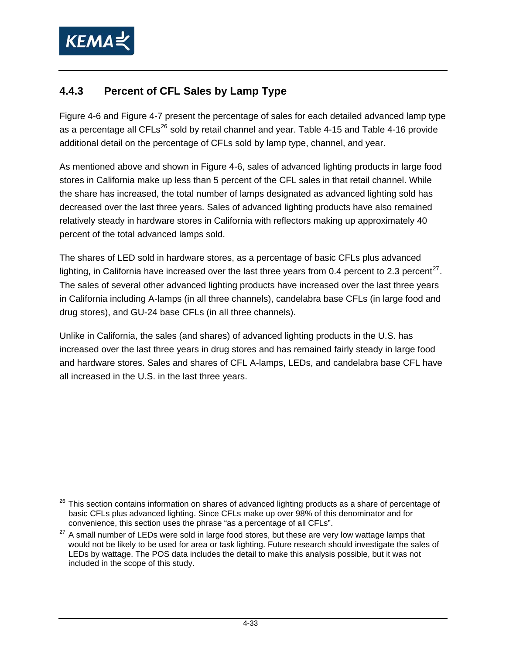<span id="page-52-1"></span>

### <span id="page-52-0"></span>**4.4.3 Percent of CFL Sales by Lamp Type**

[Figure 4-6](#page-53-0) and [Figure 4-7](#page-54-0) present the percentage of sales for each detailed advanced lamp type as a percentage all CFLs $^{26}$  $^{26}$  $^{26}$  sold by retail channel and year. [Table 4-15](#page-55-0) and [Table 4-16](#page-56-0) provide additional detail on the percentage of CFLs sold by lamp type, channel, and year.

As mentioned above and shown in [Figure 4-6](#page-53-0), sales of advanced lighting products in large food stores in California make up less than 5 percent of the CFL sales in that retail channel. While the share has increased, the total number of lamps designated as advanced lighting sold has decreased over the last three years. Sales of advanced lighting products have also remained relatively steady in hardware stores in California with reflectors making up approximately 40 percent of the total advanced lamps sold.

The shares of LED sold in hardware stores, as a percentage of basic CFLs plus advanced lighting, in California have increased over the last three years from 0.4 percent to 2.3 percent<sup>[27](#page-52-1)</sup>. The sales of several other advanced lighting products have increased over the last three years in California including A-lamps (in all three channels), candelabra base CFLs (in large food and drug stores), and GU-24 base CFLs (in all three channels).

Unlike in California, the sales (and shares) of advanced lighting products in the U.S. has increased over the last three years in drug stores and has remained fairly steady in large food and hardware stores. Sales and shares of CFL A-lamps, LEDs, and candelabra base CFL have all increased in the U.S. in the last three years.

 $26$  This section contains information on shares of advanced lighting products as a share of percentage of basic CFLs plus advanced lighting. Since CFLs make up over 98% of this denominator and for convenience, this section uses the phrase "as a percentage of all CFLs".

 $27$  A small number of LEDs were sold in large food stores, but these are very low wattage lamps that would not be likely to be used for area or task lighting. Future research should investigate the sales of LEDs by wattage. The POS data includes the detail to make this analysis possible, but it was not included in the scope of this study.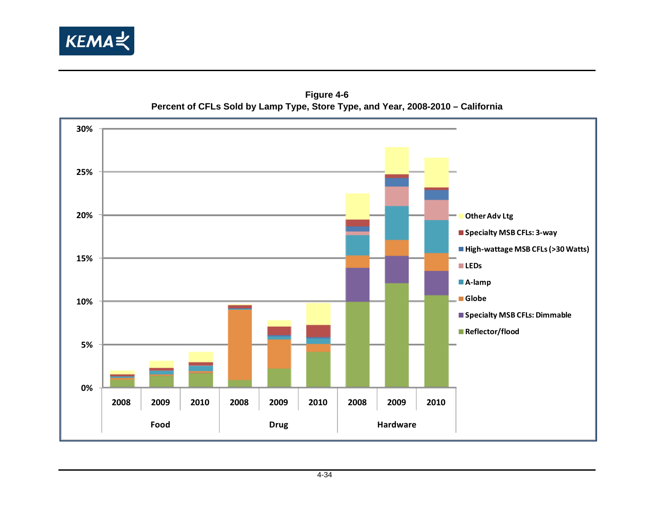



<span id="page-53-0"></span>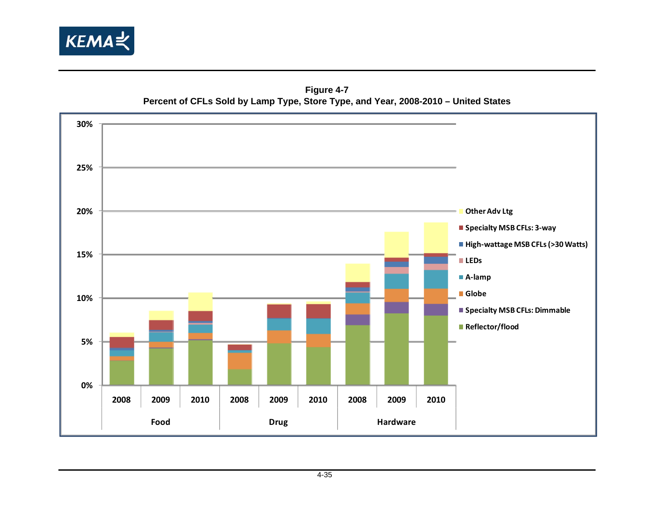

**Figure 4-7 Percent of CFLs Sold by Lamp Type, Store Type, and Year, 2008-2010 – United States** 

<span id="page-54-0"></span>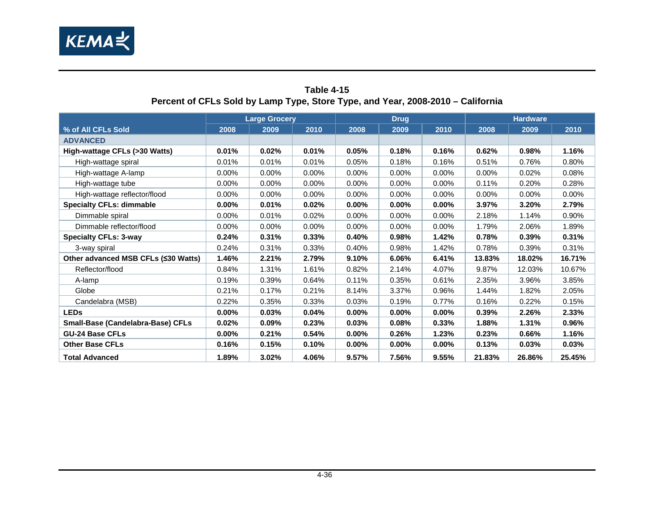

<span id="page-55-0"></span>

| $\frac{1}{2}$ of the country camping books in the state form $\frac{1}{2}$ |          |                      |       |          |             |          |        |                 |        |
|----------------------------------------------------------------------------|----------|----------------------|-------|----------|-------------|----------|--------|-----------------|--------|
|                                                                            |          | <b>Large Grocery</b> |       |          | <b>Drug</b> |          |        | <b>Hardware</b> |        |
| % of All CFLs Sold                                                         | 2008     | 2009                 | 2010  | 2008     | 2009        | 2010     | 2008   | 2009            | 2010   |
| <b>ADVANCED</b>                                                            |          |                      |       |          |             |          |        |                 |        |
| High-wattage CFLs (>30 Watts)                                              | 0.01%    | 0.02%                | 0.01% | 0.05%    | 0.18%       | 0.16%    | 0.62%  | 0.98%           | 1.16%  |
| High-wattage spiral                                                        | 0.01%    | 0.01%                | 0.01% | 0.05%    | 0.18%       | 0.16%    | 0.51%  | 0.76%           | 0.80%  |
| High-wattage A-lamp                                                        | 0.00%    | $0.00\%$             | 0.00% | $0.00\%$ | 0.00%       | $0.00\%$ | 0.00%  | 0.02%           | 0.08%  |
| High-wattage tube                                                          | $0.00\%$ | $0.00\%$             | 0.00% | 0.00%    | 0.00%       | 0.00%    | 0.11%  | 0.20%           | 0.28%  |
| High-wattage reflector/flood                                               | 0.00%    | $0.00\%$             | 0.00% | 0.00%    | 0.00%       | 0.00%    | 0.00%  | 0.00%           | 0.00%  |
| <b>Specialty CFLs: dimmable</b>                                            | $0.00\%$ | 0.01%                | 0.02% | $0.00\%$ | $0.00\%$    | $0.00\%$ | 3.97%  | 3.20%           | 2.79%  |
| Dimmable spiral                                                            | $0.00\%$ | 0.01%                | 0.02% | $0.00\%$ | $0.00\%$    | $0.00\%$ | 2.18%  | 1.14%           | 0.90%  |
| Dimmable reflector/flood                                                   | 0.00%    | 0.00%                | 0.00% | 0.00%    | 0.00%       | 0.00%    | 1.79%  | 2.06%           | 1.89%  |
| <b>Specialty CFLs: 3-way</b>                                               | 0.24%    | 0.31%                | 0.33% | 0.40%    | 0.98%       | 1.42%    | 0.78%  | 0.39%           | 0.31%  |
| 3-way spiral                                                               | 0.24%    | 0.31%                | 0.33% | 0.40%    | 0.98%       | 1.42%    | 0.78%  | 0.39%           | 0.31%  |
| Other advanced MSB CFLs (≤30 Watts)                                        | 1.46%    | 2.21%                | 2.79% | 9.10%    | 6.06%       | 6.41%    | 13.83% | 18.02%          | 16.71% |
| Reflector/flood                                                            | 0.84%    | 1.31%                | 1.61% | 0.82%    | 2.14%       | 4.07%    | 9.87%  | 12.03%          | 10.67% |
| A-lamp                                                                     | 0.19%    | 0.39%                | 0.64% | 0.11%    | 0.35%       | 0.61%    | 2.35%  | 3.96%           | 3.85%  |
| Globe                                                                      | 0.21%    | 0.17%                | 0.21% | 8.14%    | 3.37%       | 0.96%    | 1.44%  | 1.82%           | 2.05%  |
| Candelabra (MSB)                                                           | 0.22%    | 0.35%                | 0.33% | 0.03%    | 0.19%       | 0.77%    | 0.16%  | 0.22%           | 0.15%  |
| <b>LEDs</b>                                                                | $0.00\%$ | 0.03%                | 0.04% | $0.00\%$ | $0.00\%$    | $0.00\%$ | 0.39%  | 2.26%           | 2.33%  |
| Small-Base (Candelabra-Base) CFLs                                          | 0.02%    | 0.09%                | 0.23% | 0.03%    | 0.08%       | 0.33%    | 1.88%  | 1.31%           | 0.96%  |
| <b>GU-24 Base CFLs</b>                                                     | $0.00\%$ | 0.21%                | 0.54% | $0.00\%$ | 0.26%       | 1.23%    | 0.23%  | 0.66%           | 1.16%  |
| <b>Other Base CFLs</b>                                                     | 0.16%    | 0.15%                | 0.10% | $0.00\%$ | $0.00\%$    | $0.00\%$ | 0.13%  | 0.03%           | 0.03%  |
| <b>Total Advanced</b>                                                      | 1.89%    | 3.02%                | 4.06% | 9.57%    | 7.56%       | 9.55%    | 21.83% | 26.86%          | 25.45% |

#### **Table 4-15 Percent of CFLs Sold by Lamp Type, Store Type, and Year, 2008-2010 – California**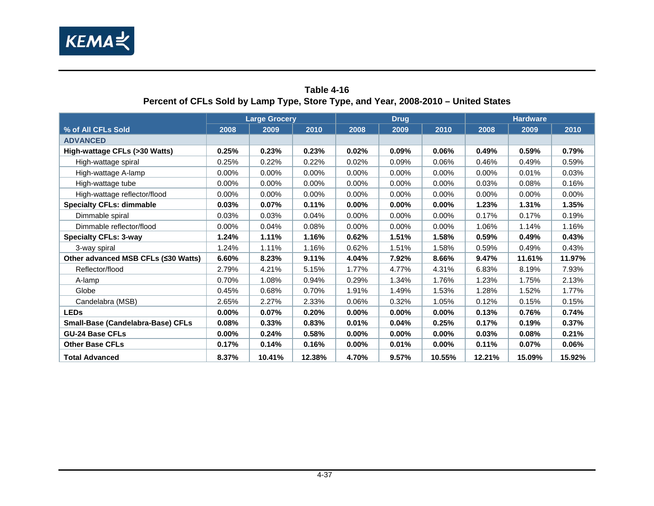

<span id="page-56-0"></span>

|                                     |          | <b>Large Grocery</b> |          |          | <b>Drug</b> |          |        | <b>Hardware</b> |          |  |  |
|-------------------------------------|----------|----------------------|----------|----------|-------------|----------|--------|-----------------|----------|--|--|
| % of All CFLs Sold                  | 2008     | 2009                 | 2010     | 2008     | 2009        | 2010     | 2008   | 2009            | 2010     |  |  |
| <b>ADVANCED</b>                     |          |                      |          |          |             |          |        |                 |          |  |  |
| High-wattage CFLs (>30 Watts)       | 0.25%    | 0.23%                | 0.23%    | 0.02%    | 0.09%       | 0.06%    | 0.49%  | 0.59%           | 0.79%    |  |  |
| High-wattage spiral                 | 0.25%    | 0.22%                | 0.22%    | 0.02%    | 0.09%       | 0.06%    | 0.46%  | 0.49%           | 0.59%    |  |  |
| High-wattage A-lamp                 | $0.00\%$ | 0.00%                | $0.00\%$ | $0.00\%$ | 0.00%       | 0.00%    | 0.00%  | 0.01%           | 0.03%    |  |  |
| High-wattage tube                   | $0.00\%$ | $0.00\%$             | $0.00\%$ | $0.00\%$ | $0.00\%$    | $0.00\%$ | 0.03%  | 0.08%           | 0.16%    |  |  |
| High-wattage reflector/flood        | $0.00\%$ | $0.00\%$             | 0.00%    | 0.00%    | 0.00%       | 0.00%    | 0.00%  | 0.00%           | $0.00\%$ |  |  |
| <b>Specialty CFLs: dimmable</b>     | 0.03%    | 0.07%                | 0.11%    | $0.00\%$ | $0.00\%$    | 0.00%    | 1.23%  | 1.31%           | 1.35%    |  |  |
| Dimmable spiral                     | 0.03%    | 0.03%                | 0.04%    | $0.00\%$ | $0.00\%$    | $0.00\%$ | 0.17%  | 0.17%           | 0.19%    |  |  |
| Dimmable reflector/flood            | $0.00\%$ | 0.04%                | 0.08%    | 0.00%    | 0.00%       | 0.00%    | 1.06%  | 1.14%           | 1.16%    |  |  |
| <b>Specialty CFLs: 3-way</b>        | 1.24%    | 1.11%                | 1.16%    | 0.62%    | 1.51%       | 1.58%    | 0.59%  | 0.49%           | 0.43%    |  |  |
| 3-way spiral                        | 1.24%    | 1.11%                | 1.16%    | 0.62%    | 1.51%       | 1.58%    | 0.59%  | 0.49%           | 0.43%    |  |  |
| Other advanced MSB CFLs (≤30 Watts) | 6.60%    | 8.23%                | 9.11%    | 4.04%    | 7.92%       | 8.66%    | 9.47%  | 11.61%          | 11.97%   |  |  |
| Reflector/flood                     | 2.79%    | 4.21%                | 5.15%    | 1.77%    | 4.77%       | 4.31%    | 6.83%  | 8.19%           | 7.93%    |  |  |
| A-lamp                              | 0.70%    | 1.08%                | 0.94%    | 0.29%    | 1.34%       | 1.76%    | 1.23%  | 1.75%           | 2.13%    |  |  |
| Globe                               | 0.45%    | 0.68%                | 0.70%    | 1.91%    | 1.49%       | 1.53%    | 1.28%  | 1.52%           | 1.77%    |  |  |
| Candelabra (MSB)                    | 2.65%    | 2.27%                | 2.33%    | 0.06%    | 0.32%       | 1.05%    | 0.12%  | 0.15%           | 0.15%    |  |  |
| <b>LEDs</b>                         | $0.00\%$ | 0.07%                | 0.20%    | 0.00%    | $0.00\%$    | $0.00\%$ | 0.13%  | 0.76%           | 0.74%    |  |  |
| Small-Base (Candelabra-Base) CFLs   | 0.08%    | 0.33%                | 0.83%    | 0.01%    | 0.04%       | 0.25%    | 0.17%  | 0.19%           | 0.37%    |  |  |
| <b>GU-24 Base CFLs</b>              | $0.00\%$ | 0.24%                | 0.58%    | $0.00\%$ | 0.00%       | $0.00\%$ | 0.03%  | 0.08%           | 0.21%    |  |  |
| <b>Other Base CFLs</b>              | 0.17%    | 0.14%                | 0.16%    | $0.00\%$ | 0.01%       | $0.00\%$ | 0.11%  | 0.07%           | $0.06\%$ |  |  |
| <b>Total Advanced</b>               | 8.37%    | 10.41%               | 12.38%   | 4.70%    | 9.57%       | 10.55%   | 12.21% | 15.09%          | 15.92%   |  |  |

#### **Table 4-16 Percent of CFLs Sold by Lamp Type, Store Type, and Year, 2008-2010 – United States**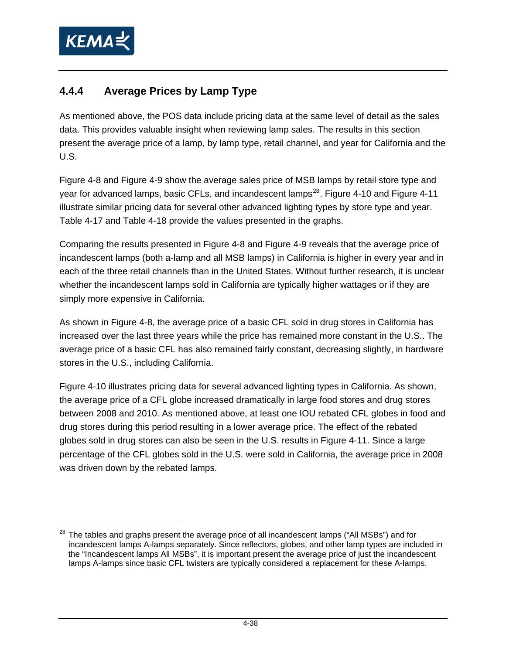<span id="page-57-1"></span>

### <span id="page-57-0"></span>**4.4.4 Average Prices by Lamp Type**

As mentioned above, the POS data include pricing data at the same level of detail as the sales data. This provides valuable insight when reviewing lamp sales. The results in this section present the average price of a lamp, by lamp type, retail channel, and year for California and the U.S.

[Figure 4-8](#page-58-0) and [Figure 4-9](#page-59-0) show the average sales price of MSB lamps by retail store type and year for advanced lamps, basic CFLs, and incandescent lamps<sup>[28](#page-57-1)</sup>. [Figure 4-10](#page-60-0) and [Figure 4-11](#page-61-0) illustrate similar pricing data for several other advanced lighting types by store type and year. [Table 4-17](#page-62-0) and [Table 4-18](#page-63-0) provide the values presented in the graphs.

Comparing the results presented in [Figure 4-8](#page-58-0) and [Figure 4-9](#page-59-0) reveals that the average price of incandescent lamps (both a-lamp and all MSB lamps) in California is higher in every year and in each of the three retail channels than in the United States. Without further research, it is unclear whether the incandescent lamps sold in California are typically higher wattages or if they are simply more expensive in California.

As shown in [Figure 4-8](#page-58-0), the average price of a basic CFL sold in drug stores in California has increased over the last three years while the price has remained more constant in the U.S.. The average price of a basic CFL has also remained fairly constant, decreasing slightly, in hardware stores in the U.S., including California.

[Figure 4-10](#page-60-0) illustrates pricing data for several advanced lighting types in California. As shown, the average price of a CFL globe increased dramatically in large food stores and drug stores between 2008 and 2010. As mentioned above, at least one IOU rebated CFL globes in food and drug stores during this period resulting in a lower average price. The effect of the rebated globes sold in drug stores can also be seen in the U.S. results in [Figure 4-11](#page-61-0). Since a large percentage of the CFL globes sold in the U.S. were sold in California, the average price in 2008 was driven down by the rebated lamps.

<sup>&</sup>lt;sup>28</sup> The tables and graphs present the average price of all incandescent lamps ("All MSBs") and for incandescent lamps A-lamps separately. Since reflectors, globes, and other lamp types are included in the "Incandescent lamps All MSBs", it is important present the average price of just the incandescent lamps A-lamps since basic CFL twisters are typically considered a replacement for these A-lamps.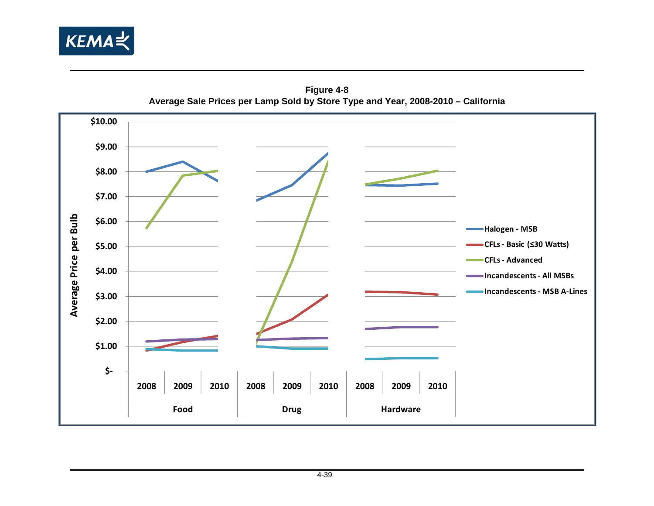

**Figure 4-8 Average Sale Prices per Lamp Sold by Store Type and Year, 2008-2010 – California** 

<span id="page-58-0"></span>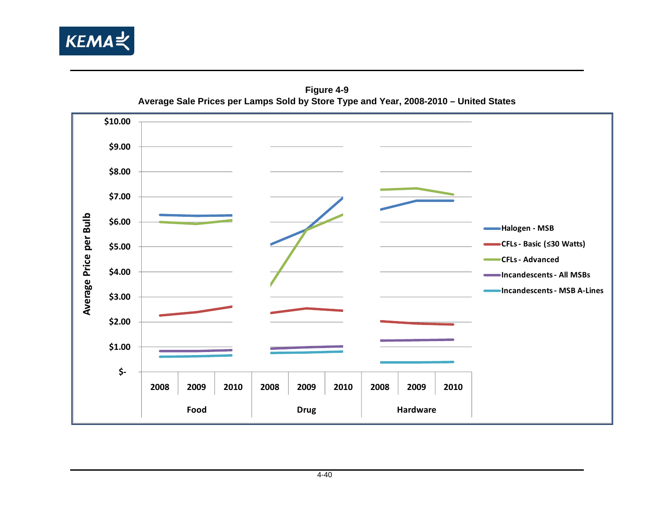

**Figure 4-9 Average Sale Prices per Lamps Sold by Store Type and Year, 2008-2010 – United States** 

<span id="page-59-0"></span>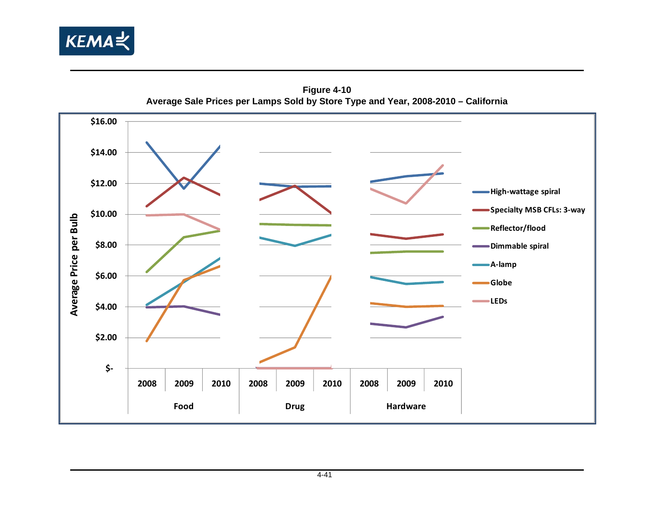

**Figure 4-10 Average Sale Prices per Lamps Sold by Store Type and Year, 2008-2010 – California** 

<span id="page-60-0"></span>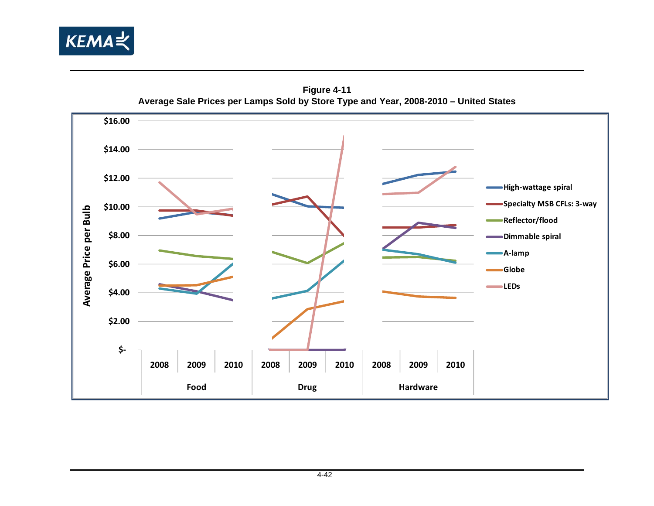

**Figure 4-11 Average Sale Prices per Lamps Sold by Store Type and Year, 2008-2010 – United States** 

<span id="page-61-0"></span>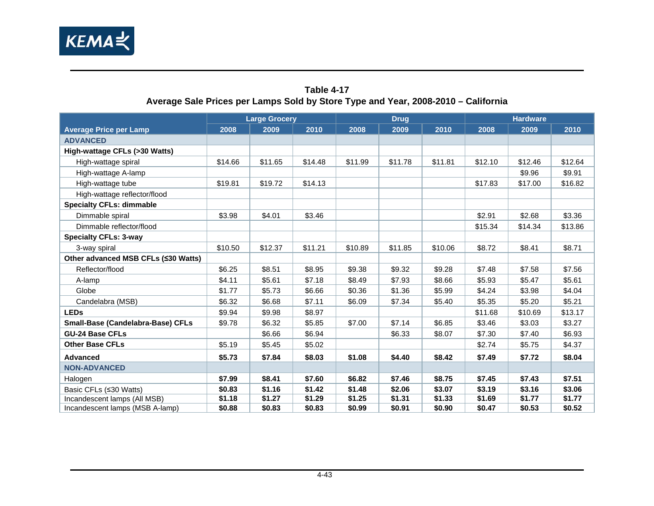

#### **Table 4-17 Average Sale Prices per Lamps Sold by Store Type and Year, 2008-2010 – California**

<span id="page-62-0"></span>

|                                     |         | <b>Large Grocery</b> |         |         | <b>Drug</b> |         | <b>Hardware</b> |         |         |  |
|-------------------------------------|---------|----------------------|---------|---------|-------------|---------|-----------------|---------|---------|--|
| <b>Average Price per Lamp</b>       | 2008    | 2009                 | 2010    | 2008    | 2009        | 2010    | 2008            | 2009    | 2010    |  |
| <b>ADVANCED</b>                     |         |                      |         |         |             |         |                 |         |         |  |
| High-wattage CFLs (>30 Watts)       |         |                      |         |         |             |         |                 |         |         |  |
| High-wattage spiral                 | \$14.66 | \$11.65              | \$14.48 | \$11.99 | \$11.78     | \$11.81 | \$12.10         | \$12.46 | \$12.64 |  |
| High-wattage A-lamp                 |         |                      |         |         |             |         |                 | \$9.96  | \$9.91  |  |
| High-wattage tube                   | \$19.81 | \$19.72              | \$14.13 |         |             |         | \$17.83         | \$17.00 | \$16.82 |  |
| High-wattage reflector/flood        |         |                      |         |         |             |         |                 |         |         |  |
| <b>Specialty CFLs: dimmable</b>     |         |                      |         |         |             |         |                 |         |         |  |
| Dimmable spiral                     | \$3.98  | \$4.01               | \$3.46  |         |             |         | \$2.91          | \$2.68  | \$3.36  |  |
| Dimmable reflector/flood            |         |                      |         |         |             |         | \$15.34         | \$14.34 | \$13.86 |  |
| <b>Specialty CFLs: 3-way</b>        |         |                      |         |         |             |         |                 |         |         |  |
| 3-way spiral                        | \$10.50 | \$12.37              | \$11.21 | \$10.89 | \$11.85     | \$10.06 | \$8.72          | \$8.41  | \$8.71  |  |
| Other advanced MSB CFLs (≤30 Watts) |         |                      |         |         |             |         |                 |         |         |  |
| Reflector/flood                     | \$6.25  | \$8.51               | \$8.95  | \$9.38  | \$9.32      | \$9.28  | \$7.48          | \$7.58  | \$7.56  |  |
| A-lamp                              | \$4.11  | \$5.61               | \$7.18  | \$8.49  | \$7.93      | \$8.66  | \$5.93          | \$5.47  | \$5.61  |  |
| Globe                               | \$1.77  | \$5.73               | \$6.66  | \$0.36  | \$1.36      | \$5.99  | \$4.24          | \$3.98  | \$4.04  |  |
| Candelabra (MSB)                    | \$6.32  | \$6.68               | \$7.11  | \$6.09  | \$7.34      | \$5.40  | \$5.35          | \$5.20  | \$5.21  |  |
| <b>LEDs</b>                         | \$9.94  | \$9.98               | \$8.97  |         |             |         | \$11.68         | \$10.69 | \$13.17 |  |
| Small-Base (Candelabra-Base) CFLs   | \$9.78  | \$6.32               | \$5.85  | \$7.00  | \$7.14      | \$6.85  | \$3.46          | \$3.03  | \$3.27  |  |
| <b>GU-24 Base CFLs</b>              |         | \$6.66               | \$6.94  |         | \$6.33      | \$8.07  | \$7.30          | \$7.40  | \$6.93  |  |
| <b>Other Base CFLs</b>              | \$5.19  | \$5.45               | \$5.02  |         |             |         | \$2.74          | \$5.75  | \$4.37  |  |
| <b>Advanced</b>                     | \$5.73  | \$7.84               | \$8.03  | \$1.08  | \$4.40      | \$8.42  | \$7.49          | \$7.72  | \$8.04  |  |
| <b>NON-ADVANCED</b>                 |         |                      |         |         |             |         |                 |         |         |  |
| Halogen                             | \$7.99  | \$8.41               | \$7.60  | \$6.82  | \$7.46      | \$8.75  | \$7.45          | \$7.43  | \$7.51  |  |
| Basic CFLs (≤30 Watts)              | \$0.83  | \$1.16               | \$1.42  | \$1.48  | \$2.06      | \$3.07  | \$3.19          | \$3.16  | \$3.06  |  |
| Incandescent lamps (All MSB)        | \$1.18  | \$1.27               | \$1.29  | \$1.25  | \$1.31      | \$1.33  | \$1.69          | \$1.77  | \$1.77  |  |
| Incandescent lamps (MSB A-lamp)     | \$0.88  | \$0.83               | \$0.83  | \$0.99  | \$0.91      | \$0.90  | \$0.47          | \$0.53  | \$0.52  |  |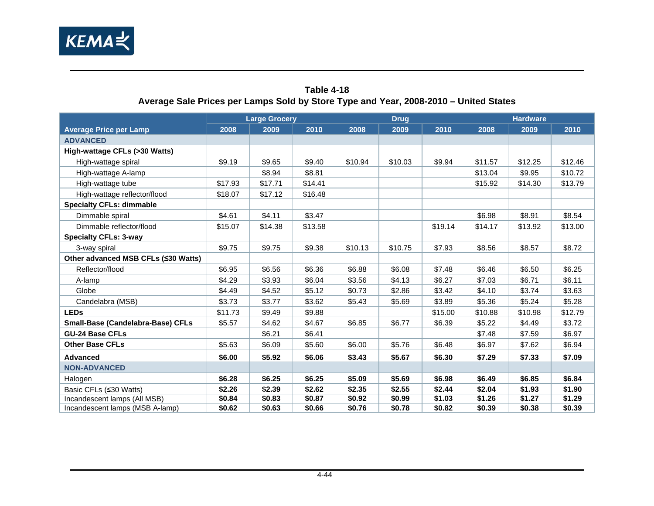

#### **Table 4-18 Average Sale Prices per Lamps Sold by Store Type and Year, 2008-2010 – United States**

<span id="page-63-0"></span>

|                                          | <b>Large Grocery</b> |         |         | <b>Drug</b> |         |         | <b>Hardware</b> |         |         |
|------------------------------------------|----------------------|---------|---------|-------------|---------|---------|-----------------|---------|---------|
| <b>Average Price per Lamp</b>            | 2008                 | 2009    | 2010    | 2008        | 2009    | 2010    | 2008            | 2009    | 2010    |
| <b>ADVANCED</b>                          |                      |         |         |             |         |         |                 |         |         |
| High-wattage CFLs (>30 Watts)            |                      |         |         |             |         |         |                 |         |         |
| High-wattage spiral                      | \$9.19               | \$9.65  | \$9.40  | \$10.94     | \$10.03 | \$9.94  | \$11.57         | \$12.25 | \$12.46 |
| High-wattage A-lamp                      |                      | \$8.94  | \$8.81  |             |         |         | \$13.04         | \$9.95  | \$10.72 |
| High-wattage tube                        | \$17.93              | \$17.71 | \$14.41 |             |         |         | \$15.92         | \$14.30 | \$13.79 |
| High-wattage reflector/flood             | \$18.07              | \$17.12 | \$16.48 |             |         |         |                 |         |         |
| <b>Specialty CFLs: dimmable</b>          |                      |         |         |             |         |         |                 |         |         |
| Dimmable spiral                          | \$4.61               | \$4.11  | \$3.47  |             |         |         | \$6.98          | \$8.91  | \$8.54  |
| Dimmable reflector/flood                 | \$15.07              | \$14.38 | \$13.58 |             |         | \$19.14 | \$14.17         | \$13.92 | \$13.00 |
| <b>Specialty CFLs: 3-way</b>             |                      |         |         |             |         |         |                 |         |         |
| 3-way spiral                             | \$9.75               | \$9.75  | \$9.38  | \$10.13     | \$10.75 | \$7.93  | \$8.56          | \$8.57  | \$8.72  |
| Other advanced MSB CFLs (≤30 Watts)      |                      |         |         |             |         |         |                 |         |         |
| Reflector/flood                          | \$6.95               | \$6.56  | \$6.36  | \$6.88      | \$6.08  | \$7.48  | \$6.46          | \$6.50  | \$6.25  |
| A-lamp                                   | \$4.29               | \$3.93  | \$6.04  | \$3.56      | \$4.13  | \$6.27  | \$7.03          | \$6.71  | \$6.11  |
| Globe                                    | \$4.49               | \$4.52  | \$5.12  | \$0.73      | \$2.86  | \$3.42  | \$4.10          | \$3.74  | \$3.63  |
| Candelabra (MSB)                         | \$3.73               | \$3.77  | \$3.62  | \$5.43      | \$5.69  | \$3.89  | \$5.36          | \$5.24  | \$5.28  |
| <b>LEDs</b>                              | \$11.73              | \$9.49  | \$9.88  |             |         | \$15.00 | \$10.88         | \$10.98 | \$12.79 |
| <b>Small-Base (Candelabra-Base) CFLs</b> | \$5.57               | \$4.62  | \$4.67  | \$6.85      | \$6.77  | \$6.39  | \$5.22          | \$4.49  | \$3.72  |
| <b>GU-24 Base CFLs</b>                   |                      | \$6.21  | \$6.41  |             |         |         | \$7.48          | \$7.59  | \$6.97  |
| <b>Other Base CFLs</b>                   | \$5.63               | \$6.09  | \$5.60  | \$6.00      | \$5.76  | \$6.48  | \$6.97          | \$7.62  | \$6.94  |
| <b>Advanced</b>                          | \$6.00               | \$5.92  | \$6.06  | \$3.43      | \$5.67  | \$6.30  | \$7.29          | \$7.33  | \$7.09  |
| <b>NON-ADVANCED</b>                      |                      |         |         |             |         |         |                 |         |         |
| Halogen                                  | \$6.28               | \$6.25  | \$6.25  | \$5.09      | \$5.69  | \$6.98  | \$6.49          | \$6.85  | \$6.84  |
| Basic CFLs (≤30 Watts)                   | \$2.26               | \$2.39  | \$2.62  | \$2.35      | \$2.55  | \$2.44  | \$2.04          | \$1.93  | \$1.90  |
| Incandescent lamps (All MSB)             | \$0.84               | \$0.83  | \$0.87  | \$0.92      | \$0.99  | \$1.03  | \$1.26          | \$1.27  | \$1.29  |
| Incandescent lamps (MSB A-lamp)          | \$0.62               | \$0.63  | \$0.66  | \$0.76      | \$0.78  | \$0.82  | \$0.39          | \$0.38  | \$0.39  |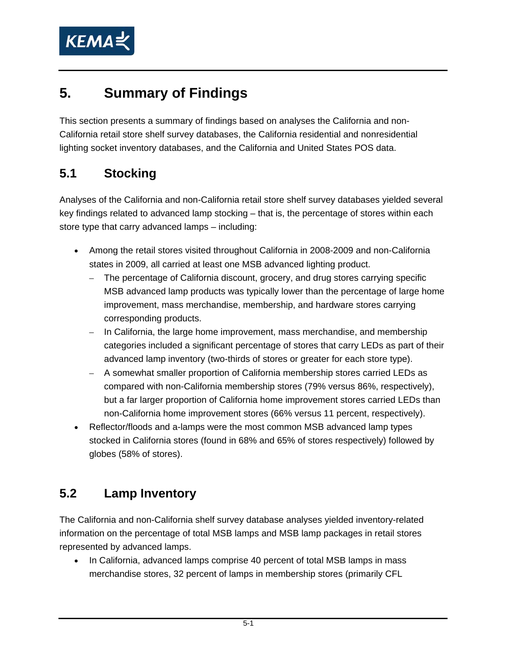

# **5. Summary of Findings**

This section presents a summary of findings based on analyses the California and non-California retail store shelf survey databases, the California residential and nonresidential lighting socket inventory databases, and the California and United States POS data.

## **5.1 Stocking**

Analyses of the California and non-California retail store shelf survey databases yielded several key findings related to advanced lamp stocking – that is, the percentage of stores within each store type that carry advanced lamps – including:

- Among the retail stores visited throughout California in 2008-2009 and non-California states in 2009, all carried at least one MSB advanced lighting product.
	- The percentage of California discount, grocery, and drug stores carrying specific MSB advanced lamp products was typically lower than the percentage of large home improvement, mass merchandise, membership, and hardware stores carrying corresponding products.
	- In California, the large home improvement, mass merchandise, and membership categories included a significant percentage of stores that carry LEDs as part of their advanced lamp inventory (two-thirds of stores or greater for each store type).
	- A somewhat smaller proportion of California membership stores carried LEDs as compared with non-California membership stores (79% versus 86%, respectively), but a far larger proportion of California home improvement stores carried LEDs than non-California home improvement stores (66% versus 11 percent, respectively).
- Reflector/floods and a-lamps were the most common MSB advanced lamp types stocked in California stores (found in 68% and 65% of stores respectively) followed by globes (58% of stores).

## **5.2 Lamp Inventory**

The California and non-California shelf survey database analyses yielded inventory-related information on the percentage of total MSB lamps and MSB lamp packages in retail stores represented by advanced lamps.

• In California, advanced lamps comprise 40 percent of total MSB lamps in mass merchandise stores, 32 percent of lamps in membership stores (primarily CFL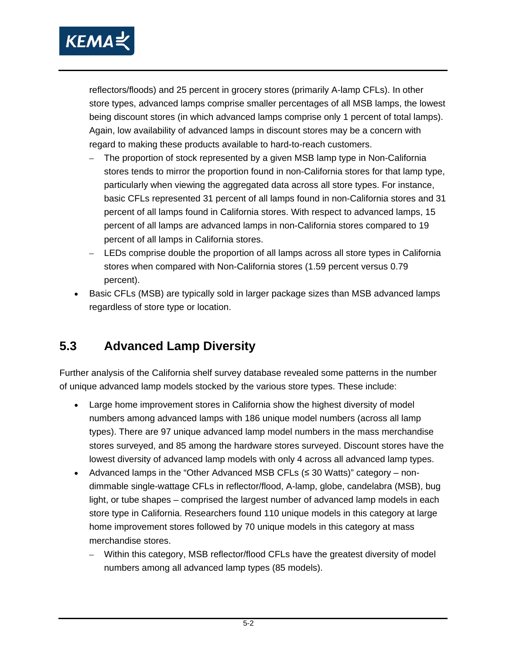

reflectors/floods) and 25 percent in grocery stores (primarily A-lamp CFLs). In other store types, advanced lamps comprise smaller percentages of all MSB lamps, the lowest being discount stores (in which advanced lamps comprise only 1 percent of total lamps). Again, low availability of advanced lamps in discount stores may be a concern with regard to making these products available to hard-to-reach customers.

- The proportion of stock represented by a given MSB lamp type in Non-California stores tends to mirror the proportion found in non-California stores for that lamp type, particularly when viewing the aggregated data across all store types. For instance, basic CFLs represented 31 percent of all lamps found in non-California stores and 31 percent of all lamps found in California stores. With respect to advanced lamps, 15 percent of all lamps are advanced lamps in non-California stores compared to 19 percent of all lamps in California stores.
- LEDs comprise double the proportion of all lamps across all store types in California stores when compared with Non-California stores (1.59 percent versus 0.79 percent).
- Basic CFLs (MSB) are typically sold in larger package sizes than MSB advanced lamps regardless of store type or location.

## **5.3 Advanced Lamp Diversity**

Further analysis of the California shelf survey database revealed some patterns in the number of unique advanced lamp models stocked by the various store types. These include:

- Large home improvement stores in California show the highest diversity of model numbers among advanced lamps with 186 unique model numbers (across all lamp types). There are 97 unique advanced lamp model numbers in the mass merchandise stores surveyed, and 85 among the hardware stores surveyed. Discount stores have the lowest diversity of advanced lamp models with only 4 across all advanced lamp types.
- Advanced lamps in the "Other Advanced MSB CFLs (≤ 30 Watts)" category nondimmable single-wattage CFLs in reflector/flood, A-lamp, globe, candelabra (MSB), bug light, or tube shapes – comprised the largest number of advanced lamp models in each store type in California. Researchers found 110 unique models in this category at large home improvement stores followed by 70 unique models in this category at mass merchandise stores.
	- Within this category, MSB reflector/flood CFLs have the greatest diversity of model numbers among all advanced lamp types (85 models).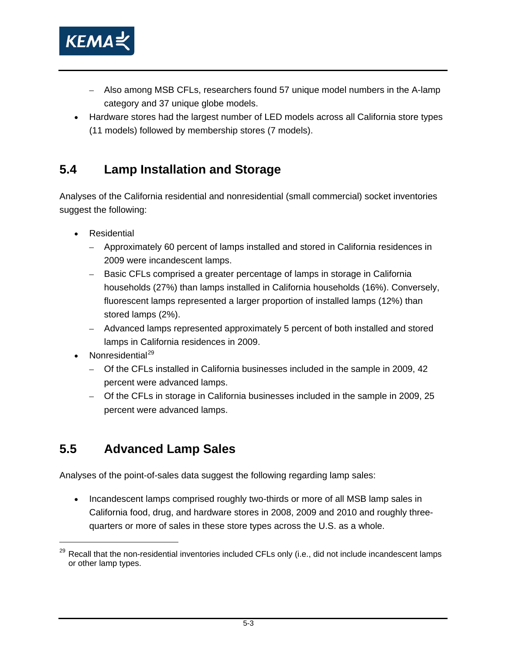<span id="page-66-0"></span>

- Also among MSB CFLs, researchers found 57 unique model numbers in the A-lamp category and 37 unique globe models.
- Hardware stores had the largest number of LED models across all California store types (11 models) followed by membership stores (7 models).

## **5.4 Lamp Installation and Storage**

Analyses of the California residential and nonresidential (small commercial) socket inventories suggest the following:

- **Residential** 
	- Approximately 60 percent of lamps installed and stored in California residences in 2009 were incandescent lamps.
	- Basic CFLs comprised a greater percentage of lamps in storage in California households (27%) than lamps installed in California households (16%). Conversely, fluorescent lamps represented a larger proportion of installed lamps (12%) than stored lamps (2%).
	- Advanced lamps represented approximately 5 percent of both installed and stored lamps in California residences in 2009.
- Nonresidential $^{29}$  $^{29}$  $^{29}$

-

- Of the CFLs installed in California businesses included in the sample in 2009, 42 percent were advanced lamps.
- Of the CFLs in storage in California businesses included in the sample in 2009, 25 percent were advanced lamps.

### **5.5 Advanced Lamp Sales**

Analyses of the point-of-sales data suggest the following regarding lamp sales:

• Incandescent lamps comprised roughly two-thirds or more of all MSB lamp sales in California food, drug, and hardware stores in 2008, 2009 and 2010 and roughly threequarters or more of sales in these store types across the U.S. as a whole.

<sup>&</sup>lt;sup>29</sup> Recall that the non-residential inventories included CFLs only (i.e., did not include incandescent lamps or other lamp types.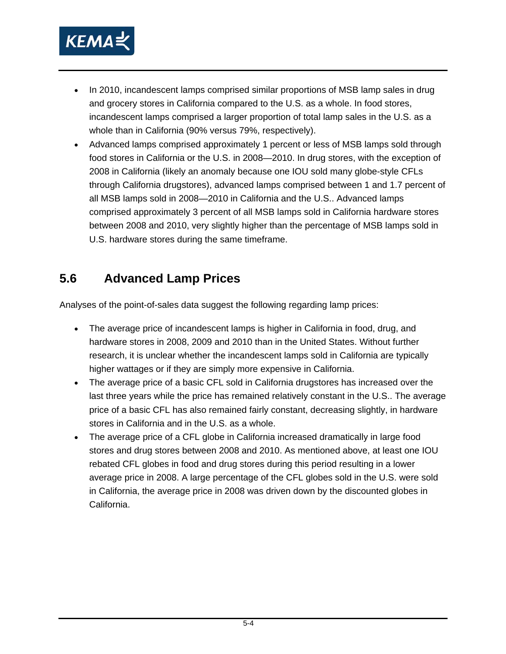

- In 2010, incandescent lamps comprised similar proportions of MSB lamp sales in drug and grocery stores in California compared to the U.S. as a whole. In food stores, incandescent lamps comprised a larger proportion of total lamp sales in the U.S. as a whole than in California (90% versus 79%, respectively).
- Advanced lamps comprised approximately 1 percent or less of MSB lamps sold through food stores in California or the U.S. in 2008—2010. In drug stores, with the exception of 2008 in California (likely an anomaly because one IOU sold many globe-style CFLs through California drugstores), advanced lamps comprised between 1 and 1.7 percent of all MSB lamps sold in 2008—2010 in California and the U.S.. Advanced lamps comprised approximately 3 percent of all MSB lamps sold in California hardware stores between 2008 and 2010, very slightly higher than the percentage of MSB lamps sold in U.S. hardware stores during the same timeframe.

### **5.6 Advanced Lamp Prices**

Analyses of the point-of-sales data suggest the following regarding lamp prices:

- The average price of incandescent lamps is higher in California in food, drug, and hardware stores in 2008, 2009 and 2010 than in the United States. Without further research, it is unclear whether the incandescent lamps sold in California are typically higher wattages or if they are simply more expensive in California.
- The average price of a basic CFL sold in California drugstores has increased over the last three years while the price has remained relatively constant in the U.S.. The average price of a basic CFL has also remained fairly constant, decreasing slightly, in hardware stores in California and in the U.S. as a whole.
- The average price of a CFL globe in California increased dramatically in large food stores and drug stores between 2008 and 2010. As mentioned above, at least one IOU rebated CFL globes in food and drug stores during this period resulting in a lower average price in 2008. A large percentage of the CFL globes sold in the U.S. were sold in California, the average price in 2008 was driven down by the discounted globes in California.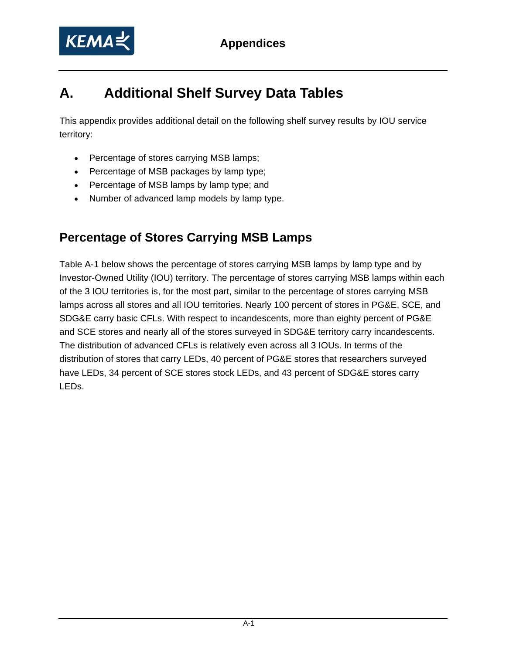

# **A. Additional Shelf Survey Data Tables**

This appendix provides additional detail on the following shelf survey results by IOU service territory:

- Percentage of stores carrying MSB lamps;
- Percentage of MSB packages by lamp type;
- Percentage of MSB lamps by lamp type; and
- Number of advanced lamp models by lamp type.

## **Percentage of Stores Carrying MSB Lamps**

Table A-1 below shows the percentage of stores carrying MSB lamps by lamp type and by Investor-Owned Utility (IOU) territory. The percentage of stores carrying MSB lamps within each of the 3 IOU territories is, for the most part, similar to the percentage of stores carrying MSB lamps across all stores and all IOU territories. Nearly 100 percent of stores in PG&E, SCE, and SDG&E carry basic CFLs. With respect to incandescents, more than eighty percent of PG&E and SCE stores and nearly all of the stores surveyed in SDG&E territory carry incandescents. The distribution of advanced CFLs is relatively even across all 3 IOUs. In terms of the distribution of stores that carry LEDs, 40 percent of PG&E stores that researchers surveyed have LEDs, 34 percent of SCE stores stock LEDs, and 43 percent of SDG&E stores carry LEDs.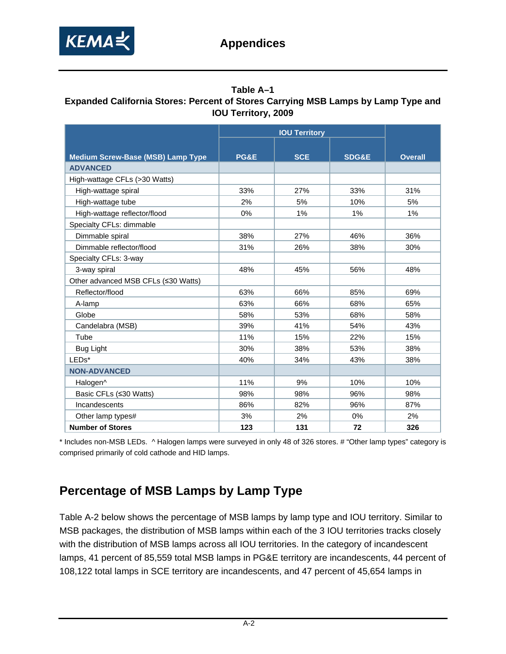

#### **Table A–1 Expanded California Stores: Percent of Stores Carrying MSB Lamps by Lamp Type and IOU Territory, 2009**

| <b>Medium Screw-Base (MSB) Lamp Type</b> | PG&E | <b>SCE</b> | <b>SDG&amp;E</b> | <b>Overall</b> |
|------------------------------------------|------|------------|------------------|----------------|
| <b>ADVANCED</b>                          |      |            |                  |                |
| High-wattage CFLs (>30 Watts)            |      |            |                  |                |
| High-wattage spiral                      | 33%  | 27%        | 33%              | 31%            |
| High-wattage tube                        | 2%   | 5%         | 10%              | 5%             |
| High-wattage reflector/flood             | 0%   | 1%         | 1%               | 1%             |
| Specialty CFLs: dimmable                 |      |            |                  |                |
| Dimmable spiral                          | 38%  | 27%        | 46%              | 36%            |
| Dimmable reflector/flood                 | 31%  | 26%        | 38%              | 30%            |
| Specialty CFLs: 3-way                    |      |            |                  |                |
| 3-way spiral                             | 48%  | 45%        | 56%              | 48%            |
| Other advanced MSB CFLs (≤30 Watts)      |      |            |                  |                |
| Reflector/flood                          | 63%  | 66%        | 85%              | 69%            |
| A-lamp                                   | 63%  | 66%        | 68%              | 65%            |
| Globe                                    | 58%  | 53%        | 68%              | 58%            |
| Candelabra (MSB)                         | 39%  | 41%        | 54%              | 43%            |
| Tube                                     | 11%  | 15%        | 22%              | 15%            |
| <b>Bug Light</b>                         | 30%  | 38%        | 53%              | 38%            |
| LEDs*                                    | 40%  | 34%        | 43%              | 38%            |
| <b>NON-ADVANCED</b>                      |      |            |                  |                |
| Halogen <sup>^</sup>                     | 11%  | 9%         | 10%              | 10%            |
| Basic CFLs (≤30 Watts)                   | 98%  | 98%        | 96%              | 98%            |
| Incandescents                            | 86%  | 82%        | 96%              | 87%            |
| Other lamp types#                        | 3%   | 2%         | 0%               | 2%             |
| <b>Number of Stores</b>                  | 123  | 131        | 72               | 326            |

\* Includes non-MSB LEDs. ^ Halogen lamps were surveyed in only 48 of 326 stores. # "Other lamp types" category is comprised primarily of cold cathode and HID lamps.

## **Percentage of MSB Lamps by Lamp Type**

Table A-2 below shows the percentage of MSB lamps by lamp type and IOU territory. Similar to MSB packages, the distribution of MSB lamps within each of the 3 IOU territories tracks closely with the distribution of MSB lamps across all IOU territories. In the category of incandescent lamps, 41 percent of 85,559 total MSB lamps in PG&E territory are incandescents, 44 percent of 108,122 total lamps in SCE territory are incandescents, and 47 percent of 45,654 lamps in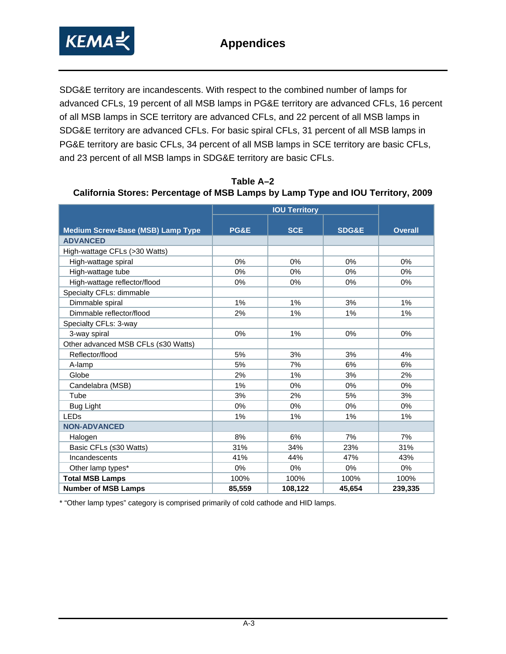

SDG&E territory are incandescents. With respect to the combined number of lamps for advanced CFLs, 19 percent of all MSB lamps in PG&E territory are advanced CFLs, 16 percent of all MSB lamps in SCE territory are advanced CFLs, and 22 percent of all MSB lamps in SDG&E territory are advanced CFLs. For basic spiral CFLs, 31 percent of all MSB lamps in PG&E territory are basic CFLs, 34 percent of all MSB lamps in SCE territory are basic CFLs, and 23 percent of all MSB lamps in SDG&E territory are basic CFLs.

| <b>Medium Screw-Base (MSB) Lamp Type</b> | PG&E   | <b>SCE</b> | <b>SDG&amp;E</b> | <b>Overall</b> |
|------------------------------------------|--------|------------|------------------|----------------|
| <b>ADVANCED</b>                          |        |            |                  |                |
| High-wattage CFLs (>30 Watts)            |        |            |                  |                |
| High-wattage spiral                      | 0%     | 0%         | 0%               | 0%             |
| High-wattage tube                        | 0%     | 0%         | 0%               | 0%             |
| High-wattage reflector/flood             | 0%     | 0%         | 0%               | 0%             |
| Specialty CFLs: dimmable                 |        |            |                  |                |
| Dimmable spiral                          | 1%     | 1%         | 3%               | 1%             |
| Dimmable reflector/flood                 | 2%     | 1%         | 1%               | 1%             |
| Specialty CFLs: 3-way                    |        |            |                  |                |
| 3-way spiral                             | 0%     | 1%         | 0%               | $0\%$          |
| Other advanced MSB CFLs (≤30 Watts)      |        |            |                  |                |
| Reflector/flood                          | 5%     | 3%         | 3%               | 4%             |
| A-lamp                                   | 5%     | 7%         | 6%               | 6%             |
| Globe                                    | 2%     | 1%         | 3%               | 2%             |
| Candelabra (MSB)                         | 1%     | 0%         | 0%               | 0%             |
| Tube                                     | 3%     | 2%         | 5%               | 3%             |
| <b>Bug Light</b>                         | 0%     | $0\%$      | $0\%$            | $0\%$          |
| <b>LEDs</b>                              | 1%     | 1%         | 1%               | 1%             |
| <b>NON-ADVANCED</b>                      |        |            |                  |                |
| Halogen                                  | 8%     | 6%         | 7%               | 7%             |
| Basic CFLs (≤30 Watts)                   | 31%    | 34%        | 23%              | 31%            |
| Incandescents                            | 41%    | 44%        | 47%              | 43%            |
| Other lamp types*                        | 0%     | 0%         | 0%               | 0%             |
| <b>Total MSB Lamps</b>                   | 100%   | 100%       | 100%             | 100%           |
| <b>Number of MSB Lamps</b>               | 85,559 | 108,122    | 45,654           | 239,335        |

**Table A–2 California Stores: Percentage of MSB Lamps by Lamp Type and IOU Territory, 2009** 

\* "Other lamp types" category is comprised primarily of cold cathode and HID lamps.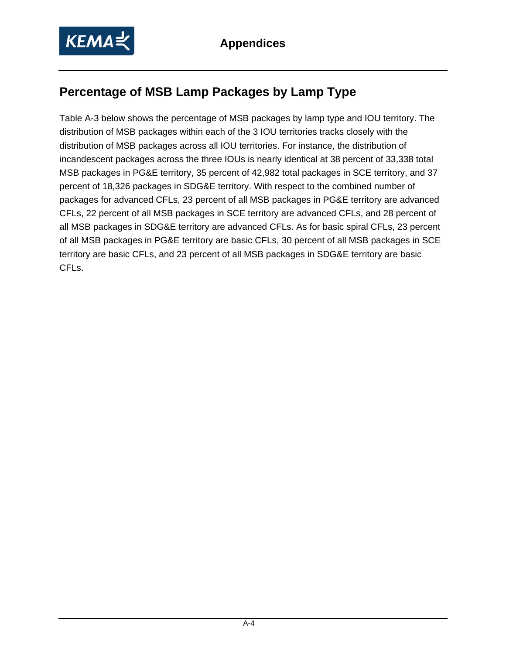## **Percentage of MSB Lamp Packages by Lamp Type**

Table A-3 below shows the percentage of MSB packages by lamp type and IOU territory. The distribution of MSB packages within each of the 3 IOU territories tracks closely with the distribution of MSB packages across all IOU territories. For instance, the distribution of incandescent packages across the three IOUs is nearly identical at 38 percent of 33,338 total MSB packages in PG&E territory, 35 percent of 42,982 total packages in SCE territory, and 37 percent of 18,326 packages in SDG&E territory. With respect to the combined number of packages for advanced CFLs, 23 percent of all MSB packages in PG&E territory are advanced CFLs, 22 percent of all MSB packages in SCE territory are advanced CFLs, and 28 percent of all MSB packages in SDG&E territory are advanced CFLs. As for basic spiral CFLs, 23 percent of all MSB packages in PG&E territory are basic CFLs, 30 percent of all MSB packages in SCE territory are basic CFLs, and 23 percent of all MSB packages in SDG&E territory are basic CFLs.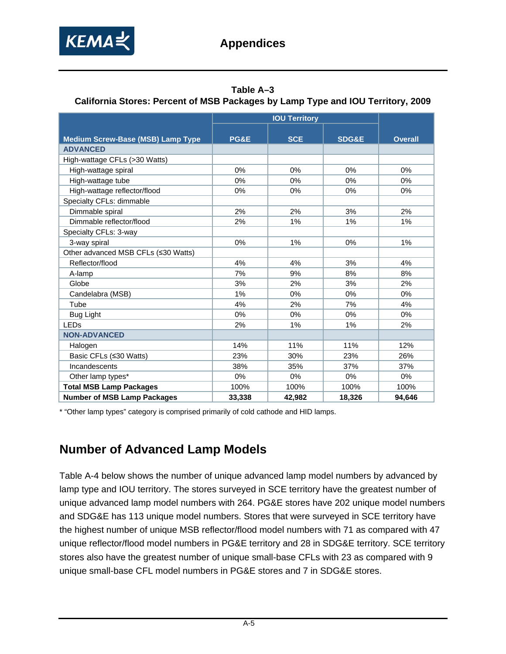

### **Table A–3**

### **California Stores: Percent of MSB Packages by Lamp Type and IOU Territory, 2009**

|                                          | <b>IOU Territory</b> |            |                  |                |  |
|------------------------------------------|----------------------|------------|------------------|----------------|--|
|                                          |                      |            |                  |                |  |
| <b>Medium Screw-Base (MSB) Lamp Type</b> | PG&E                 | <b>SCE</b> | <b>SDG&amp;E</b> | <b>Overall</b> |  |
| <b>ADVANCED</b>                          |                      |            |                  |                |  |
| High-wattage CFLs (>30 Watts)            |                      |            |                  |                |  |
| High-wattage spiral                      | 0%                   | 0%         | 0%               | 0%             |  |
| High-wattage tube                        | 0%                   | 0%         | 0%               | 0%             |  |
| High-wattage reflector/flood             | 0%                   | 0%         | 0%               | 0%             |  |
| Specialty CFLs: dimmable                 |                      |            |                  |                |  |
| Dimmable spiral                          | 2%                   | 2%         | 3%               | 2%             |  |
| Dimmable reflector/flood                 | 2%                   | 1%         | 1%               | 1%             |  |
| Specialty CFLs: 3-way                    |                      |            |                  |                |  |
| 3-way spiral                             | 0%                   | 1%         | 0%               | 1%             |  |
| Other advanced MSB CFLs (≤30 Watts)      |                      |            |                  |                |  |
| Reflector/flood                          | 4%                   | 4%         | 3%               | 4%             |  |
| A-lamp                                   | 7%                   | 9%         | 8%               | 8%             |  |
| Globe                                    | 3%                   | 2%         | 3%               | 2%             |  |
| Candelabra (MSB)                         | 1%                   | 0%         | 0%               | 0%             |  |
| Tube                                     | 4%                   | 2%         | 7%               | 4%             |  |
| Bug Light                                | 0%                   | 0%         | $0\%$            | 0%             |  |
| <b>LEDs</b>                              | 2%                   | 1%         | 1%               | 2%             |  |
| <b>NON-ADVANCED</b>                      |                      |            |                  |                |  |
| Halogen                                  | 14%                  | 11%        | 11%              | 12%            |  |
| Basic CFLs (≤30 Watts)                   | 23%                  | 30%        | 23%              | 26%            |  |
| Incandescents                            | 38%                  | 35%        | 37%              | 37%            |  |
| Other lamp types*                        | 0%                   | $0\%$      | 0%               | 0%             |  |
| <b>Total MSB Lamp Packages</b>           | 100%                 | 100%       | 100%             | 100%           |  |
| <b>Number of MSB Lamp Packages</b>       | 33,338               | 42,982     | 18,326           | 94,646         |  |

\* "Other lamp types" category is comprised primarily of cold cathode and HID lamps.

## **Number of Advanced Lamp Models**

Table A-4 below shows the number of unique advanced lamp model numbers by advanced by lamp type and IOU territory. The stores surveyed in SCE territory have the greatest number of unique advanced lamp model numbers with 264. PG&E stores have 202 unique model numbers and SDG&E has 113 unique model numbers. Stores that were surveyed in SCE territory have the highest number of unique MSB reflector/flood model numbers with 71 as compared with 47 unique reflector/flood model numbers in PG&E territory and 28 in SDG&E territory. SCE territory stores also have the greatest number of unique small-base CFLs with 23 as compared with 9 unique small-base CFL model numbers in PG&E stores and 7 in SDG&E stores.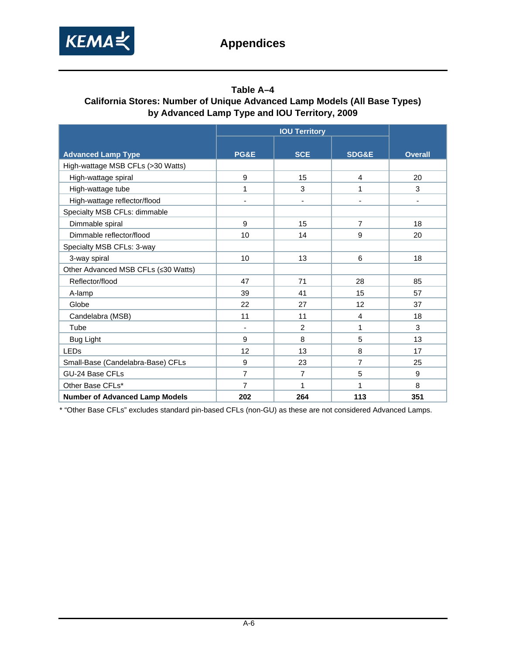

#### **Table A–4 California Stores: Number of Unique Advanced Lamp Models (All Base Types) by Advanced Lamp Type and IOU Territory, 2009**

|                                       | <b>IOU Territory</b>     |                |                  |                |  |
|---------------------------------------|--------------------------|----------------|------------------|----------------|--|
|                                       |                          |                |                  |                |  |
| <b>Advanced Lamp Type</b>             | PG&E                     | <b>SCE</b>     | <b>SDG&amp;E</b> | <b>Overall</b> |  |
| High-wattage MSB CFLs (>30 Watts)     |                          |                |                  |                |  |
| High-wattage spiral                   | 9                        | 15             | $\overline{4}$   | 20             |  |
| High-wattage tube                     | 1                        | 3              | 1                | 3              |  |
| High-wattage reflector/flood          | ٠                        | $\overline{a}$ | $\overline{a}$   |                |  |
| Specialty MSB CFLs: dimmable          |                          |                |                  |                |  |
| Dimmable spiral                       | 9                        | 15             | 7                | 18             |  |
| Dimmable reflector/flood              | 10                       | 14             | 9                | 20             |  |
| Specialty MSB CFLs: 3-way             |                          |                |                  |                |  |
| 3-way spiral                          | 10                       | 13             | 6                | 18             |  |
| Other Advanced MSB CFLs (≤30 Watts)   |                          |                |                  |                |  |
| Reflector/flood                       | 47                       | 71             | 28               | 85             |  |
| A-lamp                                | 39                       | 41             | 15               | 57             |  |
| Globe                                 | 22                       | 27             | 12               | 37             |  |
| Candelabra (MSB)                      | 11                       | 11             | 4                | 18             |  |
| Tube                                  | $\overline{\phantom{a}}$ | 2              | 1                | 3              |  |
| <b>Bug Light</b>                      | 9                        | 8              | 5                | 13             |  |
| <b>LEDs</b>                           | 12                       | 13             | 8                | 17             |  |
| Small-Base (Candelabra-Base) CFLs     | 9                        | 23             | $\overline{7}$   | 25             |  |
| GU-24 Base CFLs                       | $\overline{7}$           | $\overline{7}$ | 5                | 9              |  |
| Other Base CFLs*                      | $\overline{7}$           | 1              | 1                | 8              |  |
| <b>Number of Advanced Lamp Models</b> | 202                      | 264            | 113              | 351            |  |

\* "Other Base CFLs" excludes standard pin-based CFLs (non-GU) as these are not considered Advanced Lamps.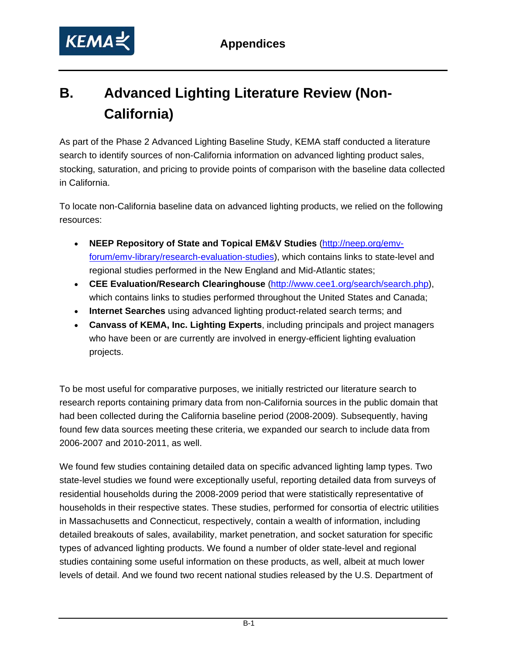

# **B. Advanced Lighting Literature Review (Non-California)**

As part of the Phase 2 Advanced Lighting Baseline Study, KEMA staff conducted a literature search to identify sources of non-California information on advanced lighting product sales, stocking, saturation, and pricing to provide points of comparison with the baseline data collected in California.

To locate non-California baseline data on advanced lighting products, we relied on the following resources:

- **NEEP Repository of State and Topical EM&V Studies** [\(http://neep.org/emv](http://neep.org/emv-forum/emv-library/research-evaluation-studies)[forum/emv-library/research-evaluation-studies\)](http://neep.org/emv-forum/emv-library/research-evaluation-studies), which contains links to state-level and regional studies performed in the New England and Mid-Atlantic states;
- **CEE Evaluation/Research Clearinghouse** [\(http://www.cee1.org/search/search.php\)](http://www.cee1.org/search/search.php), which contains links to studies performed throughout the United States and Canada;
- **Internet Searches** using advanced lighting product-related search terms; and
- **Canvass of KEMA, Inc. Lighting Experts**, including principals and project managers who have been or are currently are involved in energy-efficient lighting evaluation projects.

To be most useful for comparative purposes, we initially restricted our literature search to research reports containing primary data from non-California sources in the public domain that had been collected during the California baseline period (2008-2009). Subsequently, having found few data sources meeting these criteria, we expanded our search to include data from 2006-2007 and 2010-2011, as well.

We found few studies containing detailed data on specific advanced lighting lamp types. Two state-level studies we found were exceptionally useful, reporting detailed data from surveys of residential households during the 2008-2009 period that were statistically representative of households in their respective states. These studies, performed for consortia of electric utilities in Massachusetts and Connecticut, respectively, contain a wealth of information, including detailed breakouts of sales, availability, market penetration, and socket saturation for specific types of advanced lighting products. We found a number of older state-level and regional studies containing some useful information on these products, as well, albeit at much lower levels of detail. And we found two recent national studies released by the U.S. Department of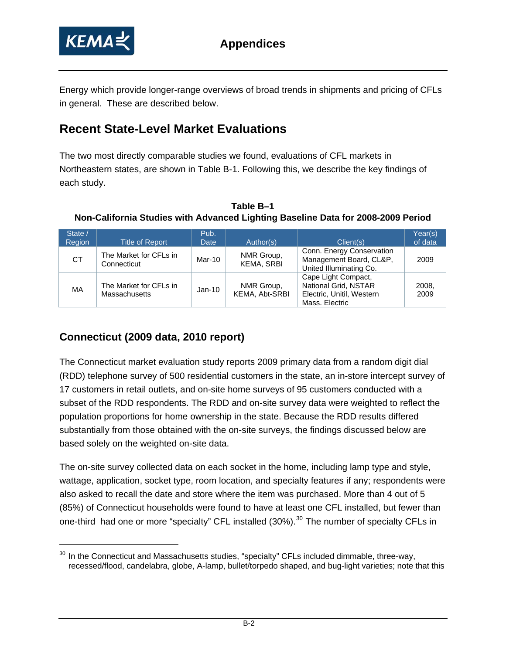<span id="page-75-0"></span>

Energy which provide longer-range overviews of broad trends in shipments and pricing of CFLs in general. These are described below.

## **Recent State-Level Market Evaluations**

The two most directly comparable studies we found, evaluations of CFL markets in Northeastern states, are shown in Table B-1. Following this, we describe the key findings of each study.

**Table B–1 Non-California Studies with Advanced Lighting Baseline Data for 2008-2009 Period** 

| State /<br>Region | Title of Report                                | Pub.<br><b>Date</b> | Author(s)                       | Client(s)                                                                                  | Year(s)<br>of data |
|-------------------|------------------------------------------------|---------------------|---------------------------------|--------------------------------------------------------------------------------------------|--------------------|
| <b>CT</b>         | The Market for CFLs in<br>Connecticut          | Mar-10              | NMR Group,<br><b>KEMA, SRBI</b> | Conn. Energy Conservation<br>Management Board, CL&P,<br>United Illuminating Co.            | 2009               |
| МA                | The Market for CFLs in<br><b>Massachusetts</b> | $Jan-10$            | NMR Group,<br>KEMA, Abt-SRBI    | Cape Light Compact,<br>National Grid, NSTAR<br>Electric, Unitil, Western<br>Mass. Electric | 2008.<br>2009      |

## **Connecticut (2009 data, 2010 report)**

The Connecticut market evaluation study reports 2009 primary data from a random digit dial (RDD) telephone survey of 500 residential customers in the state, an in-store intercept survey of 17 customers in retail outlets, and on-site home surveys of 95 customers conducted with a subset of the RDD respondents. The RDD and on-site survey data were weighted to reflect the population proportions for home ownership in the state. Because the RDD results differed substantially from those obtained with the on-site surveys, the findings discussed below are based solely on the weighted on-site data.

The on-site survey collected data on each socket in the home, including lamp type and style, wattage, application, socket type, room location, and specialty features if any; respondents were also asked to recall the date and store where the item was purchased. More than 4 out of 5 (85%) of Connecticut households were found to have at least one CFL installed, but fewer than one-third had one or more "specialty" CFL installed ([30](#page-75-0)%).<sup>30</sup> The number of specialty CFLs in

 $30$  In the Connecticut and Massachusetts studies, "specialty" CFLs included dimmable, three-way, recessed/flood, candelabra, globe, A-lamp, bullet/torpedo shaped, and bug-light varieties; note that this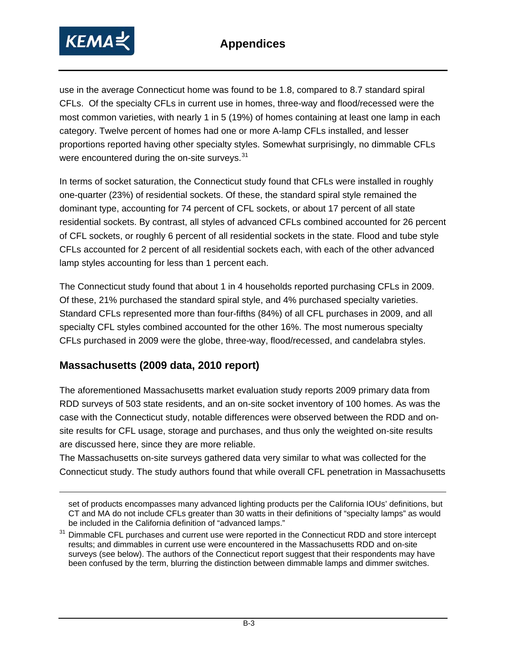<span id="page-76-0"></span>

use in the average Connecticut home was found to be 1.8, compared to 8.7 standard spiral CFLs. Of the specialty CFLs in current use in homes, three-way and flood/recessed were the most common varieties, with nearly 1 in 5 (19%) of homes containing at least one lamp in each category. Twelve percent of homes had one or more A-lamp CFLs installed, and lesser proportions reported having other specialty styles. Somewhat surprisingly, no dimmable CFLs were encountered during the on-site surveys.<sup>[31](#page-76-0)</sup>

In terms of socket saturation, the Connecticut study found that CFLs were installed in roughly one-quarter (23%) of residential sockets. Of these, the standard spiral style remained the dominant type, accounting for 74 percent of CFL sockets, or about 17 percent of all state residential sockets. By contrast, all styles of advanced CFLs combined accounted for 26 percent of CFL sockets, or roughly 6 percent of all residential sockets in the state. Flood and tube style CFLs accounted for 2 percent of all residential sockets each, with each of the other advanced lamp styles accounting for less than 1 percent each.

The Connecticut study found that about 1 in 4 households reported purchasing CFLs in 2009. Of these, 21% purchased the standard spiral style, and 4% purchased specialty varieties. Standard CFLs represented more than four-fifths (84%) of all CFL purchases in 2009, and all specialty CFL styles combined accounted for the other 16%. The most numerous specialty CFLs purchased in 2009 were the globe, three-way, flood/recessed, and candelabra styles.

### **Massachusetts (2009 data, 2010 report)**

 $\overline{a}$ 

The aforementioned Massachusetts market evaluation study reports 2009 primary data from RDD surveys of 503 state residents, and an on-site socket inventory of 100 homes. As was the case with the Connecticut study, notable differences were observed between the RDD and onsite results for CFL usage, storage and purchases, and thus only the weighted on-site results are discussed here, since they are more reliable.

The Massachusetts on-site surveys gathered data very similar to what was collected for the Connecticut study. The study authors found that while overall CFL penetration in Massachusetts

set of products encompasses many advanced lighting products per the California IOUs' definitions, but CT and MA do not include CFLs greater than 30 watts in their definitions of "specialty lamps" as would be included in the California definition of "advanced lamps."

<sup>&</sup>lt;sup>31</sup> Dimmable CFL purchases and current use were reported in the Connecticut RDD and store intercept results; and dimmables in current use were encountered in the Massachusetts RDD and on-site surveys (see below). The authors of the Connecticut report suggest that their respondents may have been confused by the term, blurring the distinction between dimmable lamps and dimmer switches.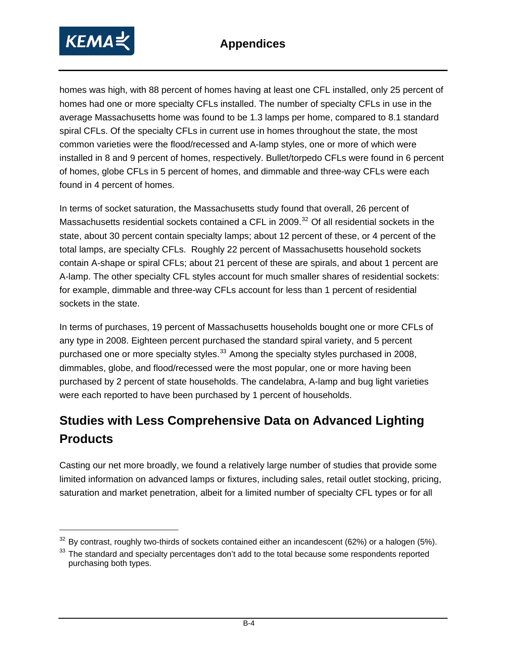<span id="page-77-0"></span>

homes was high, with 88 percent of homes having at least one CFL installed, only 25 percent of homes had one or more specialty CFLs installed. The number of specialty CFLs in use in the average Massachusetts home was found to be 1.3 lamps per home, compared to 8.1 standard spiral CFLs. Of the specialty CFLs in current use in homes throughout the state, the most common varieties were the flood/recessed and A-lamp styles, one or more of which were installed in 8 and 9 percent of homes, respectively. Bullet/torpedo CFLs were found in 6 percent of homes, globe CFLs in 5 percent of homes, and dimmable and three-way CFLs were each found in 4 percent of homes.

In terms of socket saturation, the Massachusetts study found that overall, 26 percent of Massachusetts residential sockets contained a CFL in 2009.<sup>[32](#page-77-0)</sup> Of all residential sockets in the state, about 30 percent contain specialty lamps; about 12 percent of these, or 4 percent of the total lamps, are specialty CFLs. Roughly 22 percent of Massachusetts household sockets contain A-shape or spiral CFLs; about 21 percent of these are spirals, and about 1 percent are A-lamp. The other specialty CFL styles account for much smaller shares of residential sockets: for example, dimmable and three-way CFLs account for less than 1 percent of residential sockets in the state.

In terms of purchases, 19 percent of Massachusetts households bought one or more CFLs of any type in 2008. Eighteen percent purchased the standard spiral variety, and 5 percent purchased one or more specialty styles.<sup>[33](#page-77-0)</sup> Among the specialty styles purchased in 2008, dimmables, globe, and flood/recessed were the most popular, one or more having been purchased by 2 percent of state households. The candelabra, A-lamp and bug light varieties were each reported to have been purchased by 1 percent of households.

## **Studies with Less Comprehensive Data on Advanced Lighting Products**

Casting our net more broadly, we found a relatively large number of studies that provide some limited information on advanced lamps or fixtures, including sales, retail outlet stocking, pricing, saturation and market penetration, albeit for a limited number of specialty CFL types or for all

By contrast, roughly two-thirds of sockets contained either an incandescent (62%) or a halogen (5%).

<sup>&</sup>lt;sup>33</sup> The standard and specialty percentages don't add to the total because some respondents reported purchasing both types.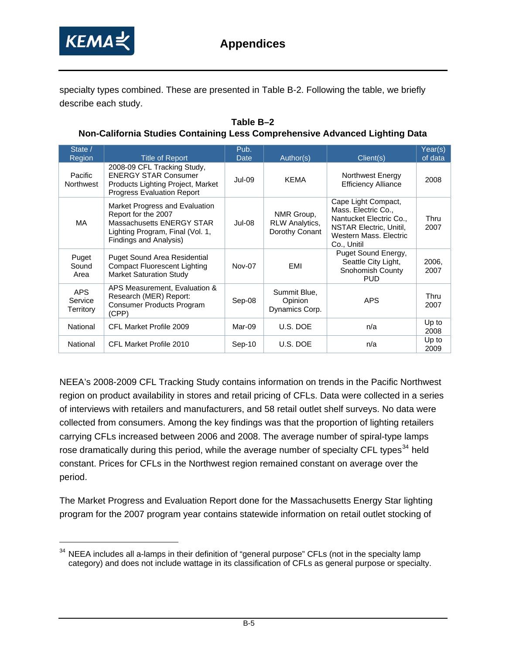<span id="page-78-0"></span>

-

specialty types combined. These are presented in Table B-2. Following the table, we briefly describe each study.

**Table B–2 Non-California Studies Containing Less Comprehensive Advanced Lighting Data** 

| State /<br>Region                  | <b>Title of Report</b>                                                                                                                           | Pub.<br>Date | Author(s)                                      | Client(s)                                                                                                                                 | Year(s)<br>of data |
|------------------------------------|--------------------------------------------------------------------------------------------------------------------------------------------------|--------------|------------------------------------------------|-------------------------------------------------------------------------------------------------------------------------------------------|--------------------|
| Pacific<br>Northwest               | 2008-09 CFL Tracking Study,<br><b>ENERGY STAR Consumer</b><br>Products Lighting Project, Market<br><b>Progress Evaluation Report</b>             | $Jul-09$     | <b>KEMA</b>                                    | Northwest Energy<br><b>Efficiency Alliance</b>                                                                                            | 2008               |
| MA                                 | Market Progress and Evaluation<br>Report for the 2007<br>Massachusetts ENERGY STAR<br>Lighting Program, Final (Vol. 1,<br>Findings and Analysis) | $Jul-08$     | NMR Group,<br>RLW Analytics,<br>Dorothy Conant | Cape Light Compact,<br>Mass. Electric Co.,<br>Nantucket Electric Co.,<br>NSTAR Electric, Unitil,<br>Western Mass, Electric<br>Co., Unitil | Thru<br>2007       |
| Puget<br>Sound<br>Area             | <b>Puget Sound Area Residential</b><br><b>Compact Fluorescent Lighting</b><br><b>Market Saturation Study</b>                                     | Nov-07       | EMI                                            | Puget Sound Energy,<br>Seattle City Light,<br>Snohomish County<br><b>PUD</b>                                                              | 2006.<br>2007      |
| <b>APS</b><br>Service<br>Territory | APS Measurement, Evaluation &<br>Research (MER) Report:<br>Consumer Products Program<br>(CPP)                                                    | Sep-08       | Summit Blue,<br>Opinion<br>Dynamics Corp.      | <b>APS</b>                                                                                                                                | Thru<br>2007       |
| National                           | CFL Market Profile 2009                                                                                                                          | Mar-09       | U.S. DOE                                       | n/a                                                                                                                                       | Up to<br>2008      |
| National                           | CFL Market Profile 2010                                                                                                                          | $Sep-10$     | U.S. DOE                                       | n/a                                                                                                                                       | Up to<br>2009      |

NEEA's 2008-2009 CFL Tracking Study contains information on trends in the Pacific Northwest region on product availability in stores and retail pricing of CFLs. Data were collected in a series of interviews with retailers and manufacturers, and 58 retail outlet shelf surveys. No data were collected from consumers. Among the key findings was that the proportion of lighting retailers carrying CFLs increased between 2006 and 2008. The average number of spiral-type lamps rose dramatically during this period, while the average number of specialty CFL types<sup>[34](#page-78-0)</sup> held constant. Prices for CFLs in the Northwest region remained constant on average over the period.

The Market Progress and Evaluation Report done for the Massachusetts Energy Star lighting program for the 2007 program year contains statewide information on retail outlet stocking of

<sup>&</sup>lt;sup>34</sup> NEEA includes all a-lamps in their definition of "general purpose" CFLs (not in the specialty lamp category) and does not include wattage in its classification of CFLs as general purpose or specialty.